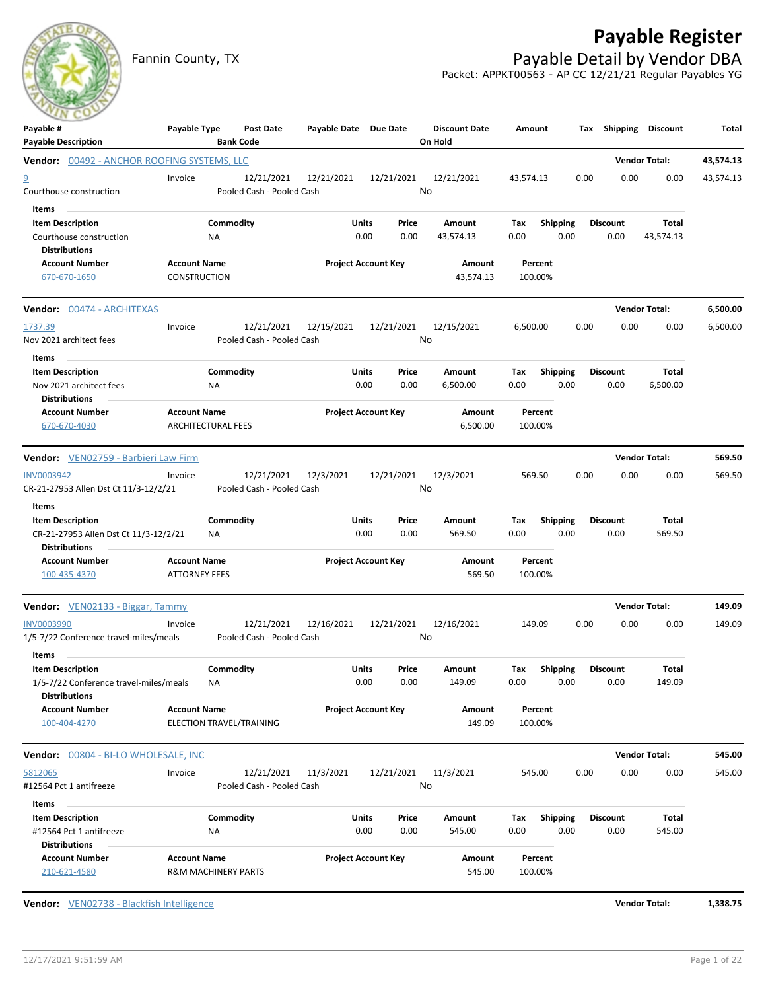# **Payable Register**

### Fannin County, TX **Payable Detail by Vendor DBA** Packet: APPKT00563 - AP CC 12/21/21 Regular Payables YG

| ---<br>Payable #<br><b>Payable Description</b>                                                              | Payable Type                                          | Post Date<br><b>Bank Code</b>           | Payable Date Due Date |                                | <b>Discount Date</b><br>On Hold | Amount                         |      | Tax Shipping Discount   |                      | Total     |
|-------------------------------------------------------------------------------------------------------------|-------------------------------------------------------|-----------------------------------------|-----------------------|--------------------------------|---------------------------------|--------------------------------|------|-------------------------|----------------------|-----------|
| <b>Vendor: 00492 - ANCHOR ROOFING SYSTEMS, LLC</b>                                                          |                                                       |                                         |                       |                                |                                 |                                |      |                         | <b>Vendor Total:</b> | 43,574.13 |
| $\overline{a}$<br>Courthouse construction                                                                   | Invoice                                               | 12/21/2021<br>Pooled Cash - Pooled Cash | 12/21/2021            | 12/21/2021                     | 12/21/2021<br>No                | 43,574.13                      | 0.00 | 0.00                    | 0.00                 | 43,574.13 |
| Items<br><b>Item Description</b><br>Courthouse construction                                                 | NA                                                    | Commodity                               |                       | Units<br>Price<br>0.00<br>0.00 | Amount<br>43,574.13             | <b>Shipping</b><br>Тах<br>0.00 | 0.00 | <b>Discount</b><br>0.00 | Total<br>43,574.13   |           |
| <b>Distributions</b><br><b>Account Number</b><br>670-670-1650                                               | <b>Account Name</b><br>CONSTRUCTION                   |                                         |                       | <b>Project Account Key</b>     | Amount<br>43,574.13             | Percent<br>100.00%             |      |                         |                      |           |
| <b>Vendor:</b> 00474 - ARCHITEXAS                                                                           |                                                       |                                         |                       |                                |                                 |                                |      |                         | <b>Vendor Total:</b> | 6,500.00  |
| 1737.39<br>Nov 2021 architect fees                                                                          | Invoice                                               | 12/21/2021<br>Pooled Cash - Pooled Cash | 12/15/2021            | 12/21/2021                     | 12/15/2021<br>No                | 6,500.00                       | 0.00 | 0.00                    | 0.00                 | 6,500.00  |
| Items<br><b>Item Description</b>                                                                            |                                                       | Commodity                               |                       | Units<br>Price                 | Amount                          | <b>Shipping</b><br>Тах         |      | <b>Discount</b>         | Total                |           |
| Nov 2021 architect fees<br><b>Distributions</b>                                                             | NA                                                    |                                         |                       | 0.00<br>0.00                   | 6,500.00                        | 0.00                           | 0.00 | 0.00                    | 6,500.00             |           |
| <b>Account Number</b><br>670-670-4030                                                                       | <b>Account Name</b><br><b>ARCHITECTURAL FEES</b>      |                                         |                       | <b>Project Account Key</b>     | Amount<br>6,500.00              | Percent<br>100.00%             |      |                         |                      |           |
| Vendor: VEN02759 - Barbieri Law Firm                                                                        |                                                       |                                         |                       |                                |                                 |                                |      |                         | <b>Vendor Total:</b> | 569.50    |
| <b>INV0003942</b><br>CR-21-27953 Allen Dst Ct 11/3-12/2/21                                                  | Invoice                                               | 12/21/2021<br>Pooled Cash - Pooled Cash | 12/3/2021             | 12/21/2021                     | 12/3/2021<br>No                 | 569.50                         | 0.00 | 0.00                    | 0.00                 | 569.50    |
| Items<br>$\sim$<br><b>Item Description</b><br>CR-21-27953 Allen Dst Ct 11/3-12/2/21<br><b>Distributions</b> | NA                                                    | Commodity                               |                       | Units<br>Price<br>0.00<br>0.00 | Amount<br>569.50                | <b>Shipping</b><br>Тах<br>0.00 | 0.00 | <b>Discount</b><br>0.00 | Total<br>569.50      |           |
| <b>Account Number</b><br>100-435-4370                                                                       | <b>Account Name</b><br><b>ATTORNEY FEES</b>           |                                         |                       | <b>Project Account Key</b>     | Amount<br>569.50                | Percent<br>100.00%             |      |                         |                      |           |
| Vendor: VEN02133 - Biggar, Tammy                                                                            |                                                       |                                         |                       |                                |                                 |                                |      |                         | <b>Vendor Total:</b> | 149.09    |
| <b>INV0003990</b><br>1/5-7/22 Conference travel-miles/meals                                                 | Invoice                                               | 12/21/2021<br>Pooled Cash - Pooled Cash | 12/16/2021            | 12/21/2021                     | 12/16/2021<br>No                | 149.09                         | 0.00 | 0.00                    | 0.00                 | 149.09    |
| Items<br><b>Item Description</b><br>1/5-7/22 Conference travel-miles/meals<br><b>Distributions</b>          | NA                                                    | Commodity                               |                       | Units<br>Price<br>0.00<br>0.00 | <b>Amount</b><br>149.09         | <b>Shipping</b><br>Tax<br>0.00 | 0.00 | Discount<br>0.00        | Total<br>149.09      |           |
| <b>Account Number</b><br>100-404-4270                                                                       | <b>Account Name</b><br>ELECTION TRAVEL/TRAINING       |                                         |                       | <b>Project Account Key</b>     | Amount<br>149.09                | Percent<br>100.00%             |      |                         |                      |           |
| Vendor: 00804 - BI-LO WHOLESALE, INC                                                                        |                                                       |                                         |                       |                                |                                 |                                |      |                         | <b>Vendor Total:</b> | 545.00    |
| 5812065<br>#12564 Pct 1 antifreeze                                                                          | Invoice                                               | 12/21/2021<br>Pooled Cash - Pooled Cash | 11/3/2021             | 12/21/2021                     | 11/3/2021<br>No                 | 545.00                         | 0.00 | 0.00                    | 0.00                 | 545.00    |
| Items<br><b>Item Description</b><br>#12564 Pct 1 antifreeze<br><b>Distributions</b>                         | NA                                                    | Commodity                               |                       | Units<br>Price<br>0.00<br>0.00 | Amount<br>545.00                | <b>Shipping</b><br>Tax<br>0.00 | 0.00 | <b>Discount</b><br>0.00 | Total<br>545.00      |           |
| <b>Account Number</b><br>210-621-4580                                                                       | <b>Account Name</b><br><b>R&amp;M MACHINERY PARTS</b> |                                         |                       | <b>Project Account Key</b>     | Amount<br>545.00                | Percent<br>100.00%             |      |                         |                      |           |

**Vendor:** VEN02738 - Blackfish Intelligence **Vendor Total: 1,338.75**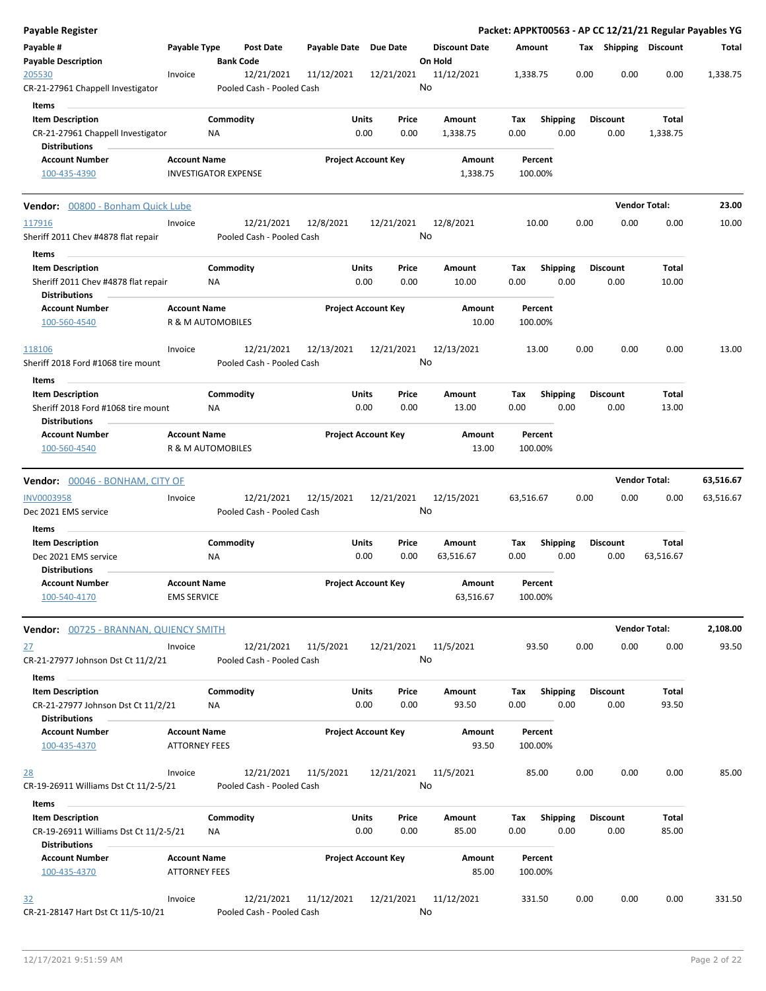| <b>Payable Register</b>                                          |                      |                             |                                         |                       |                                |                                 |             |                         |      |                         | Packet: APPKT00563 - AP CC 12/21/21 Regular Payables YG |           |
|------------------------------------------------------------------|----------------------|-----------------------------|-----------------------------------------|-----------------------|--------------------------------|---------------------------------|-------------|-------------------------|------|-------------------------|---------------------------------------------------------|-----------|
| Payable #<br><b>Payable Description</b>                          | Payable Type         | <b>Bank Code</b>            | <b>Post Date</b>                        | Payable Date Due Date |                                | <b>Discount Date</b><br>On Hold | Amount      |                         |      |                         | Tax Shipping Discount                                   | Total     |
| 205530                                                           | Invoice              |                             | 12/21/2021                              | 11/12/2021            | 12/21/2021                     | 11/12/2021                      | 1,338.75    |                         | 0.00 | 0.00                    | 0.00                                                    | 1,338.75  |
| CR-21-27961 Chappell Investigator                                |                      |                             | Pooled Cash - Pooled Cash               |                       |                                | No                              |             |                         |      |                         |                                                         |           |
| Items                                                            |                      |                             |                                         |                       |                                |                                 |             |                         |      |                         |                                                         |           |
| <b>Item Description</b>                                          |                      | Commodity                   |                                         |                       | Units<br>Price                 | Amount                          | Tax         | <b>Shipping</b>         |      | <b>Discount</b>         | Total                                                   |           |
| CR-21-27961 Chappell Investigator                                |                      | ΝA                          |                                         |                       | 0.00<br>0.00                   | 1,338.75                        | 0.00        | 0.00                    |      | 0.00                    | 1,338.75                                                |           |
| <b>Distributions</b>                                             |                      |                             |                                         |                       |                                |                                 |             |                         |      |                         |                                                         |           |
| <b>Account Number</b>                                            | <b>Account Name</b>  |                             |                                         |                       | <b>Project Account Key</b>     | Amount                          |             | Percent                 |      |                         |                                                         |           |
| 100-435-4390                                                     |                      | <b>INVESTIGATOR EXPENSE</b> |                                         |                       |                                | 1,338.75                        |             | 100.00%                 |      |                         |                                                         |           |
| Vendor: 00800 - Bonham Quick Lube                                |                      |                             |                                         |                       |                                |                                 |             |                         |      |                         | <b>Vendor Total:</b>                                    | 23.00     |
| 117916                                                           | Invoice              |                             | 12/21/2021                              | 12/8/2021             | 12/21/2021                     | 12/8/2021                       |             | 10.00                   | 0.00 | 0.00                    | 0.00                                                    | 10.00     |
| Sheriff 2011 Chev #4878 flat repair                              |                      |                             | Pooled Cash - Pooled Cash               |                       |                                | No                              |             |                         |      |                         |                                                         |           |
| Items                                                            |                      |                             |                                         |                       |                                |                                 |             |                         |      |                         |                                                         |           |
| <b>Item Description</b>                                          |                      | Commodity                   |                                         |                       | Units<br>Price                 | Amount                          | Tax         | <b>Shipping</b>         |      | <b>Discount</b>         | Total                                                   |           |
| Sheriff 2011 Chev #4878 flat repair                              |                      | ΝA                          |                                         |                       | 0.00<br>0.00                   | 10.00                           | 0.00        | 0.00                    |      | 0.00                    | 10.00                                                   |           |
| <b>Distributions</b>                                             |                      |                             |                                         |                       |                                |                                 |             |                         |      |                         |                                                         |           |
| <b>Account Number</b>                                            | <b>Account Name</b>  |                             |                                         |                       | <b>Project Account Key</b>     | Amount                          |             | Percent                 |      |                         |                                                         |           |
| 100-560-4540                                                     |                      | R & M AUTOMOBILES           |                                         |                       |                                | 10.00                           |             | 100.00%                 |      |                         |                                                         |           |
| 118106                                                           | Invoice              |                             | 12/21/2021                              | 12/13/2021            | 12/21/2021                     | 12/13/2021                      |             | 13.00                   | 0.00 | 0.00                    | 0.00                                                    | 13.00     |
| Sheriff 2018 Ford #1068 tire mount                               |                      |                             | Pooled Cash - Pooled Cash               |                       |                                | No                              |             |                         |      |                         |                                                         |           |
|                                                                  |                      |                             |                                         |                       |                                |                                 |             |                         |      |                         |                                                         |           |
| Items<br><b>Item Description</b>                                 |                      | Commodity                   |                                         |                       | Units<br>Price                 | Amount                          | Tax         | <b>Shipping</b>         |      | <b>Discount</b>         | Total                                                   |           |
| Sheriff 2018 Ford #1068 tire mount                               |                      | ΝA                          |                                         |                       | 0.00<br>0.00                   | 13.00                           | 0.00        | 0.00                    |      | 0.00                    | 13.00                                                   |           |
| <b>Distributions</b>                                             |                      |                             |                                         |                       |                                |                                 |             |                         |      |                         |                                                         |           |
| <b>Account Number</b>                                            | <b>Account Name</b>  |                             |                                         |                       | <b>Project Account Key</b>     | Amount                          |             | Percent                 |      |                         |                                                         |           |
| 100-560-4540                                                     |                      | R & M AUTOMOBILES           |                                         |                       |                                | 13.00                           |             | 100.00%                 |      |                         |                                                         |           |
|                                                                  |                      |                             |                                         |                       |                                |                                 |             |                         |      |                         |                                                         |           |
|                                                                  |                      |                             |                                         |                       |                                |                                 |             |                         |      |                         |                                                         |           |
| Vendor: 00046 - BONHAM, CITY OF                                  |                      |                             |                                         |                       |                                |                                 |             |                         |      | <b>Vendor Total:</b>    |                                                         | 63,516.67 |
| <b>INV0003958</b>                                                | Invoice              |                             | 12/21/2021                              | 12/15/2021            | 12/21/2021                     | 12/15/2021                      | 63,516.67   |                         | 0.00 | 0.00                    | 0.00                                                    | 63,516.67 |
| Dec 2021 EMS service                                             |                      |                             | Pooled Cash - Pooled Cash               |                       |                                | No                              |             |                         |      |                         |                                                         |           |
| Items                                                            |                      |                             |                                         |                       |                                |                                 |             |                         |      |                         |                                                         |           |
| <b>Item Description</b>                                          |                      | Commodity                   |                                         |                       | Units<br>Price                 | Amount                          | Тах         | <b>Shipping</b>         |      | <b>Discount</b>         | Total                                                   |           |
| Dec 2021 EMS service                                             |                      | NA                          |                                         |                       | 0.00<br>0.00                   | 63,516.67                       | 0.00        | 0.00                    |      | 0.00                    | 63,516.67                                               |           |
| <b>Distributions</b>                                             |                      |                             |                                         |                       |                                |                                 |             |                         |      |                         |                                                         |           |
| <b>Account Number</b>                                            | <b>Account Name</b>  |                             |                                         |                       | <b>Project Account Key</b>     | Amount                          |             | Percent                 |      |                         |                                                         |           |
| 100-540-4170                                                     | <b>EMS SERVICE</b>   |                             |                                         |                       |                                | 63,516.67                       |             | 100.00%                 |      |                         |                                                         |           |
| Vendor: 00725 - BRANNAN, QUIENCY SMITH                           |                      |                             |                                         |                       |                                |                                 |             |                         |      |                         | <b>Vendor Total:</b>                                    | 2,108.00  |
| 27                                                               | Invoice              |                             | 12/21/2021                              | 11/5/2021             | 12/21/2021                     | 11/5/2021                       |             | 93.50                   | 0.00 | 0.00                    | 0.00                                                    | 93.50     |
| CR-21-27977 Johnson Dst Ct 11/2/21                               |                      |                             | Pooled Cash - Pooled Cash               |                       |                                | No                              |             |                         |      |                         |                                                         |           |
| Items                                                            |                      |                             |                                         |                       |                                |                                 |             |                         |      |                         |                                                         |           |
| <b>Item Description</b>                                          |                      | Commodity                   |                                         |                       | Units<br>Price                 | Amount                          | Тах         | <b>Shipping</b>         |      | <b>Discount</b>         | Total                                                   |           |
| CR-21-27977 Johnson Dst Ct 11/2/21                               |                      | NA                          |                                         |                       | 0.00<br>0.00                   | 93.50                           | 0.00        | 0.00                    |      | 0.00                    | 93.50                                                   |           |
| <b>Distributions</b>                                             |                      |                             |                                         |                       |                                |                                 |             |                         |      |                         |                                                         |           |
| <b>Account Number</b>                                            | <b>Account Name</b>  |                             |                                         |                       | <b>Project Account Key</b>     | Amount                          |             | Percent                 |      |                         |                                                         |           |
| 100-435-4370                                                     | <b>ATTORNEY FEES</b> |                             |                                         |                       |                                | 93.50                           |             | 100.00%                 |      |                         |                                                         |           |
| <u>28</u>                                                        | Invoice              |                             | 12/21/2021                              | 11/5/2021             | 12/21/2021                     | 11/5/2021                       |             | 85.00                   | 0.00 | 0.00                    | 0.00                                                    | 85.00     |
| CR-19-26911 Williams Dst Ct 11/2-5/21                            |                      |                             | Pooled Cash - Pooled Cash               |                       |                                | No                              |             |                         |      |                         |                                                         |           |
|                                                                  |                      |                             |                                         |                       |                                |                                 |             |                         |      |                         |                                                         |           |
| Items                                                            |                      |                             |                                         |                       |                                |                                 |             |                         |      |                         |                                                         |           |
| <b>Item Description</b><br>CR-19-26911 Williams Dst Ct 11/2-5/21 |                      | Commodity<br>NA             |                                         |                       | Units<br>Price<br>0.00<br>0.00 | Amount<br>85.00                 | Tax<br>0.00 | <b>Shipping</b><br>0.00 |      | <b>Discount</b><br>0.00 | Total<br>85.00                                          |           |
| <b>Distributions</b>                                             |                      |                             |                                         |                       |                                |                                 |             |                         |      |                         |                                                         |           |
| <b>Account Number</b>                                            | <b>Account Name</b>  |                             |                                         |                       | <b>Project Account Key</b>     | Amount                          |             | Percent                 |      |                         |                                                         |           |
| 100-435-4370                                                     | <b>ATTORNEY FEES</b> |                             |                                         |                       |                                | 85.00                           |             | 100.00%                 |      |                         |                                                         |           |
|                                                                  |                      |                             |                                         |                       |                                |                                 |             |                         |      |                         |                                                         |           |
| 32<br>CR-21-28147 Hart Dst Ct 11/5-10/21                         | Invoice              |                             | 12/21/2021<br>Pooled Cash - Pooled Cash | 11/12/2021            | 12/21/2021                     | 11/12/2021<br>No                |             | 331.50                  | 0.00 | 0.00                    | 0.00                                                    | 331.50    |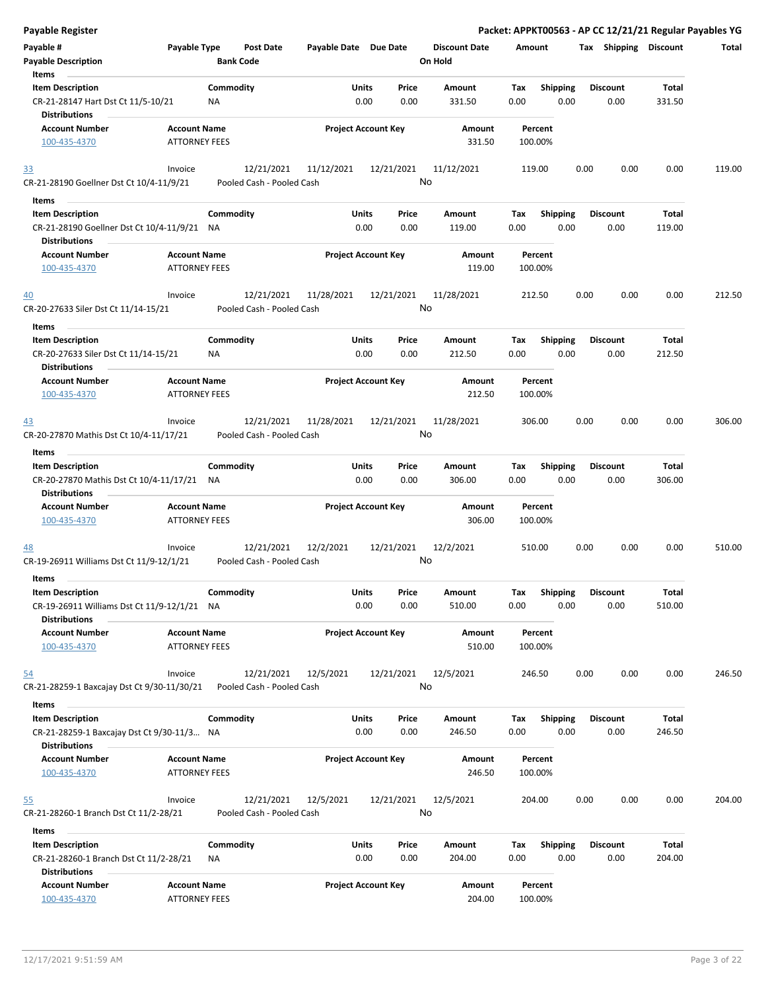| Payable Register                                                    |                                             |                  |                                         |                            |               |                  |                                 |             |                         |      |                         |                 | Packet: APPKT00563 - AP CC 12/21/21 Regular Payables YG |
|---------------------------------------------------------------------|---------------------------------------------|------------------|-----------------------------------------|----------------------------|---------------|------------------|---------------------------------|-------------|-------------------------|------|-------------------------|-----------------|---------------------------------------------------------|
| Payable #<br><b>Payable Description</b>                             | Payable Type                                | <b>Bank Code</b> | Post Date                               | Payable Date Due Date      |               |                  | <b>Discount Date</b><br>On Hold | Amount      |                         |      | Tax Shipping Discount   |                 | Total                                                   |
| Items                                                               |                                             |                  |                                         |                            |               |                  |                                 |             |                         |      |                         |                 |                                                         |
| <b>Item Description</b>                                             |                                             | Commodity        |                                         |                            | <b>Units</b>  | Price            | Amount                          | Tax         | <b>Shipping</b>         |      | <b>Discount</b>         | Total           |                                                         |
| CR-21-28147 Hart Dst Ct 11/5-10/21<br><b>Distributions</b>          |                                             | NA               |                                         |                            | 0.00          | 0.00             | 331.50                          | 0.00        | 0.00                    |      | 0.00                    | 331.50          |                                                         |
| <b>Account Number</b>                                               | <b>Account Name</b>                         |                  |                                         | <b>Project Account Key</b> |               |                  | Amount                          |             | Percent                 |      |                         |                 |                                                         |
| 100-435-4370                                                        | <b>ATTORNEY FEES</b>                        |                  |                                         |                            |               |                  | 331.50                          |             | 100.00%                 |      |                         |                 |                                                         |
| <u>33</u>                                                           | Invoice                                     |                  | 12/21/2021                              | 11/12/2021                 |               | 12/21/2021       | 11/12/2021                      | 119.00      |                         | 0.00 | 0.00                    | 0.00            | 119.00                                                  |
| CR-21-28190 Goellner Dst Ct 10/4-11/9/21                            |                                             |                  | Pooled Cash - Pooled Cash               |                            |               |                  | No                              |             |                         |      |                         |                 |                                                         |
| <b>Items</b>                                                        |                                             |                  |                                         |                            |               |                  |                                 |             |                         |      |                         |                 |                                                         |
| <b>Item Description</b>                                             |                                             | Commodity        |                                         |                            | Units         | Price            | Amount                          | Tax         | <b>Shipping</b>         |      | <b>Discount</b>         | Total           |                                                         |
| CR-21-28190 Goellner Dst Ct 10/4-11/9/21 NA<br><b>Distributions</b> |                                             |                  |                                         |                            | 0.00          | 0.00             | 119.00                          | 0.00        | 0.00                    |      | 0.00                    | 119.00          |                                                         |
| <b>Account Number</b>                                               | <b>Account Name</b>                         |                  |                                         | <b>Project Account Key</b> |               |                  | Amount                          |             | Percent                 |      |                         |                 |                                                         |
| 100-435-4370                                                        | <b>ATTORNEY FEES</b>                        |                  |                                         |                            |               |                  | 119.00                          |             | 100.00%                 |      |                         |                 |                                                         |
| 40<br>CR-20-27633 Siler Dst Ct 11/14-15/21                          | Invoice                                     |                  | 12/21/2021<br>Pooled Cash - Pooled Cash | 11/28/2021                 |               | 12/21/2021       | 11/28/2021<br>No                | 212.50      |                         | 0.00 | 0.00                    | 0.00            | 212.50                                                  |
| Items                                                               |                                             |                  |                                         |                            |               |                  |                                 |             |                         |      |                         |                 |                                                         |
| <b>Item Description</b><br>CR-20-27633 Siler Dst Ct 11/14-15/21     |                                             | Commodity<br>NA  |                                         |                            | Units<br>0.00 | Price<br>0.00    | Amount<br>212.50                | Tax<br>0.00 | <b>Shipping</b><br>0.00 |      | <b>Discount</b><br>0.00 | Total<br>212.50 |                                                         |
| <b>Distributions</b><br><b>Account Number</b>                       | <b>Account Name</b>                         |                  |                                         | <b>Project Account Key</b> |               |                  | Amount                          |             | Percent                 |      |                         |                 |                                                         |
| 100-435-4370                                                        | <b>ATTORNEY FEES</b>                        |                  |                                         |                            |               |                  | 212.50                          |             | 100.00%                 |      |                         |                 |                                                         |
| 43                                                                  | Invoice                                     |                  | 12/21/2021                              | 11/28/2021                 |               | 12/21/2021       | 11/28/2021                      | 306.00      |                         | 0.00 | 0.00                    | 0.00            | 306.00                                                  |
| CR-20-27870 Mathis Dst Ct 10/4-11/17/21                             |                                             |                  | Pooled Cash - Pooled Cash               |                            |               |                  | No                              |             |                         |      |                         |                 |                                                         |
| Items                                                               |                                             |                  |                                         |                            |               |                  |                                 |             |                         |      |                         |                 |                                                         |
| <b>Item Description</b>                                             |                                             | Commodity        |                                         |                            | Units         | Price            | Amount                          | Tax         | <b>Shipping</b>         |      | <b>Discount</b>         | Total           |                                                         |
| CR-20-27870 Mathis Dst Ct 10/4-11/17/21<br><b>Distributions</b>     |                                             | NA               |                                         |                            | 0.00          | 0.00             | 306.00                          | 0.00        | 0.00                    |      | 0.00                    | 306.00          |                                                         |
| <b>Account Number</b>                                               | <b>Account Name</b>                         |                  |                                         | <b>Project Account Key</b> |               |                  | Amount                          |             | Percent                 |      |                         |                 |                                                         |
| 100-435-4370                                                        | <b>ATTORNEY FEES</b>                        |                  |                                         |                            |               |                  | 306.00                          |             | 100.00%                 |      |                         |                 |                                                         |
| <u>48</u>                                                           | Invoice                                     |                  | 12/21/2021                              | 12/2/2021                  |               | 12/21/2021       | 12/2/2021                       | 510.00      |                         | 0.00 | 0.00                    | 0.00            | 510.00                                                  |
| CR-19-26911 Williams Dst Ct 11/9-12/1/21                            |                                             |                  | Pooled Cash - Pooled Cash               |                            |               |                  | No                              |             |                         |      |                         |                 |                                                         |
| Items                                                               |                                             |                  |                                         |                            |               |                  |                                 |             |                         |      |                         |                 |                                                         |
| <b>Item Description</b>                                             |                                             | Commodity        |                                         |                            | Units         | Price            | Amount                          | Tax         | Shipping                |      | <b>Discount</b>         | Total           |                                                         |
| CR-19-26911 Williams Dst Ct 11/9-12/1/21 NA<br><b>Distributions</b> |                                             |                  |                                         |                            | 0.00          | 0.00             | 510.00                          | 0.00        | 0.00                    |      | 0.00                    | 510.00          |                                                         |
| <b>Account Number</b><br>100-435-4370                               | <b>Account Name</b><br><b>ATTORNEY FEES</b> |                  |                                         | <b>Project Account Key</b> |               |                  | Amount<br>510.00                |             | Percent<br>100.00%      |      |                         |                 |                                                         |
|                                                                     |                                             |                  |                                         |                            |               |                  |                                 |             |                         |      |                         |                 |                                                         |
| 54<br>CR-21-28259-1 Baxcajay Dst Ct 9/30-11/30/21                   | Invoice                                     |                  | 12/21/2021<br>Pooled Cash - Pooled Cash | 12/5/2021                  |               | 12/21/2021       | 12/5/2021<br>No                 | 246.50      |                         | 0.00 | 0.00                    | 0.00            | 246.50                                                  |
| Items                                                               |                                             |                  |                                         |                            |               |                  |                                 |             |                         |      |                         |                 |                                                         |
| <b>Item Description</b>                                             |                                             | Commodity        |                                         |                            | Units         | Price            | Amount                          | Tax         | <b>Shipping</b>         |      | <b>Discount</b>         | Total           |                                                         |
| CR-21-28259-1 Baxcajay Dst Ct 9/30-11/3 NA<br><b>Distributions</b>  |                                             |                  |                                         |                            | 0.00          | 0.00             | 246.50                          | 0.00        | 0.00                    |      | 0.00                    | 246.50          |                                                         |
| <b>Account Number</b><br>100-435-4370                               | <b>Account Name</b><br><b>ATTORNEY FEES</b> |                  |                                         | <b>Project Account Key</b> |               |                  | Amount<br>246.50                |             | Percent<br>100.00%      |      |                         |                 |                                                         |
| <u>55</u><br>CR-21-28260-1 Branch Dst Ct 11/2-28/21                 | Invoice                                     |                  | 12/21/2021<br>Pooled Cash - Pooled Cash | 12/5/2021                  |               | 12/21/2021<br>No | 12/5/2021                       | 204.00      |                         | 0.00 | 0.00                    | 0.00            | 204.00                                                  |
| Items                                                               |                                             |                  |                                         |                            |               |                  |                                 |             |                         |      |                         |                 |                                                         |
| <b>Item Description</b><br>CR-21-28260-1 Branch Dst Ct 11/2-28/21   |                                             | Commodity<br>ΝA  |                                         |                            | Units<br>0.00 | Price<br>0.00    | Amount<br>204.00                | Tax<br>0.00 | <b>Shipping</b><br>0.00 |      | <b>Discount</b><br>0.00 | Total<br>204.00 |                                                         |
| <b>Distributions</b>                                                |                                             |                  |                                         |                            |               |                  |                                 |             |                         |      |                         |                 |                                                         |
| <b>Account Number</b><br>100-435-4370                               | <b>Account Name</b><br><b>ATTORNEY FEES</b> |                  |                                         | <b>Project Account Key</b> |               |                  | Amount<br>204.00                |             | Percent<br>100.00%      |      |                         |                 |                                                         |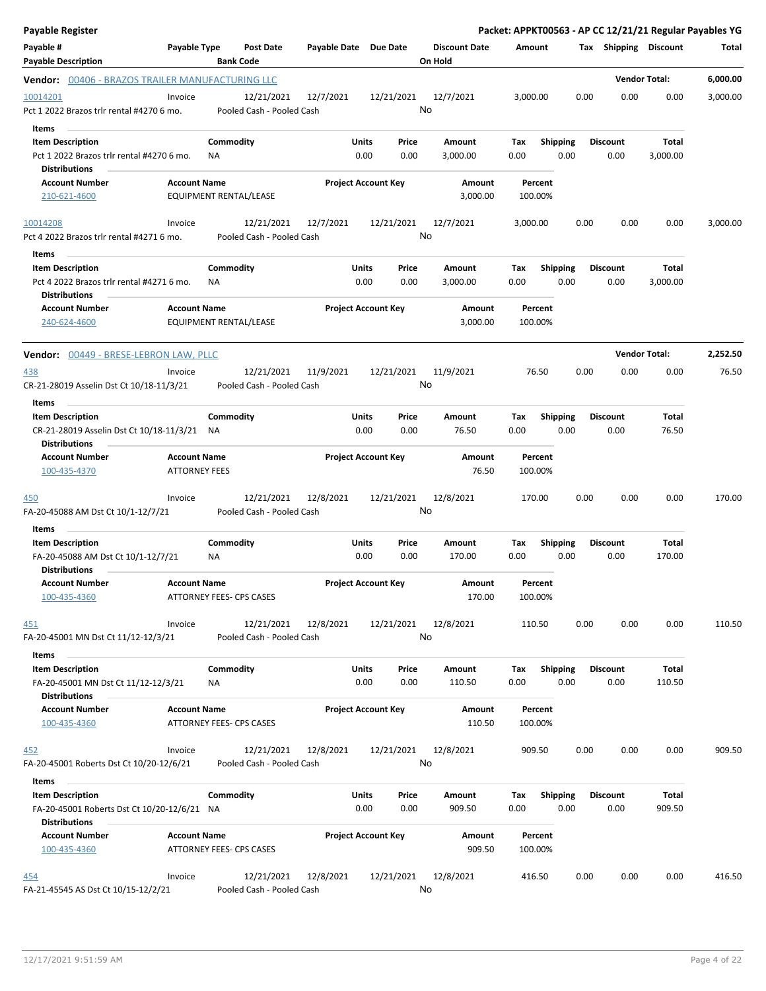| Payable Register                                                    |                      |           |                                         |                       |                            |                  |                                 |             |                 |      |                         |                      | Packet: APPKT00563 - AP CC 12/21/21 Regular Payables YG |
|---------------------------------------------------------------------|----------------------|-----------|-----------------------------------------|-----------------------|----------------------------|------------------|---------------------------------|-------------|-----------------|------|-------------------------|----------------------|---------------------------------------------------------|
| Payable #<br><b>Payable Description</b>                             | Payable Type         |           | <b>Post Date</b><br><b>Bank Code</b>    | Payable Date Due Date |                            |                  | <b>Discount Date</b><br>On Hold | Amount      |                 |      | Tax Shipping Discount   |                      | Total                                                   |
| Vendor: 00406 - BRAZOS TRAILER MANUFACTURING LLC                    |                      |           |                                         |                       |                            |                  |                                 |             |                 |      |                         | <b>Vendor Total:</b> | 6,000.00                                                |
| 10014201                                                            | Invoice              |           | 12/21/2021                              | 12/7/2021             |                            | 12/21/2021       | 12/7/2021                       | 3,000.00    |                 | 0.00 | 0.00                    | 0.00                 | 3,000.00                                                |
| Pct 1 2022 Brazos trlr rental #4270 6 mo.                           |                      |           | Pooled Cash - Pooled Cash               |                       |                            | No               |                                 |             |                 |      |                         |                      |                                                         |
| Items                                                               |                      |           |                                         |                       |                            |                  |                                 |             |                 |      |                         |                      |                                                         |
| <b>Item Description</b>                                             |                      | Commodity |                                         |                       | Units                      | Price            | Amount                          | Tax         | <b>Shipping</b> |      | <b>Discount</b>         | Total                |                                                         |
| Pct 1 2022 Brazos trlr rental #4270 6 mo.                           |                      | ΝA        |                                         |                       | 0.00                       | 0.00             | 3,000.00                        | 0.00        |                 | 0.00 | 0.00                    | 3,000.00             |                                                         |
| <b>Distributions</b>                                                |                      |           |                                         |                       |                            |                  |                                 |             |                 |      |                         |                      |                                                         |
| <b>Account Number</b>                                               | <b>Account Name</b>  |           |                                         |                       | <b>Project Account Key</b> |                  | Amount                          |             | Percent         |      |                         |                      |                                                         |
| 210-621-4600                                                        |                      |           | EQUIPMENT RENTAL/LEASE                  |                       |                            |                  | 3,000.00                        |             | 100.00%         |      |                         |                      |                                                         |
| 10014208                                                            | Invoice              |           | 12/21/2021                              | 12/7/2021             |                            | 12/21/2021       | 12/7/2021                       | 3,000.00    |                 | 0.00 | 0.00                    | 0.00                 | 3,000.00                                                |
| Pct 4 2022 Brazos trlr rental #4271 6 mo.                           |                      |           | Pooled Cash - Pooled Cash               |                       |                            | No               |                                 |             |                 |      |                         |                      |                                                         |
| Items                                                               |                      |           |                                         |                       |                            |                  |                                 |             |                 |      |                         |                      |                                                         |
| <b>Item Description</b>                                             |                      | Commodity |                                         |                       | Units                      | Price            | Amount                          | Tax         | <b>Shipping</b> |      | <b>Discount</b>         | Total                |                                                         |
| Pct 4 2022 Brazos trlr rental #4271 6 mo.                           |                      | ΝA        |                                         |                       | 0.00                       | 0.00             | 3,000.00                        | 0.00        |                 | 0.00 | 0.00                    | 3,000.00             |                                                         |
| <b>Distributions</b><br><b>Account Number</b>                       | <b>Account Name</b>  |           |                                         |                       | <b>Project Account Key</b> |                  | Amount                          |             | Percent         |      |                         |                      |                                                         |
| 240-624-4600                                                        |                      |           | EQUIPMENT RENTAL/LEASE                  |                       |                            |                  | 3,000.00                        |             | 100.00%         |      |                         |                      |                                                         |
| Vendor: 00449 - BRESE-LEBRON LAW, PLLC                              |                      |           |                                         |                       |                            |                  |                                 |             |                 |      |                         | <b>Vendor Total:</b> | 2,252.50                                                |
| <u>438</u>                                                          | Invoice              |           | 12/21/2021                              | 11/9/2021             |                            | 12/21/2021       | 11/9/2021                       |             | 76.50           | 0.00 | 0.00                    | 0.00                 | 76.50                                                   |
| CR-21-28019 Asselin Dst Ct 10/18-11/3/21                            |                      |           | Pooled Cash - Pooled Cash               |                       |                            | No               |                                 |             |                 |      |                         |                      |                                                         |
| Items                                                               |                      |           |                                         |                       |                            |                  |                                 |             |                 |      |                         |                      |                                                         |
| <b>Item Description</b>                                             |                      | Commodity |                                         |                       | Units                      | Price            | Amount                          | Tax         | <b>Shipping</b> |      | <b>Discount</b>         | Total                |                                                         |
| CR-21-28019 Asselin Dst Ct 10/18-11/3/21 NA<br><b>Distributions</b> |                      |           |                                         |                       | 0.00                       | 0.00             | 76.50                           | 0.00        |                 | 0.00 | 0.00                    | 76.50                |                                                         |
| <b>Account Number</b>                                               | <b>Account Name</b>  |           |                                         |                       | <b>Project Account Key</b> |                  | Amount                          |             | Percent         |      |                         |                      |                                                         |
| 100-435-4370                                                        | <b>ATTORNEY FEES</b> |           |                                         |                       |                            |                  | 76.50                           |             | 100.00%         |      |                         |                      |                                                         |
| <u>450</u><br>FA-20-45088 AM Dst Ct 10/1-12/7/21                    | Invoice              |           | 12/21/2021<br>Pooled Cash - Pooled Cash | 12/8/2021             |                            | 12/21/2021<br>No | 12/8/2021                       |             | 170.00          | 0.00 | 0.00                    | 0.00                 | 170.00                                                  |
| Items                                                               |                      |           |                                         |                       |                            |                  |                                 |             |                 |      |                         |                      |                                                         |
| <b>Item Description</b>                                             |                      | Commodity |                                         |                       | Units                      | Price            | Amount                          | Tax         | <b>Shipping</b> |      | <b>Discount</b>         | Total                |                                                         |
| FA-20-45088 AM Dst Ct 10/1-12/7/21<br><b>Distributions</b>          |                      | ΝA        |                                         |                       | 0.00                       | 0.00             | 170.00                          | 0.00        |                 | 0.00 | 0.00                    | 170.00               |                                                         |
| <b>Account Number</b>                                               | <b>Account Name</b>  |           |                                         |                       | <b>Project Account Key</b> |                  | Amount                          |             | Percent         |      |                         |                      |                                                         |
| 100-435-4360                                                        |                      |           | ATTORNEY FEES- CPS CASES                |                       |                            |                  | 170.00                          |             | 100.00%         |      |                         |                      |                                                         |
| <u>451</u>                                                          | Invoice              |           | 12/21/2021                              | 12/8/2021             |                            | 12/21/2021       | 12/8/2021                       |             | 110.50          | 0.00 | 0.00                    | 0.00                 | 110.50                                                  |
| FA-20-45001 MN Dst Ct 11/12-12/3/21                                 |                      |           | Pooled Cash - Pooled Cash               |                       |                            | No               |                                 |             |                 |      |                         |                      |                                                         |
| Items                                                               |                      |           |                                         |                       |                            |                  |                                 |             |                 |      |                         |                      |                                                         |
| <b>Item Description</b>                                             |                      | Commodity |                                         |                       | Units<br>0.00              | Price<br>0.00    | Amount<br>110.50                | Tax<br>0.00 | <b>Shipping</b> | 0.00 | <b>Discount</b><br>0.00 | Total<br>110.50      |                                                         |
| FA-20-45001 MN Dst Ct 11/12-12/3/21<br><b>Distributions</b>         |                      | ΝA        |                                         |                       |                            |                  |                                 |             |                 |      |                         |                      |                                                         |
| <b>Account Number</b>                                               | <b>Account Name</b>  |           |                                         |                       | <b>Project Account Key</b> |                  | Amount                          |             | Percent         |      |                         |                      |                                                         |
| 100-435-4360                                                        |                      |           | ATTORNEY FEES- CPS CASES                |                       |                            |                  | 110.50                          |             | 100.00%         |      |                         |                      |                                                         |
| 452                                                                 | Invoice              |           | 12/21/2021                              | 12/8/2021             |                            | 12/21/2021       | 12/8/2021                       |             | 909.50          | 0.00 | 0.00                    | 0.00                 | 909.50                                                  |
| FA-20-45001 Roberts Dst Ct 10/20-12/6/21                            |                      |           | Pooled Cash - Pooled Cash               |                       |                            | No               |                                 |             |                 |      |                         |                      |                                                         |
| Items                                                               |                      |           |                                         |                       |                            |                  |                                 |             |                 |      |                         |                      |                                                         |
| <b>Item Description</b>                                             |                      | Commodity |                                         |                       | Units                      | Price            | Amount                          | Tax         | <b>Shipping</b> |      | <b>Discount</b>         | Total                |                                                         |
| FA-20-45001 Roberts Dst Ct 10/20-12/6/21 NA<br><b>Distributions</b> |                      |           |                                         |                       | 0.00                       | 0.00             | 909.50                          | 0.00        |                 | 0.00 | 0.00                    | 909.50               |                                                         |
| <b>Account Number</b>                                               | <b>Account Name</b>  |           |                                         |                       | <b>Project Account Key</b> |                  | Amount                          |             | Percent         |      |                         |                      |                                                         |
| 100-435-4360                                                        |                      |           | ATTORNEY FEES- CPS CASES                |                       |                            |                  | 909.50                          |             | 100.00%         |      |                         |                      |                                                         |
| <u>454</u>                                                          | Invoice              |           | 12/21/2021                              | 12/8/2021             |                            | 12/21/2021       | 12/8/2021                       |             | 416.50          | 0.00 | 0.00                    | 0.00                 | 416.50                                                  |
| FA-21-45545 AS Dst Ct 10/15-12/2/21                                 |                      |           | Pooled Cash - Pooled Cash               |                       |                            | No               |                                 |             |                 |      |                         |                      |                                                         |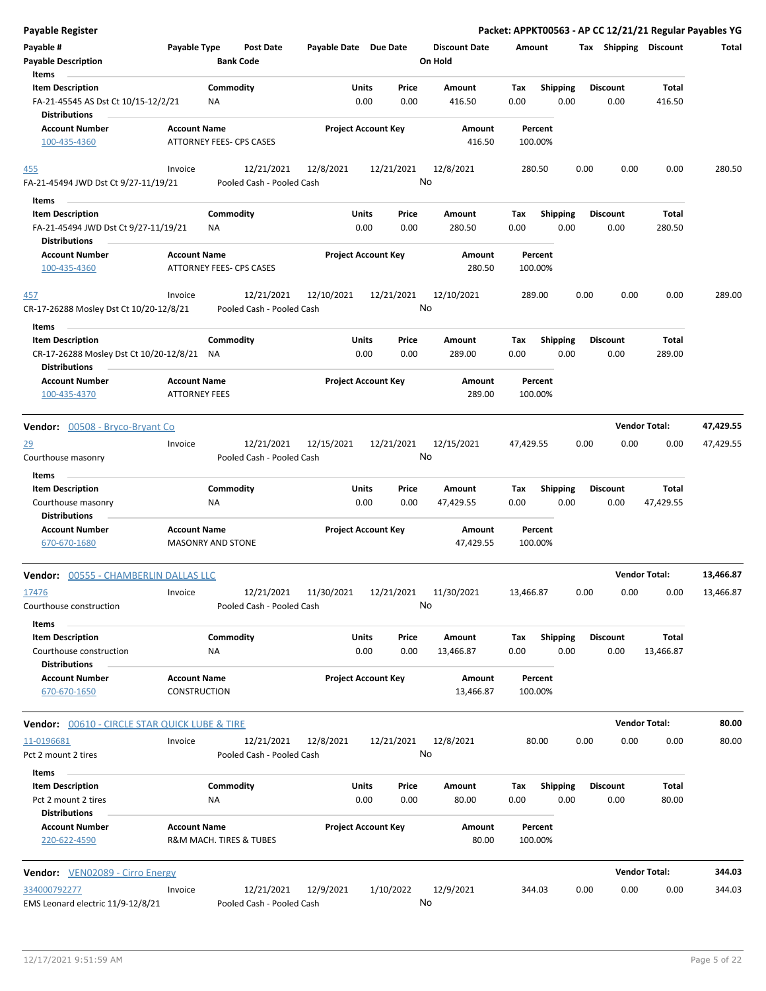| <b>Payable Register</b>                                                                |                                                 |                  |                                         |                       |               |                            |                                 |                    |                         |      |                         |                      | Packet: APPKT00563 - AP CC 12/21/21 Regular Payables YG |
|----------------------------------------------------------------------------------------|-------------------------------------------------|------------------|-----------------------------------------|-----------------------|---------------|----------------------------|---------------------------------|--------------------|-------------------------|------|-------------------------|----------------------|---------------------------------------------------------|
| Payable #<br><b>Payable Description</b>                                                | Payable Type                                    | <b>Bank Code</b> | <b>Post Date</b>                        | Payable Date Due Date |               |                            | <b>Discount Date</b><br>On Hold | Amount             |                         |      | Tax Shipping Discount   |                      | Total                                                   |
| Items                                                                                  |                                                 |                  |                                         |                       |               |                            |                                 |                    |                         |      |                         |                      |                                                         |
| <b>Item Description</b><br>FA-21-45545 AS Dst Ct 10/15-12/2/21<br><b>Distributions</b> |                                                 | Commodity<br>NA  |                                         |                       | Units<br>0.00 | Price<br>0.00              | Amount<br>416.50                | Tax<br>0.00        | <b>Shipping</b><br>0.00 |      | <b>Discount</b><br>0.00 | Total<br>416.50      |                                                         |
| <b>Account Number</b><br>100-435-4360                                                  | <b>Account Name</b><br>ATTORNEY FEES- CPS CASES |                  |                                         |                       |               | <b>Project Account Key</b> | Amount<br>416.50                | Percent<br>100.00% |                         |      |                         |                      |                                                         |
| 455<br>FA-21-45494 JWD Dst Ct 9/27-11/19/21                                            | Invoice                                         |                  | 12/21/2021<br>Pooled Cash - Pooled Cash | 12/8/2021             |               | 12/21/2021                 | 12/8/2021<br>No                 | 280.50             |                         | 0.00 | 0.00                    | 0.00                 | 280.50                                                  |
| Items                                                                                  |                                                 |                  |                                         |                       |               |                            |                                 |                    |                         |      |                         |                      |                                                         |
| <b>Item Description</b>                                                                |                                                 | Commodity        |                                         |                       | Units         | Price                      | Amount                          | Tax                | <b>Shipping</b>         |      | <b>Discount</b>         | <b>Total</b>         |                                                         |
| FA-21-45494 JWD Dst Ct 9/27-11/19/21<br><b>Distributions</b>                           |                                                 | ΝA               |                                         |                       | 0.00          | 0.00                       | 280.50                          | 0.00               | 0.00                    |      | 0.00                    | 280.50               |                                                         |
| <b>Account Number</b><br>100-435-4360                                                  | <b>Account Name</b><br>ATTORNEY FEES- CPS CASES |                  |                                         |                       |               | <b>Project Account Key</b> | Amount<br>280.50                | Percent<br>100.00% |                         |      |                         |                      |                                                         |
| 457<br>CR-17-26288 Mosley Dst Ct 10/20-12/8/21                                         | Invoice                                         |                  | 12/21/2021<br>Pooled Cash - Pooled Cash | 12/10/2021            |               | 12/21/2021                 | 12/10/2021<br>No                | 289.00             |                         | 0.00 | 0.00                    | 0.00                 | 289.00                                                  |
| Items                                                                                  |                                                 |                  |                                         |                       |               |                            |                                 |                    |                         |      |                         |                      |                                                         |
| <b>Item Description</b><br>CR-17-26288 Mosley Dst Ct 10/20-12/8/21                     |                                                 | Commodity<br>NA  |                                         |                       | Units<br>0.00 | Price<br>0.00              | Amount<br>289.00                | Tax<br>0.00        | Shipping<br>0.00        |      | <b>Discount</b><br>0.00 | Total<br>289.00      |                                                         |
| <b>Distributions</b><br><b>Account Number</b><br>100-435-4370                          | <b>Account Name</b><br><b>ATTORNEY FEES</b>     |                  |                                         |                       |               | <b>Project Account Key</b> | Amount<br>289.00                | Percent<br>100.00% |                         |      |                         |                      |                                                         |
|                                                                                        |                                                 |                  |                                         |                       |               |                            |                                 |                    |                         |      |                         |                      |                                                         |
| <b>Vendor:</b> 00508 - Bryco-Bryant Co                                                 |                                                 |                  |                                         |                       |               |                            |                                 |                    |                         |      |                         | <b>Vendor Total:</b> | 47,429.55                                               |
| <u>29</u><br>Courthouse masonry                                                        | Invoice                                         |                  | 12/21/2021<br>Pooled Cash - Pooled Cash | 12/15/2021            |               | 12/21/2021                 | 12/15/2021<br>No                | 47,429.55          |                         | 0.00 | 0.00                    | 0.00                 | 47,429.55                                               |
| Items                                                                                  |                                                 |                  |                                         |                       |               |                            |                                 |                    |                         |      |                         |                      |                                                         |
| <b>Item Description</b><br>Courthouse masonry<br><b>Distributions</b>                  |                                                 | Commodity<br>ΝA  |                                         |                       | Units<br>0.00 | Price<br>0.00              | Amount<br>47,429.55             | Tax<br>0.00        | <b>Shipping</b><br>0.00 |      | <b>Discount</b><br>0.00 | Total<br>47,429.55   |                                                         |
| <b>Account Number</b><br>670-670-1680                                                  | <b>Account Name</b><br><b>MASONRY AND STONE</b> |                  |                                         |                       |               | <b>Project Account Key</b> | Amount<br>47,429.55             | Percent<br>100.00% |                         |      |                         |                      |                                                         |
| <b>Vendor: 00555 - CHAMBERLIN DALLAS LLC</b>                                           |                                                 |                  |                                         |                       |               |                            |                                 |                    |                         |      |                         | <b>Vendor Total:</b> | 13,466.87                                               |
| 17476<br>Courthouse construction                                                       | Invoice                                         |                  | 12/21/2021<br>Pooled Cash - Pooled Cash | 11/30/2021            |               | 12/21/2021                 | 11/30/2021<br>No                | 13,466.87          |                         | 0.00 | 0.00                    | 0.00                 | 13,466.87                                               |
| Items                                                                                  |                                                 |                  |                                         |                       |               |                            |                                 |                    |                         |      |                         |                      |                                                         |
| <b>Item Description</b><br>Courthouse construction                                     |                                                 | Commodity<br>ΝA  |                                         |                       | Units<br>0.00 | Price<br>0.00              | Amount<br>13,466.87             | Tax<br>0.00        | <b>Shipping</b><br>0.00 |      | <b>Discount</b><br>0.00 | Total<br>13,466.87   |                                                         |
| <b>Distributions</b><br><b>Account Number</b><br>670-670-1650                          | <b>Account Name</b><br><b>CONSTRUCTION</b>      |                  |                                         |                       |               | <b>Project Account Key</b> | Amount                          | Percent<br>100.00% |                         |      |                         |                      |                                                         |
|                                                                                        |                                                 |                  |                                         |                       |               |                            | 13,466.87                       |                    |                         |      |                         |                      |                                                         |
| Vendor: 00610 - CIRCLE STAR QUICK LUBE & TIRE                                          |                                                 |                  |                                         |                       |               |                            |                                 |                    |                         |      |                         | <b>Vendor Total:</b> | 80.00                                                   |
| 11-0196681<br>Pct 2 mount 2 tires                                                      | Invoice                                         |                  | 12/21/2021<br>Pooled Cash - Pooled Cash | 12/8/2021             |               | 12/21/2021                 | 12/8/2021<br>No                 | 80.00              |                         | 0.00 | 0.00                    | 0.00                 | 80.00                                                   |
| Items                                                                                  |                                                 |                  |                                         |                       |               |                            |                                 |                    |                         |      |                         |                      |                                                         |
| <b>Item Description</b><br>Pct 2 mount 2 tires                                         |                                                 | Commodity<br>NA  |                                         |                       | Units<br>0.00 | Price<br>0.00              | Amount<br>80.00                 | Tax<br>0.00        | <b>Shipping</b><br>0.00 |      | <b>Discount</b><br>0.00 | Total<br>80.00       |                                                         |
| <b>Distributions</b><br><b>Account Number</b><br>220-622-4590                          | <b>Account Name</b>                             |                  | R&M MACH. TIRES & TUBES                 |                       |               | <b>Project Account Key</b> | Amount<br>80.00                 | Percent<br>100.00% |                         |      |                         |                      |                                                         |
| Vendor: VEN02089 - Cirro Energy                                                        |                                                 |                  |                                         |                       |               |                            |                                 |                    |                         |      |                         | <b>Vendor Total:</b> | 344.03                                                  |
| 334000792277                                                                           | Invoice                                         |                  | 12/21/2021                              | 12/9/2021             |               | 1/10/2022                  | 12/9/2021                       | 344.03             |                         | 0.00 | 0.00                    | 0.00                 | 344.03                                                  |
| EMS Leonard electric 11/9-12/8/21                                                      |                                                 |                  | Pooled Cash - Pooled Cash               |                       |               |                            | No                              |                    |                         |      |                         |                      |                                                         |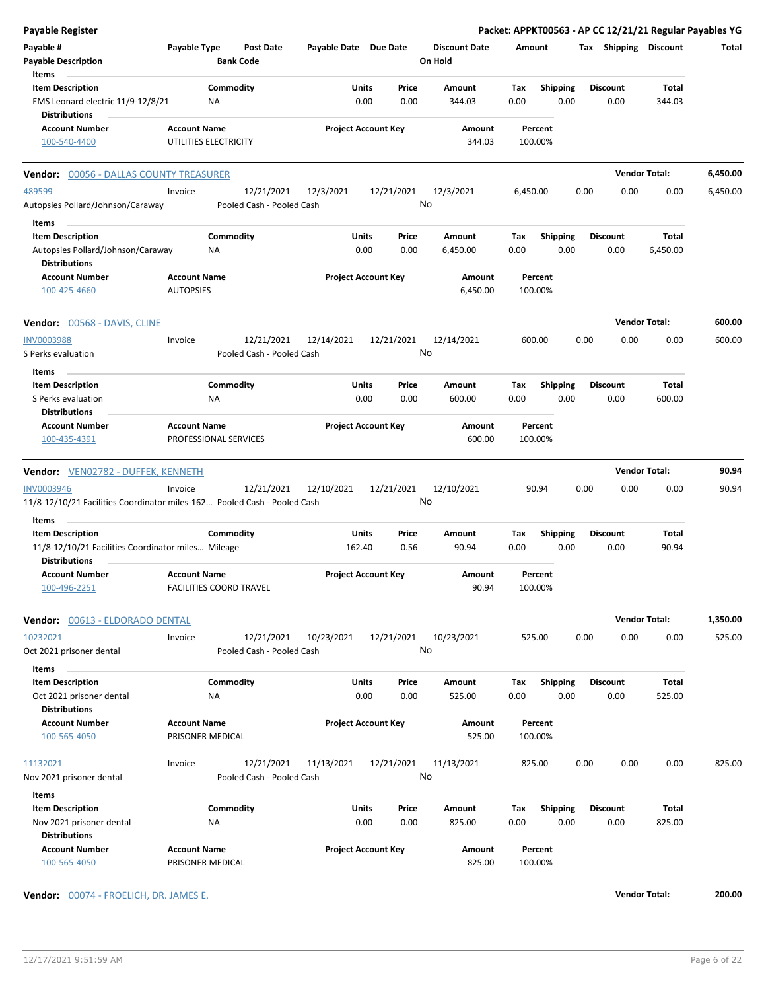| Payable #                                                                                     |                                                       |                                         |                       |                                            |                                 |          |                 |      |                       |                      | Packet: APPKT00563 - AP CC 12/21/21 Regular Payables YG |
|-----------------------------------------------------------------------------------------------|-------------------------------------------------------|-----------------------------------------|-----------------------|--------------------------------------------|---------------------------------|----------|-----------------|------|-----------------------|----------------------|---------------------------------------------------------|
| <b>Payable Description</b>                                                                    | Payable Type                                          | <b>Post Date</b><br><b>Bank Code</b>    | Payable Date Due Date |                                            | <b>Discount Date</b><br>On Hold | Amount   |                 |      | Tax Shipping Discount |                      | Total                                                   |
| Items                                                                                         |                                                       |                                         |                       |                                            |                                 |          |                 |      |                       |                      |                                                         |
| <b>Item Description</b>                                                                       |                                                       | Commodity                               |                       | Units<br>Price                             | Amount                          | Tax      | <b>Shipping</b> |      | <b>Discount</b>       | Total                |                                                         |
| EMS Leonard electric 11/9-12/8/21                                                             | <b>NA</b>                                             |                                         |                       | 0.00<br>0.00                               | 344.03                          | 0.00     | 0.00            |      | 0.00                  | 344.03               |                                                         |
| <b>Distributions</b>                                                                          |                                                       |                                         |                       |                                            |                                 |          |                 |      |                       |                      |                                                         |
| <b>Account Number</b>                                                                         | <b>Account Name</b>                                   |                                         |                       | <b>Project Account Key</b>                 | Amount                          |          | Percent         |      |                       |                      |                                                         |
| 100-540-4400                                                                                  | UTILITIES ELECTRICITY                                 |                                         |                       |                                            | 344.03                          | 100.00%  |                 |      |                       |                      |                                                         |
| <b>Vendor: 00056 - DALLAS COUNTY TREASURER</b>                                                |                                                       |                                         |                       |                                            |                                 |          |                 |      |                       | <b>Vendor Total:</b> | 6,450.00                                                |
| 489599                                                                                        | Invoice                                               | 12/21/2021                              | 12/3/2021             | 12/21/2021                                 | 12/3/2021                       | 6,450.00 |                 | 0.00 | 0.00                  | 0.00                 | 6,450.00                                                |
| Autopsies Pollard/Johnson/Caraway                                                             |                                                       | Pooled Cash - Pooled Cash               |                       |                                            | No                              |          |                 |      |                       |                      |                                                         |
| Items<br><b>Item Description</b>                                                              |                                                       | Commodity                               |                       | Units<br>Price                             | Amount                          | Тах      | <b>Shipping</b> |      | <b>Discount</b>       | Total                |                                                         |
| Autopsies Pollard/Johnson/Caraway                                                             | NA                                                    |                                         |                       | 0.00<br>0.00                               | 6,450.00                        | 0.00     | 0.00            |      | 0.00                  | 6,450.00             |                                                         |
| <b>Distributions</b>                                                                          |                                                       |                                         |                       |                                            |                                 |          |                 |      |                       |                      |                                                         |
| <b>Account Number</b><br>100-425-4660                                                         | <b>Account Name</b><br><b>AUTOPSIES</b>               |                                         |                       | <b>Project Account Key</b>                 | Amount<br>6,450.00              | 100.00%  | Percent         |      |                       |                      |                                                         |
| <b>Vendor:</b> 00568 - DAVIS, CLINE                                                           |                                                       |                                         |                       |                                            |                                 |          |                 |      |                       | <b>Vendor Total:</b> | 600.00                                                  |
| <b>INV0003988</b>                                                                             | Invoice                                               | 12/21/2021                              | 12/14/2021            | 12/21/2021                                 | 12/14/2021                      | 600.00   |                 | 0.00 | 0.00                  | 0.00                 | 600.00                                                  |
| S Perks evaluation                                                                            |                                                       | Pooled Cash - Pooled Cash               |                       |                                            | No                              |          |                 |      |                       |                      |                                                         |
| Items                                                                                         |                                                       |                                         |                       |                                            |                                 |          |                 |      |                       |                      |                                                         |
| <b>Item Description</b>                                                                       |                                                       | Commodity                               |                       | Units<br>Price                             | Amount                          | Tax      | Shipping        |      | <b>Discount</b>       | Total                |                                                         |
| S Perks evaluation<br><b>Distributions</b>                                                    | ΝA                                                    |                                         |                       | 0.00<br>0.00                               | 600.00                          | 0.00     | 0.00            |      | 0.00                  | 600.00               |                                                         |
| <b>Account Number</b>                                                                         | <b>Account Name</b>                                   |                                         |                       | <b>Project Account Key</b>                 | Amount                          |          | Percent         |      |                       |                      |                                                         |
|                                                                                               |                                                       |                                         |                       |                                            |                                 |          |                 |      |                       |                      |                                                         |
| 100-435-4391                                                                                  | PROFESSIONAL SERVICES                                 |                                         |                       |                                            | 600.00                          |          | 100.00%         |      |                       |                      |                                                         |
| Vendor: VEN02782 - DUFFEK, KENNETH                                                            |                                                       |                                         |                       |                                            |                                 |          |                 |      |                       | <b>Vendor Total:</b> |                                                         |
|                                                                                               | Invoice                                               |                                         |                       |                                            |                                 |          |                 |      |                       |                      | 90.94                                                   |
| <b>INV0003946</b><br>11/8-12/10/21 Facilities Coordinator miles-162 Pooled Cash - Pooled Cash |                                                       | 12/21/2021                              | 12/10/2021            | 12/21/2021                                 | 12/10/2021<br>No                |          | 90.94           | 0.00 | 0.00                  | 0.00                 | 90.94                                                   |
| Items                                                                                         |                                                       |                                         |                       |                                            |                                 |          |                 |      |                       |                      |                                                         |
| <b>Item Description</b>                                                                       |                                                       | Commodity                               |                       | Units<br>Price                             | Amount                          | Тах      | <b>Shipping</b> |      | <b>Discount</b>       | Total                |                                                         |
| 11/8-12/10/21 Facilities Coordinator miles Mileage                                            |                                                       |                                         | 162.40                | 0.56                                       | 90.94                           | 0.00     | 0.00            |      | 0.00                  | 90.94                |                                                         |
| <b>Distributions</b>                                                                          |                                                       |                                         |                       |                                            |                                 |          |                 |      |                       |                      |                                                         |
| <b>Account Number</b><br>100-496-2251                                                         | <b>Account Name</b><br><b>FACILITIES COORD TRAVEL</b> |                                         |                       | <b>Project Account Key</b>                 | Amount<br>90.94                 | 100.00%  | Percent         |      |                       |                      |                                                         |
| Vendor: 00613 - ELDORADO DENTAL                                                               |                                                       |                                         |                       |                                            |                                 |          |                 |      |                       | <b>Vendor Total:</b> | 1,350.00                                                |
|                                                                                               |                                                       |                                         |                       |                                            |                                 |          |                 |      |                       |                      |                                                         |
| 10232021<br>Oct 2021 prisoner dental                                                          | Invoice                                               | 12/21/2021<br>Pooled Cash - Pooled Cash | 10/23/2021            | 12/21/2021                                 | 10/23/2021<br>No                | 525.00   |                 | 0.00 | 0.00                  | 0.00                 | 525.00                                                  |
| Items                                                                                         |                                                       |                                         |                       |                                            |                                 |          |                 |      |                       |                      |                                                         |
| <b>Item Description</b>                                                                       |                                                       | Commodity                               |                       | Units<br>Price                             | Amount                          | Tax      | <b>Shipping</b> |      | <b>Discount</b>       | Total                |                                                         |
| Oct 2021 prisoner dental                                                                      | ΝA                                                    |                                         |                       | 0.00<br>0.00                               | 525.00                          | 0.00     | 0.00            |      | 0.00                  | 525.00               |                                                         |
| <b>Distributions</b>                                                                          |                                                       |                                         |                       |                                            |                                 |          |                 |      |                       |                      |                                                         |
| <b>Account Number</b>                                                                         | <b>Account Name</b>                                   |                                         |                       | <b>Project Account Key</b>                 | Amount                          |          | Percent         |      |                       |                      |                                                         |
| 100-565-4050                                                                                  | PRISONER MEDICAL                                      |                                         |                       |                                            | 525.00                          | 100.00%  |                 |      |                       |                      |                                                         |
| 11132021                                                                                      | Invoice                                               | 12/21/2021                              | 11/13/2021            | 12/21/2021                                 | 11/13/2021                      | 825.00   |                 | 0.00 | 0.00                  | 0.00                 | 825.00                                                  |
| Nov 2021 prisoner dental                                                                      |                                                       | Pooled Cash - Pooled Cash               |                       |                                            | No                              |          |                 |      |                       |                      |                                                         |
|                                                                                               |                                                       |                                         |                       |                                            |                                 |          |                 |      |                       |                      |                                                         |
| Items                                                                                         |                                                       |                                         |                       |                                            |                                 |          |                 |      |                       |                      |                                                         |
| <b>Item Description</b>                                                                       |                                                       | Commodity                               |                       | Units<br>Price                             | Amount                          | Tax      | <b>Shipping</b> |      | <b>Discount</b>       | Total                |                                                         |
| Nov 2021 prisoner dental<br><b>Distributions</b><br><b>Account Number</b>                     | NA<br><b>Account Name</b>                             |                                         |                       | 0.00<br>0.00<br><b>Project Account Key</b> | 825.00<br>Amount                | 0.00     | 0.00<br>Percent |      | 0.00                  | 825.00               |                                                         |
|                                                                                               |                                                       |                                         |                       |                                            |                                 |          |                 |      |                       |                      |                                                         |

**Vendor:** 00074 - FROELICH, DR. JAMES E. **Vendor Total: 200.00**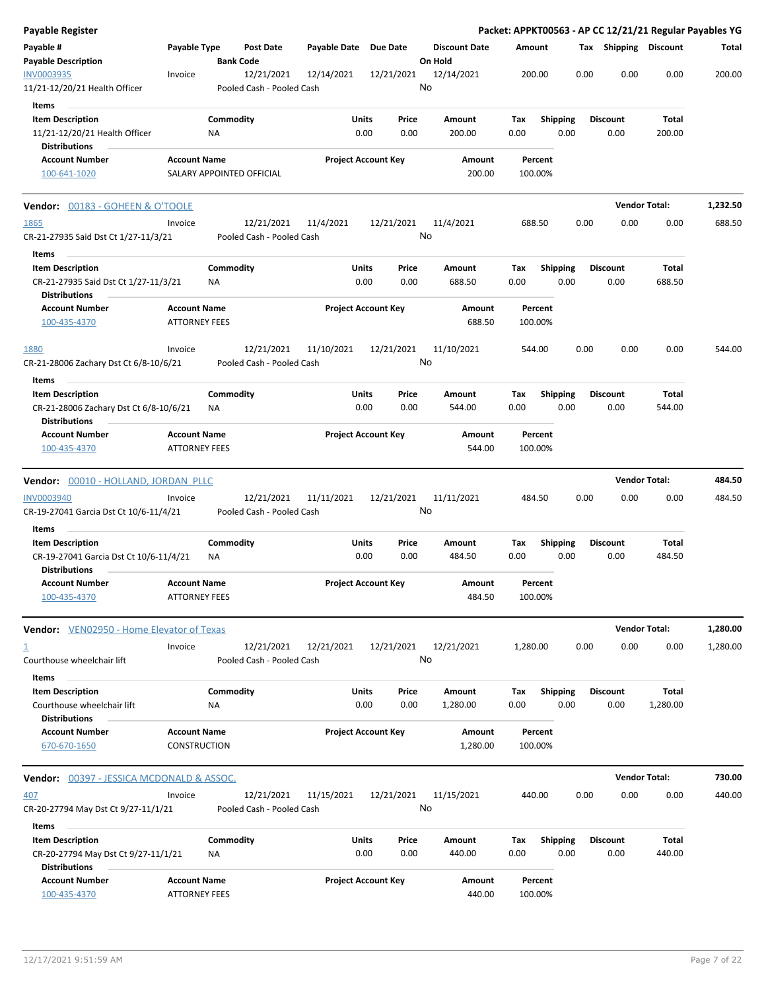| Payable Register                                                                          |                                             |                           |                                         |                       |                                |         |                      |             |                         |      |                         |                   | Packet: APPKT00563 - AP CC 12/21/21 Regular Payables YG |
|-------------------------------------------------------------------------------------------|---------------------------------------------|---------------------------|-----------------------------------------|-----------------------|--------------------------------|---------|----------------------|-------------|-------------------------|------|-------------------------|-------------------|---------------------------------------------------------|
| Payable #<br><b>Payable Description</b>                                                   | Payable Type                                | <b>Bank Code</b>          | <b>Post Date</b>                        | Payable Date Due Date |                                | On Hold | <b>Discount Date</b> | Amount      |                         |      | Tax Shipping Discount   |                   | Total                                                   |
| INV0003935<br>11/21-12/20/21 Health Officer                                               | Invoice                                     |                           | 12/21/2021<br>Pooled Cash - Pooled Cash | 12/14/2021            | 12/21/2021                     | No      | 12/14/2021           | 200.00      |                         | 0.00 | 0.00                    | 0.00              | 200.00                                                  |
| Items                                                                                     |                                             |                           |                                         |                       |                                |         |                      |             |                         |      |                         |                   |                                                         |
| <b>Item Description</b><br>11/21-12/20/21 Health Officer                                  |                                             | Commodity<br>ΝA           |                                         |                       | Units<br>Price<br>0.00<br>0.00 |         | Amount<br>200.00     | Tax<br>0.00 | <b>Shipping</b><br>0.00 |      | <b>Discount</b><br>0.00 | Total<br>200.00   |                                                         |
| <b>Distributions</b>                                                                      |                                             |                           |                                         |                       |                                |         |                      |             |                         |      |                         |                   |                                                         |
| <b>Account Number</b><br>100-641-1020                                                     | <b>Account Name</b>                         | SALARY APPOINTED OFFICIAL |                                         |                       | <b>Project Account Key</b>     |         | Amount<br>200.00     | 100.00%     | Percent                 |      |                         |                   |                                                         |
| Vendor: 00183 - GOHEEN & O'TOOLE                                                          |                                             |                           |                                         |                       |                                |         |                      |             |                         |      | <b>Vendor Total:</b>    |                   | 1,232.50                                                |
| 1865<br>CR-21-27935 Said Dst Ct 1/27-11/3/21                                              | Invoice                                     |                           | 12/21/2021<br>Pooled Cash - Pooled Cash | 11/4/2021             | 12/21/2021                     | No      | 11/4/2021            | 688.50      |                         | 0.00 | 0.00                    | 0.00              | 688.50                                                  |
| Items                                                                                     |                                             |                           |                                         |                       |                                |         |                      |             |                         |      |                         |                   |                                                         |
| <b>Item Description</b><br>CR-21-27935 Said Dst Ct 1/27-11/3/21<br><b>Distributions</b>   |                                             | Commodity<br>ΝA           |                                         |                       | Units<br>Price<br>0.00<br>0.00 |         | Amount<br>688.50     | Тах<br>0.00 | <b>Shipping</b><br>0.00 |      | <b>Discount</b><br>0.00 | Total<br>688.50   |                                                         |
| <b>Account Number</b><br>100-435-4370                                                     | <b>Account Name</b><br><b>ATTORNEY FEES</b> |                           |                                         |                       | <b>Project Account Key</b>     |         | Amount<br>688.50     |             | Percent<br>100.00%      |      |                         |                   |                                                         |
| 1880<br>CR-21-28006 Zachary Dst Ct 6/8-10/6/21                                            | Invoice                                     |                           | 12/21/2021<br>Pooled Cash - Pooled Cash | 11/10/2021            | 12/21/2021                     | No      | 11/10/2021           | 544.00      |                         | 0.00 | 0.00                    | 0.00              | 544.00                                                  |
| Items                                                                                     |                                             |                           |                                         |                       |                                |         |                      |             |                         |      |                         |                   |                                                         |
| <b>Item Description</b><br>CR-21-28006 Zachary Dst Ct 6/8-10/6/21<br><b>Distributions</b> |                                             | Commodity<br>ΝA           |                                         |                       | Units<br>Price<br>0.00<br>0.00 |         | Amount<br>544.00     | Tax<br>0.00 | <b>Shipping</b><br>0.00 |      | <b>Discount</b><br>0.00 | Total<br>544.00   |                                                         |
| <b>Account Number</b><br>100-435-4370                                                     | <b>Account Name</b><br><b>ATTORNEY FEES</b> |                           |                                         |                       | <b>Project Account Key</b>     |         | Amount<br>544.00     | 100.00%     | Percent                 |      |                         |                   |                                                         |
| Vendor: 00010 - HOLLAND, JORDAN PLLC                                                      |                                             |                           |                                         |                       |                                |         |                      |             |                         |      | <b>Vendor Total:</b>    |                   | 484.50                                                  |
| <b>INV0003940</b><br>CR-19-27041 Garcia Dst Ct 10/6-11/4/21                               | Invoice                                     |                           | 12/21/2021<br>Pooled Cash - Pooled Cash | 11/11/2021            | 12/21/2021                     | No      | 11/11/2021           | 484.50      |                         | 0.00 | 0.00                    | 0.00              | 484.50                                                  |
| Items                                                                                     |                                             |                           |                                         |                       |                                |         |                      |             |                         |      |                         |                   |                                                         |
| <b>Item Description</b><br>CR-19-27041 Garcia Dst Ct 10/6-11/4/21<br><b>Distributions</b> |                                             | Commodity<br>ΝA           |                                         |                       | Units<br>Price<br>0.00<br>0.00 |         | Amount<br>484.50     | Тах<br>0.00 | <b>Shipping</b><br>0.00 |      | <b>Discount</b><br>0.00 | Total<br>484.50   |                                                         |
| <b>Account Number</b><br>100-435-4370                                                     | <b>Account Name</b><br><b>ATTORNEY FEES</b> |                           |                                         |                       | <b>Project Account Key</b>     |         | Amount<br>484.50     | 100.00%     | Percent                 |      |                         |                   |                                                         |
| <b>Vendor:</b> VEN02950 - Home Elevator of Texas                                          |                                             |                           |                                         |                       |                                |         |                      |             |                         |      | <b>Vendor Total:</b>    |                   | 1,280.00                                                |
| 丄<br>Courthouse wheelchair lift                                                           | Invoice                                     |                           | 12/21/2021<br>Pooled Cash - Pooled Cash | 12/21/2021            | 12/21/2021                     | No      | 12/21/2021           | 1,280.00    |                         | 0.00 | 0.00                    | 0.00              | 1,280.00                                                |
| Items                                                                                     |                                             |                           |                                         |                       |                                |         |                      |             |                         |      |                         |                   |                                                         |
| <b>Item Description</b><br>Courthouse wheelchair lift<br><b>Distributions</b>             |                                             | Commodity<br>ΝA           |                                         |                       | Units<br>Price<br>0.00<br>0.00 |         | Amount<br>1,280.00   | Tax<br>0.00 | <b>Shipping</b><br>0.00 |      | <b>Discount</b><br>0.00 | Total<br>1,280.00 |                                                         |
| <b>Account Number</b><br>670-670-1650                                                     | <b>Account Name</b><br>CONSTRUCTION         |                           |                                         |                       | <b>Project Account Key</b>     |         | Amount<br>1,280.00   | 100.00%     | Percent                 |      |                         |                   |                                                         |
| <b>Vendor:</b> 00397 - JESSICA MCDONALD & ASSOC.                                          |                                             |                           |                                         |                       |                                |         |                      |             |                         |      | <b>Vendor Total:</b>    |                   | 730.00                                                  |
| 407<br>CR-20-27794 May Dst Ct 9/27-11/1/21                                                | Invoice                                     |                           | 12/21/2021<br>Pooled Cash - Pooled Cash | 11/15/2021            | 12/21/2021                     | No      | 11/15/2021           | 440.00      |                         | 0.00 | 0.00                    | 0.00              | 440.00                                                  |
| Items                                                                                     |                                             |                           |                                         |                       |                                |         |                      |             |                         |      |                         |                   |                                                         |
| <b>Item Description</b>                                                                   |                                             | Commodity                 |                                         |                       | Units<br>Price                 |         | Amount               | Tax         | <b>Shipping</b>         |      | <b>Discount</b>         | Total             |                                                         |
| CR-20-27794 May Dst Ct 9/27-11/1/21                                                       |                                             | ΝA                        |                                         |                       | 0.00<br>0.00                   |         | 440.00               | 0.00        | 0.00                    |      | 0.00                    | 440.00            |                                                         |
| <b>Distributions</b><br><b>Account Number</b>                                             | <b>Account Name</b>                         |                           |                                         |                       | <b>Project Account Key</b>     |         | Amount               |             | Percent                 |      |                         |                   |                                                         |
| 100-435-4370                                                                              | <b>ATTORNEY FEES</b>                        |                           |                                         |                       |                                |         | 440.00               |             | 100.00%                 |      |                         |                   |                                                         |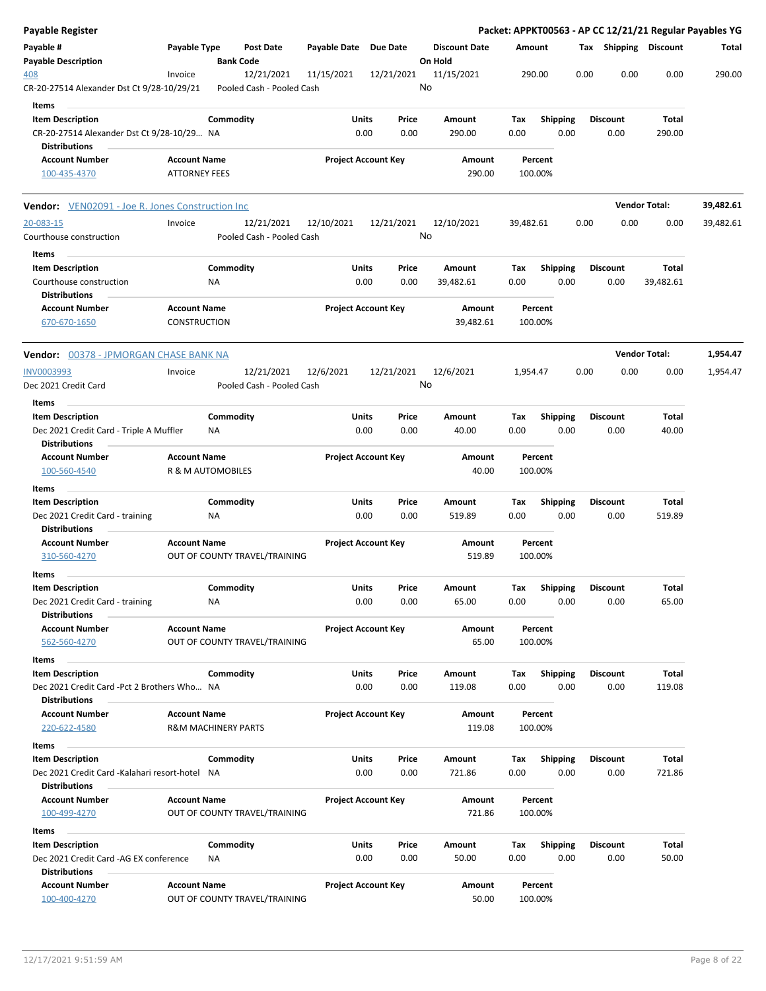| <b>Payable Register</b>                                                                                |                                             |                                         |                       |                                |                                 |             |                         |      |                         |                      | Packet: APPKT00563 - AP CC 12/21/21 Regular Payables YG |
|--------------------------------------------------------------------------------------------------------|---------------------------------------------|-----------------------------------------|-----------------------|--------------------------------|---------------------------------|-------------|-------------------------|------|-------------------------|----------------------|---------------------------------------------------------|
| Payable #<br><b>Payable Description</b>                                                                | Payable Type                                | Post Date<br><b>Bank Code</b>           | Payable Date Due Date |                                | <b>Discount Date</b><br>On Hold | Amount      |                         |      | Tax Shipping Discount   |                      | Total                                                   |
| 408<br>CR-20-27514 Alexander Dst Ct 9/28-10/29/21                                                      | Invoice                                     | 12/21/2021<br>Pooled Cash - Pooled Cash | 11/15/2021            | 12/21/2021                     | 11/15/2021<br>No                |             | 290.00                  | 0.00 | 0.00                    | 0.00                 | 290.00                                                  |
| Items<br><b>Item Description</b><br>CR-20-27514 Alexander Dst Ct 9/28-10/29 NA<br><b>Distributions</b> |                                             | Commodity                               |                       | Units<br>Price<br>0.00<br>0.00 | Amount<br>290.00                | Tax<br>0.00 | <b>Shipping</b><br>0.00 |      | <b>Discount</b><br>0.00 | Total<br>290.00      |                                                         |
| <b>Account Number</b><br>100-435-4370                                                                  | <b>Account Name</b><br><b>ATTORNEY FEES</b> |                                         |                       | <b>Project Account Key</b>     | Amount<br>290.00                |             | Percent<br>100.00%      |      |                         |                      |                                                         |
| <b>Vendor:</b> VEN02091 - Joe R. Jones Construction Inc                                                |                                             |                                         |                       |                                |                                 |             |                         |      |                         | <b>Vendor Total:</b> | 39,482.61                                               |
| 20-083-15<br>Courthouse construction                                                                   | Invoice                                     | 12/21/2021<br>Pooled Cash - Pooled Cash | 12/10/2021            | 12/21/2021                     | 12/10/2021<br>No                | 39,482.61   |                         | 0.00 | 0.00                    | 0.00                 | 39,482.61                                               |
| Items<br><b>Item Description</b><br>Courthouse construction<br><b>Distributions</b>                    |                                             | Commodity<br>ΝA                         | Units                 | Price<br>0.00<br>0.00          | Amount<br>39,482.61             | Tax<br>0.00 | <b>Shipping</b><br>0.00 |      | <b>Discount</b><br>0.00 | Total<br>39,482.61   |                                                         |
| <b>Account Number</b><br>670-670-1650                                                                  | <b>Account Name</b><br><b>CONSTRUCTION</b>  |                                         |                       | <b>Project Account Key</b>     | Amount<br>39,482.61             |             | Percent<br>100.00%      |      |                         |                      |                                                         |
| <b>Vendor:</b> 00378 - JPMORGAN CHASE BANK NA                                                          |                                             |                                         |                       |                                |                                 |             |                         |      |                         | <b>Vendor Total:</b> | 1,954.47                                                |
| INV0003993<br>Dec 2021 Credit Card                                                                     | Invoice                                     | 12/21/2021<br>Pooled Cash - Pooled Cash | 12/6/2021             | 12/21/2021                     | 12/6/2021<br>No                 | 1,954.47    |                         | 0.00 | 0.00                    | 0.00                 | 1,954.47                                                |
| Items<br><b>Item Description</b><br>Dec 2021 Credit Card - Triple A Muffler                            |                                             | Commodity<br>ΝA                         |                       | Units<br>Price<br>0.00<br>0.00 | Amount<br>40.00                 | Tax<br>0.00 | <b>Shipping</b><br>0.00 |      | <b>Discount</b><br>0.00 | Total<br>40.00       |                                                         |
| <b>Distributions</b><br><b>Account Number</b><br>100-560-4540                                          | <b>Account Name</b>                         | R & M AUTOMOBILES                       |                       | <b>Project Account Key</b>     | Amount<br>40.00                 |             | Percent<br>100.00%      |      |                         |                      |                                                         |
| Items                                                                                                  |                                             |                                         |                       |                                |                                 |             |                         |      |                         |                      |                                                         |
| <b>Item Description</b><br>Dec 2021 Credit Card - training<br><b>Distributions</b>                     |                                             | Commodity<br>ΝA                         |                       | Units<br>Price<br>0.00<br>0.00 | Amount<br>519.89                | Тах<br>0.00 | <b>Shipping</b><br>0.00 |      | <b>Discount</b><br>0.00 | Total<br>519.89      |                                                         |
| <b>Account Number</b><br>310-560-4270<br>Items                                                         | <b>Account Name</b>                         | OUT OF COUNTY TRAVEL/TRAINING           |                       | <b>Project Account Key</b>     | Amount<br>519.89                |             | Percent<br>100.00%      |      |                         |                      |                                                         |
| <b>Item Description</b><br>Dec 2021 Credit Card - training                                             |                                             | Commodity<br>ΝA                         |                       | Units<br>Price<br>0.00<br>0.00 | Amount<br>65.00                 | Tax<br>0.00 | <b>Shipping</b><br>0.00 |      | <b>Discount</b><br>0.00 | Total<br>65.00       |                                                         |
| <b>Distributions</b><br><b>Account Number</b><br>562-560-4270                                          | <b>Account Name</b>                         | OUT OF COUNTY TRAVEL/TRAINING           |                       | <b>Project Account Key</b>     | Amount<br>65.00                 |             | Percent<br>100.00%      |      |                         |                      |                                                         |
| Items<br><b>Item Description</b><br>Dec 2021 Credit Card - Pct 2 Brothers Who NA                       |                                             | Commodity                               |                       | Units<br>Price<br>0.00<br>0.00 | Amount<br>119.08                | Tax<br>0.00 | <b>Shipping</b><br>0.00 |      | <b>Discount</b><br>0.00 | Total<br>119.08      |                                                         |
| <b>Distributions</b><br><b>Account Number</b><br>220-622-4580                                          | <b>Account Name</b>                         | <b>R&amp;M MACHINERY PARTS</b>          |                       | <b>Project Account Key</b>     | Amount<br>119.08                |             | Percent<br>100.00%      |      |                         |                      |                                                         |
| Items<br><b>Item Description</b>                                                                       |                                             | Commodity                               |                       | Units<br>Price                 | Amount                          | Tax         | <b>Shipping</b>         |      | <b>Discount</b>         | Total                |                                                         |
| Dec 2021 Credit Card -Kalahari resort-hotel NA                                                         |                                             |                                         |                       | 0.00<br>0.00                   | 721.86                          | 0.00        | 0.00                    |      | 0.00                    | 721.86               |                                                         |
| <b>Distributions</b><br><b>Account Number</b><br>100-499-4270                                          | <b>Account Name</b>                         | OUT OF COUNTY TRAVEL/TRAINING           |                       | <b>Project Account Key</b>     | Amount<br>721.86                |             | Percent<br>100.00%      |      |                         |                      |                                                         |
| Items                                                                                                  |                                             |                                         |                       |                                |                                 |             |                         |      |                         |                      |                                                         |
| <b>Item Description</b><br>Dec 2021 Credit Card -AG EX conference<br><b>Distributions</b>              |                                             | Commodity<br>NA                         |                       | Units<br>Price<br>0.00<br>0.00 | Amount<br>50.00                 | Tax<br>0.00 | <b>Shipping</b><br>0.00 |      | <b>Discount</b><br>0.00 | Total<br>50.00       |                                                         |
| <b>Account Number</b><br>100-400-4270                                                                  | <b>Account Name</b>                         | OUT OF COUNTY TRAVEL/TRAINING           |                       | <b>Project Account Key</b>     | Amount<br>50.00                 |             | Percent<br>100.00%      |      |                         |                      |                                                         |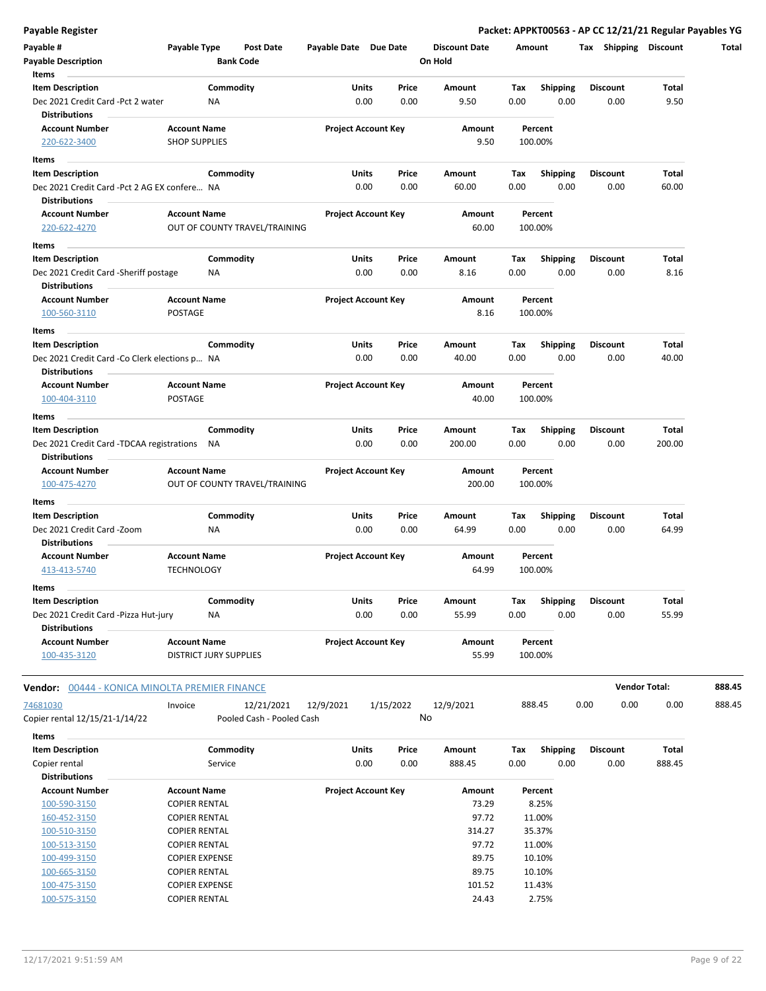| <b>Payable Register</b> |  |  |
|-------------------------|--|--|
|                         |  |  |

| Payable #<br><b>Payable Description</b>                              | Payable Type                                | Post Date<br><b>Bank Code</b> | Payable Date Due Date      |           |               | <b>Discount Date</b><br>On Hold |             | Amount                  |      |                      | Tax Shipping Discount | Total  |
|----------------------------------------------------------------------|---------------------------------------------|-------------------------------|----------------------------|-----------|---------------|---------------------------------|-------------|-------------------------|------|----------------------|-----------------------|--------|
| Items                                                                |                                             |                               |                            |           |               |                                 |             |                         |      |                      |                       |        |
| <b>Item Description</b>                                              |                                             | Commodity                     | <b>Units</b>               |           | Price         | Amount                          | Tax         | <b>Shipping</b>         |      | <b>Discount</b>      | <b>Total</b>          |        |
| Dec 2021 Credit Card -Pct 2 water<br><b>Distributions</b>            | ΝA                                          |                               |                            | 0.00      | 0.00          | 9.50                            | 0.00        | 0.00                    |      | 0.00                 | 9.50                  |        |
| <b>Account Number</b><br>220-622-3400                                | <b>Account Name</b><br><b>SHOP SUPPLIES</b> |                               | <b>Project Account Key</b> |           |               | Amount<br>9.50                  |             | Percent<br>100.00%      |      |                      |                       |        |
| Items                                                                |                                             |                               |                            |           |               |                                 |             |                         |      |                      |                       |        |
| <b>Item Description</b>                                              |                                             | Commodity                     | Units                      |           | Price         | Amount                          | Tax         | <b>Shipping</b>         |      | <b>Discount</b>      | Total                 |        |
| Dec 2021 Credit Card -Pct 2 AG EX confere NA<br><b>Distributions</b> |                                             |                               |                            | 0.00      | 0.00          | 60.00                           | 0.00        | 0.00                    |      | 0.00                 | 60.00                 |        |
| <b>Account Number</b>                                                | <b>Account Name</b>                         |                               | <b>Project Account Key</b> |           |               | Amount                          |             | Percent                 |      |                      |                       |        |
| 220-622-4270                                                         |                                             | OUT OF COUNTY TRAVEL/TRAINING |                            |           |               | 60.00                           |             | 100.00%                 |      |                      |                       |        |
| Items<br>$\sim$                                                      |                                             |                               |                            |           |               |                                 |             |                         |      |                      |                       |        |
| <b>Item Description</b>                                              |                                             | Commodity                     | Units                      |           | Price         | Amount                          | Tax         | <b>Shipping</b>         |      | <b>Discount</b>      | Total                 |        |
| Dec 2021 Credit Card - Sheriff postage                               | <b>NA</b>                                   |                               |                            | 0.00      | 0.00          | 8.16                            | 0.00        | 0.00                    |      | 0.00                 | 8.16                  |        |
| <b>Distributions</b>                                                 |                                             |                               |                            |           |               |                                 |             |                         |      |                      |                       |        |
| <b>Account Number</b>                                                | <b>Account Name</b>                         |                               | <b>Project Account Key</b> |           |               | Amount                          |             | Percent                 |      |                      |                       |        |
| 100-560-3110                                                         | <b>POSTAGE</b>                              |                               |                            |           |               | 8.16                            |             | 100.00%                 |      |                      |                       |        |
| Items                                                                |                                             |                               |                            |           |               |                                 |             |                         |      |                      |                       |        |
| <b>Item Description</b>                                              |                                             | Commodity                     | Units                      |           | Price         | Amount                          | Tax         | Shipping                |      | <b>Discount</b>      | Total                 |        |
| Dec 2021 Credit Card - Co Clerk elections p NA                       |                                             |                               |                            | 0.00      | 0.00          | 40.00                           | 0.00        | 0.00                    |      | 0.00                 | 40.00                 |        |
| <b>Distributions</b>                                                 |                                             |                               |                            |           |               |                                 |             |                         |      |                      |                       |        |
| <b>Account Number</b>                                                | <b>Account Name</b>                         |                               | <b>Project Account Key</b> |           |               | Amount                          |             | Percent                 |      |                      |                       |        |
| 100-404-3110                                                         | POSTAGE                                     |                               |                            |           |               | 40.00                           |             | 100.00%                 |      |                      |                       |        |
| Items                                                                |                                             |                               |                            |           |               |                                 |             |                         |      |                      |                       |        |
| <b>Item Description</b>                                              |                                             | Commodity                     | Units                      |           | Price         | Amount                          | Tax         | <b>Shipping</b>         |      | <b>Discount</b>      | Total                 |        |
| Dec 2021 Credit Card -TDCAA registrations                            | NA                                          |                               |                            | 0.00      | 0.00          | 200.00                          | 0.00        | 0.00                    |      | 0.00                 | 200.00                |        |
| <b>Distributions</b>                                                 |                                             |                               |                            |           |               |                                 |             |                         |      |                      |                       |        |
| <b>Account Number</b>                                                | <b>Account Name</b>                         |                               | <b>Project Account Key</b> |           |               | Amount<br>200.00                |             | Percent                 |      |                      |                       |        |
| 100-475-4270                                                         |                                             | OUT OF COUNTY TRAVEL/TRAINING |                            |           |               |                                 |             | 100.00%                 |      |                      |                       |        |
| Items                                                                |                                             |                               |                            |           |               |                                 |             |                         |      |                      |                       |        |
| <b>Item Description</b>                                              |                                             | Commodity                     | Units                      |           | Price         | Amount                          | Tax         | Shipping                |      | <b>Discount</b>      | <b>Total</b>          |        |
| Dec 2021 Credit Card -Zoom<br><b>Distributions</b>                   |                                             | NA                            |                            | 0.00      | 0.00          | 64.99                           | 0.00        | 0.00                    |      | 0.00                 | 64.99                 |        |
| <b>Account Number</b>                                                | <b>Account Name</b>                         |                               | <b>Project Account Key</b> |           |               | Amount                          |             | Percent                 |      |                      |                       |        |
| 413-413-5740                                                         | <b>TECHNOLOGY</b>                           |                               |                            |           |               | 64.99                           |             | 100.00%                 |      |                      |                       |        |
|                                                                      |                                             |                               |                            |           |               |                                 |             |                         |      |                      |                       |        |
| Items                                                                |                                             |                               |                            |           |               |                                 |             |                         |      |                      |                       |        |
| <b>Item Description</b><br>Dec 2021 Credit Card -Pizza Hut-jury      | NA                                          | Commodity                     | Units                      | 0.00      | Price<br>0.00 | Amount<br>55.99                 | Tax<br>0.00 | <b>Shipping</b><br>0.00 |      | Discount<br>0.00     | Total<br>55.99        |        |
| <b>Distributions</b>                                                 |                                             |                               |                            |           |               |                                 |             |                         |      |                      |                       |        |
| <b>Account Number</b>                                                | <b>Account Name</b>                         |                               | <b>Project Account Key</b> |           |               | Amount                          |             | Percent                 |      |                      |                       |        |
| 100-435-3120                                                         |                                             | <b>DISTRICT JURY SUPPLIES</b> |                            |           |               | 55.99                           |             | 100.00%                 |      |                      |                       |        |
| <b>Vendor:</b> 00444 - KONICA MINOLTA PREMIER FINANCE                |                                             |                               |                            |           |               |                                 |             |                         |      | <b>Vendor Total:</b> |                       | 888.45 |
| 74681030                                                             | Invoice                                     | 12/21/2021                    | 12/9/2021                  | 1/15/2022 |               | 12/9/2021                       |             | 888.45                  | 0.00 | 0.00                 | 0.00                  | 888.45 |
| Copier rental 12/15/21-1/14/22                                       |                                             | Pooled Cash - Pooled Cash     |                            |           |               | No                              |             |                         |      |                      |                       |        |
| Items                                                                |                                             |                               |                            |           |               |                                 |             |                         |      |                      |                       |        |
| <b>Item Description</b>                                              |                                             | Commodity                     | Units                      |           | Price         | Amount                          | Tax         | Shipping                |      | <b>Discount</b>      | Total                 |        |
| Copier rental<br><b>Distributions</b>                                |                                             | Service                       |                            | 0.00      | 0.00          | 888.45                          | 0.00        | 0.00                    |      | 0.00                 | 888.45                |        |

| <b>Account Name</b>   | <b>Project Account Key</b> | Amount | Percent |
|-----------------------|----------------------------|--------|---------|
| <b>COPIER RENTAL</b>  |                            | 73.29  | 8.25%   |
| <b>COPIER RENTAL</b>  |                            | 97.72  | 11.00%  |
| <b>COPIER RENTAL</b>  |                            | 314.27 | 35.37%  |
| <b>COPIER RENTAL</b>  |                            | 97.72  | 11.00%  |
| <b>COPIER EXPENSE</b> |                            | 89.75  | 10.10%  |
| <b>COPIER RENTAL</b>  |                            | 89.75  | 10.10%  |
| <b>COPIER EXPENSE</b> |                            | 101.52 | 11.43%  |
| <b>COPIER RENTAL</b>  |                            | 24.43  | 2.75%   |
|                       |                            |        |         |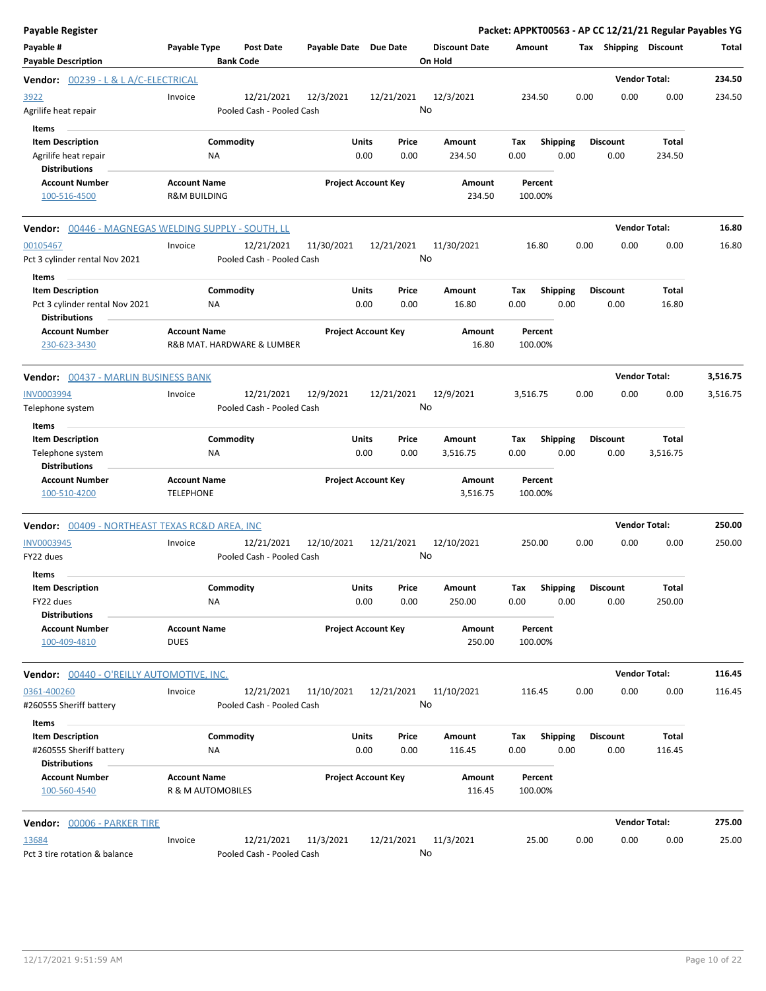| <b>Payable Register</b>                                                                    |                                                   |                                         |                       |                                |    |                                 |                    |                         |      |                         | Packet: APPKT00563 - AP CC 12/21/21 Regular Payables YG |          |
|--------------------------------------------------------------------------------------------|---------------------------------------------------|-----------------------------------------|-----------------------|--------------------------------|----|---------------------------------|--------------------|-------------------------|------|-------------------------|---------------------------------------------------------|----------|
| Payable #<br><b>Payable Description</b>                                                    | <b>Payable Type</b>                               | <b>Post Date</b><br><b>Bank Code</b>    | Payable Date Due Date |                                |    | <b>Discount Date</b><br>On Hold | Amount             |                         |      | Tax Shipping Discount   |                                                         | Total    |
| Vendor: 00239 - L & L A/C-ELECTRICAL                                                       |                                                   |                                         |                       |                                |    |                                 |                    |                         |      |                         | <b>Vendor Total:</b>                                    | 234.50   |
| 3922<br>Agrilife heat repair                                                               | Invoice                                           | 12/21/2021<br>Pooled Cash - Pooled Cash | 12/3/2021             | 12/21/2021                     | No | 12/3/2021                       | 234.50             |                         | 0.00 | 0.00                    | 0.00                                                    | 234.50   |
| Items<br><b>Item Description</b><br>Agrilife heat repair<br><b>Distributions</b>           | Commodity<br><b>NA</b>                            |                                         |                       | Units<br>Price<br>0.00<br>0.00 |    | Amount<br>234.50                | Tax<br>0.00        | Shipping<br>0.00        |      | <b>Discount</b><br>0.00 | Total<br>234.50                                         |          |
| <b>Account Number</b><br>100-516-4500                                                      | <b>Account Name</b><br><b>R&amp;M BUILDING</b>    |                                         |                       | <b>Project Account Key</b>     |    | Amount<br>234.50                | Percent<br>100.00% |                         |      |                         |                                                         |          |
| Vendor: 00446 - MAGNEGAS WELDING SUPPLY - SOUTH, LL                                        |                                                   |                                         |                       |                                |    |                                 |                    |                         |      |                         | <b>Vendor Total:</b>                                    | 16.80    |
| 00105467<br>Pct 3 cylinder rental Nov 2021                                                 | Invoice                                           | 12/21/2021<br>Pooled Cash - Pooled Cash | 11/30/2021            | 12/21/2021                     | No | 11/30/2021                      | 16.80              |                         | 0.00 | 0.00                    | 0.00                                                    | 16.80    |
| Items<br><b>Item Description</b><br>Pct 3 cylinder rental Nov 2021<br><b>Distributions</b> | Commodity<br>NA                                   |                                         |                       | Units<br>Price<br>0.00<br>0.00 |    | Amount<br>16.80                 | Tax<br>0.00        | <b>Shipping</b><br>0.00 |      | Discount<br>0.00        | Total<br>16.80                                          |          |
| <b>Account Number</b><br>230-623-3430                                                      | <b>Account Name</b><br>R&B MAT. HARDWARE & LUMBER |                                         |                       | <b>Project Account Key</b>     |    | Amount<br>16.80                 | Percent<br>100.00% |                         |      |                         |                                                         |          |
| Vendor: 00437 - MARLIN BUSINESS BANK                                                       |                                                   |                                         |                       |                                |    |                                 |                    |                         |      |                         | <b>Vendor Total:</b>                                    | 3,516.75 |
| <b>INV0003994</b><br>Telephone system                                                      | Invoice                                           | 12/21/2021<br>Pooled Cash - Pooled Cash | 12/9/2021             | 12/21/2021                     | No | 12/9/2021                       | 3,516.75           |                         | 0.00 | 0.00                    | 0.00                                                    | 3,516.75 |
| Items<br><b>Item Description</b><br>Telephone system                                       | Commodity<br>NA                                   |                                         |                       | Units<br>Price<br>0.00<br>0.00 |    | Amount<br>3,516.75              | Tax<br>0.00        | <b>Shipping</b><br>0.00 |      | <b>Discount</b><br>0.00 | Total<br>3,516.75                                       |          |
| <b>Distributions</b><br><b>Account Number</b><br>100-510-4200                              | <b>Account Name</b><br><b>TELEPHONE</b>           |                                         |                       | <b>Project Account Key</b>     |    | Amount<br>3,516.75              | Percent<br>100.00% |                         |      |                         |                                                         |          |
| <b>Vendor: 00409 - NORTHEAST TEXAS RC&amp;D AREA, INC</b>                                  |                                                   |                                         |                       |                                |    |                                 |                    |                         |      |                         | <b>Vendor Total:</b>                                    | 250.00   |
| <b>INV0003945</b><br>FY22 dues                                                             | Invoice                                           | 12/21/2021<br>Pooled Cash - Pooled Cash | 12/10/2021            | 12/21/2021                     | No | 12/10/2021                      | 250.00             |                         | 0.00 | 0.00                    | 0.00                                                    | 250.00   |
| Items<br><b>Item Description</b><br>FY22 dues<br><b>Distributions</b>                      | Commodity<br>NA                                   |                                         | Units                 | Price<br>0.00<br>0.00          |    | Amount<br>250.00                | Tax<br>0.00        | Shipping<br>0.00        |      | <b>Discount</b><br>0.00 | <b>Total</b><br>250.00                                  |          |
| <b>Account Number</b><br>100-409-4810                                                      | <b>Account Name</b><br><b>DUES</b>                |                                         |                       | <b>Project Account Key</b>     |    | Amount<br>250.00                | Percent<br>100.00% |                         |      |                         |                                                         |          |
| Vendor: 00440 - O'REILLY AUTOMOTIVE, INC.                                                  |                                                   |                                         |                       |                                |    |                                 |                    |                         |      |                         | <b>Vendor Total:</b>                                    | 116.45   |
| 0361-400260<br>#260555 Sheriff battery                                                     | Invoice                                           | 12/21/2021<br>Pooled Cash - Pooled Cash | 11/10/2021            | 12/21/2021                     | No | 11/10/2021                      | 116.45             |                         | 0.00 | 0.00                    | 0.00                                                    | 116.45   |
| Items<br><b>Item Description</b><br>#260555 Sheriff battery<br><b>Distributions</b>        | Commodity<br>ΝA                                   |                                         |                       | Units<br>Price<br>0.00<br>0.00 |    | Amount<br>116.45                | Tax<br>0.00        | <b>Shipping</b><br>0.00 |      | Discount<br>0.00        | Total<br>116.45                                         |          |
| <b>Account Number</b><br>100-560-4540                                                      | <b>Account Name</b><br>R & M AUTOMOBILES          |                                         |                       | <b>Project Account Key</b>     |    | Amount<br>116.45                | Percent<br>100.00% |                         |      |                         |                                                         |          |
| Vendor: 00006 - PARKER TIRE                                                                |                                                   |                                         |                       |                                |    |                                 |                    |                         |      |                         | <b>Vendor Total:</b>                                    | 275.00   |
| 13684<br>Pct 3 tire rotation & balance                                                     | Invoice                                           | 12/21/2021<br>Pooled Cash - Pooled Cash | 11/3/2021             | 12/21/2021                     | No | 11/3/2021                       | 25.00              |                         | 0.00 | 0.00                    | 0.00                                                    | 25.00    |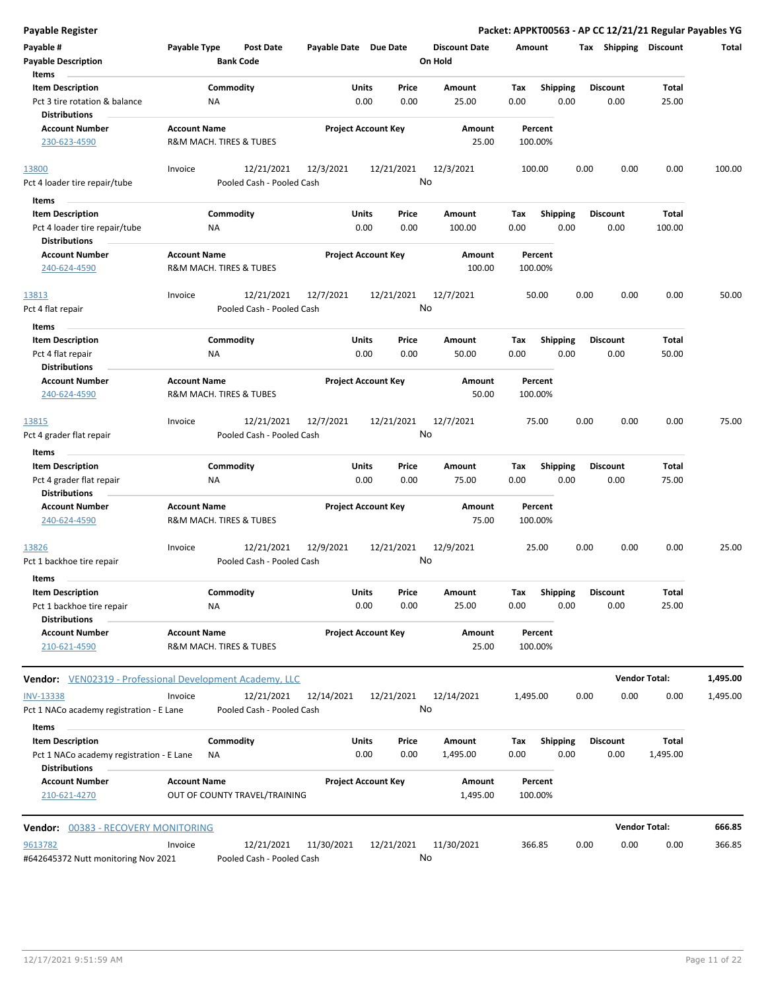| <b>Payable Register</b>                                                                     |                     |                                         |                            |               |                  |                                 |             |                         |      |                         | Packet: APPKT00563 - AP CC 12/21/21 Regular Payables YG |          |
|---------------------------------------------------------------------------------------------|---------------------|-----------------------------------------|----------------------------|---------------|------------------|---------------------------------|-------------|-------------------------|------|-------------------------|---------------------------------------------------------|----------|
| Payable #<br><b>Payable Description</b>                                                     | Payable Type        | Post Date<br><b>Bank Code</b>           | Payable Date Due Date      |               |                  | <b>Discount Date</b><br>On Hold | Amount      |                         |      | Tax Shipping Discount   |                                                         | Total    |
| Items                                                                                       |                     |                                         |                            |               |                  |                                 |             |                         |      |                         |                                                         |          |
| <b>Item Description</b>                                                                     |                     | Commodity                               |                            | Units         | Price            | Amount                          | Tax         | <b>Shipping</b>         |      | <b>Discount</b>         | Total                                                   |          |
| Pct 3 tire rotation & balance<br><b>Distributions</b>                                       | <b>NA</b>           |                                         |                            | 0.00          | 0.00             | 25.00                           | 0.00        | 0.00                    |      | 0.00                    | 25.00                                                   |          |
| <b>Account Number</b>                                                                       | <b>Account Name</b> |                                         | <b>Project Account Key</b> |               |                  | Amount                          |             | Percent                 |      |                         |                                                         |          |
| 230-623-4590                                                                                |                     | R&M MACH. TIRES & TUBES                 |                            |               |                  | 25.00                           |             | 100.00%                 |      |                         |                                                         |          |
| 13800                                                                                       | Invoice             | 12/21/2021                              | 12/3/2021                  |               | 12/21/2021       | 12/3/2021                       |             | 100.00                  | 0.00 | 0.00                    | 0.00                                                    | 100.00   |
| Pct 4 loader tire repair/tube                                                               |                     | Pooled Cash - Pooled Cash               |                            |               | No               |                                 |             |                         |      |                         |                                                         |          |
| Items                                                                                       |                     |                                         |                            |               |                  |                                 |             |                         |      |                         |                                                         |          |
| <b>Item Description</b>                                                                     |                     | Commodity                               |                            | Units         | Price            | Amount                          | Tax         | <b>Shipping</b>         |      | <b>Discount</b>         | Total                                                   |          |
| Pct 4 loader tire repair/tube                                                               | ΝA                  |                                         |                            | 0.00          | 0.00             | 100.00                          | 0.00        | 0.00                    |      | 0.00                    | 100.00                                                  |          |
| <b>Distributions</b>                                                                        |                     |                                         |                            |               |                  |                                 |             |                         |      |                         |                                                         |          |
| <b>Account Number</b><br>240-624-4590                                                       | <b>Account Name</b> | R&M MACH. TIRES & TUBES                 | <b>Project Account Key</b> |               |                  | Amount<br>100.00                |             | Percent<br>100.00%      |      |                         |                                                         |          |
| 13813                                                                                       | Invoice             | 12/21/2021                              | 12/7/2021                  |               | 12/21/2021       | 12/7/2021                       |             | 50.00                   | 0.00 | 0.00                    | 0.00                                                    | 50.00    |
| Pct 4 flat repair                                                                           |                     | Pooled Cash - Pooled Cash               |                            |               | No               |                                 |             |                         |      |                         |                                                         |          |
| Items                                                                                       |                     |                                         |                            |               |                  |                                 |             |                         |      |                         |                                                         |          |
| <b>Item Description</b>                                                                     |                     | Commodity                               |                            | Units         | Price            | Amount                          | Tax         | <b>Shipping</b>         |      | <b>Discount</b>         | Total                                                   |          |
| Pct 4 flat repair<br><b>Distributions</b>                                                   | <b>NA</b>           |                                         |                            | 0.00          | 0.00             | 50.00                           | 0.00        | 0.00                    |      | 0.00                    | 50.00                                                   |          |
| <b>Account Number</b>                                                                       | <b>Account Name</b> |                                         | <b>Project Account Key</b> |               |                  | Amount                          |             | Percent                 |      |                         |                                                         |          |
| 240-624-4590                                                                                |                     | R&M MACH. TIRES & TUBES                 |                            |               |                  | 50.00                           |             | 100.00%                 |      |                         |                                                         |          |
| 13815                                                                                       | Invoice             | 12/21/2021                              | 12/7/2021                  |               | 12/21/2021       | 12/7/2021                       |             | 75.00                   | 0.00 | 0.00                    | 0.00                                                    | 75.00    |
| Pct 4 grader flat repair                                                                    |                     | Pooled Cash - Pooled Cash               |                            |               | No               |                                 |             |                         |      |                         |                                                         |          |
| Items                                                                                       |                     |                                         |                            |               |                  |                                 |             |                         |      |                         |                                                         |          |
| <b>Item Description</b><br>Pct 4 grader flat repair                                         | <b>NA</b>           | Commodity                               |                            | Units<br>0.00 | Price<br>0.00    | Amount<br>75.00                 | Tax<br>0.00 | <b>Shipping</b><br>0.00 |      | <b>Discount</b><br>0.00 | Total<br>75.00                                          |          |
| <b>Distributions</b>                                                                        |                     |                                         |                            |               |                  |                                 |             |                         |      |                         |                                                         |          |
| <b>Account Number</b><br>240-624-4590                                                       | <b>Account Name</b> | R&M MACH. TIRES & TUBES                 | <b>Project Account Key</b> |               |                  | Amount<br>75.00                 |             | Percent<br>100.00%      |      |                         |                                                         |          |
| 13826<br>Pct 1 backhoe tire repair                                                          | Invoice             | 12/21/2021<br>Pooled Cash - Pooled Cash | 12/9/2021                  |               | 12/21/2021<br>No | 12/9/2021                       |             | 25.00                   | 0.00 | 0.00                    | 0.00                                                    | 25.00    |
| Items                                                                                       |                     |                                         |                            |               |                  |                                 |             |                         |      |                         |                                                         |          |
| <b>Item Description</b>                                                                     |                     | Commodity                               |                            | Units         | Price            | Amount                          | Tax         | Shipping                |      | <b>Discount</b>         | Total                                                   |          |
| Pct 1 backhoe tire repair                                                                   | <b>NA</b>           |                                         |                            | 0.00          | 0.00             | 25.00                           | 0.00        | 0.00                    |      | 0.00                    | 25.00                                                   |          |
| <b>Distributions</b><br><b>Account Number</b>                                               |                     |                                         |                            |               |                  |                                 |             |                         |      |                         |                                                         |          |
| 210-621-4590                                                                                | <b>Account Name</b> | R&M MACH. TIRES & TUBES                 | <b>Project Account Key</b> |               |                  | Amount<br>25.00                 |             | Percent<br>100.00%      |      |                         |                                                         |          |
| Vendor: VEN02319 - Professional Development Academy, LLC                                    |                     |                                         |                            |               |                  |                                 |             |                         |      |                         | <b>Vendor Total:</b>                                    | 1,495.00 |
| <b>INV-13338</b>                                                                            | Invoice             | 12/21/2021                              | 12/14/2021                 |               | 12/21/2021       | 12/14/2021                      | 1,495.00    |                         | 0.00 | 0.00                    | 0.00                                                    | 1,495.00 |
| Pct 1 NACo academy registration - E Lane                                                    |                     | Pooled Cash - Pooled Cash               |                            |               | No               |                                 |             |                         |      |                         |                                                         |          |
| Items                                                                                       |                     |                                         |                            |               |                  |                                 |             |                         |      |                         |                                                         |          |
| <b>Item Description</b><br>Pct 1 NACo academy registration - E Lane<br><b>Distributions</b> | ΝA                  | Commodity                               |                            | Units<br>0.00 | Price<br>0.00    | Amount<br>1,495.00              | Tax<br>0.00 | <b>Shipping</b><br>0.00 |      | <b>Discount</b><br>0.00 | <b>Total</b><br>1,495.00                                |          |
| <b>Account Number</b>                                                                       | <b>Account Name</b> |                                         | <b>Project Account Key</b> |               |                  | Amount                          |             | Percent                 |      |                         |                                                         |          |
| 210-621-4270                                                                                |                     | OUT OF COUNTY TRAVEL/TRAINING           |                            |               |                  | 1,495.00                        |             | 100.00%                 |      |                         |                                                         |          |
| 00383 - RECOVERY MONITORING<br>Vendor:                                                      |                     |                                         |                            |               |                  |                                 |             |                         |      |                         | <b>Vendor Total:</b>                                    | 666.85   |
|                                                                                             |                     |                                         |                            |               |                  |                                 |             |                         |      |                         |                                                         |          |
| 9613782<br>#642645372 Nutt monitoring Nov 2021                                              | Invoice             | 12/21/2021<br>Pooled Cash - Pooled Cash | 11/30/2021                 |               | 12/21/2021<br>No | 11/30/2021                      |             | 366.85                  | 0.00 | 0.00                    | 0.00                                                    | 366.85   |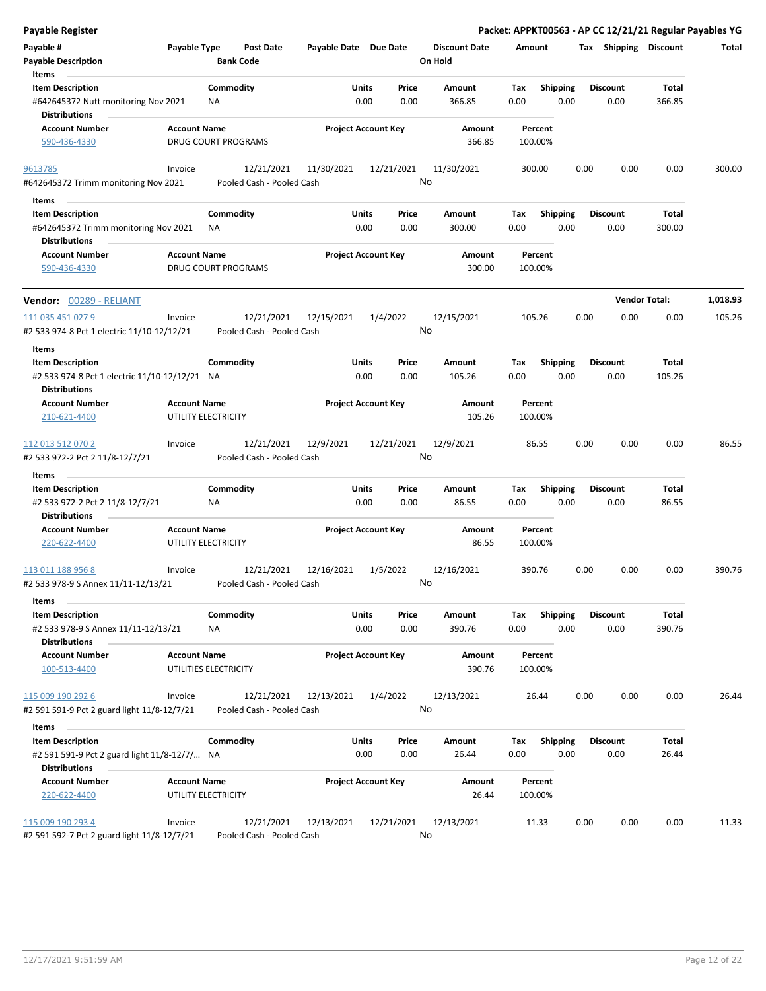| Payable Register                                                                                          |                     |                                         |                       |                                       |                                 | Packet: APPKT00563 - AP CC 12/21/21 Regular Payables YG |      |                         |                       |          |
|-----------------------------------------------------------------------------------------------------------|---------------------|-----------------------------------------|-----------------------|---------------------------------------|---------------------------------|---------------------------------------------------------|------|-------------------------|-----------------------|----------|
| Payable #<br><b>Payable Description</b>                                                                   | Payable Type        | <b>Post Date</b><br><b>Bank Code</b>    | Payable Date Due Date |                                       | <b>Discount Date</b><br>On Hold | Amount                                                  |      |                         | Tax Shipping Discount | Total    |
| Items<br><b>Item Description</b><br>#642645372 Nutt monitoring Nov 2021                                   |                     | Commodity<br>ΝA                         |                       | <b>Units</b><br>Price<br>0.00<br>0.00 | Amount<br>366.85                | <b>Shipping</b><br>Tax<br>0.00<br>0.00                  |      | Discount<br>0.00        | Total<br>366.85       |          |
| <b>Distributions</b><br><b>Account Number</b><br>590-436-4330                                             | <b>Account Name</b> | <b>DRUG COURT PROGRAMS</b>              |                       | <b>Project Account Key</b>            | Amount<br>366.85                | Percent<br>100.00%                                      |      |                         |                       |          |
| 9613785<br>#642645372 Trimm monitoring Nov 2021                                                           | Invoice             | 12/21/2021<br>Pooled Cash - Pooled Cash | 11/30/2021            | 12/21/2021                            | 11/30/2021<br>No                | 300.00                                                  | 0.00 | 0.00                    | 0.00                  | 300.00   |
| Items<br><b>Item Description</b><br>#642645372 Trimm monitoring Nov 2021                                  |                     | Commodity<br><b>NA</b>                  |                       | Units<br>Price<br>0.00<br>0.00        | Amount<br>300.00                | Tax<br><b>Shipping</b><br>0.00<br>0.00                  |      | Discount<br>0.00        | Total<br>300.00       |          |
| <b>Distributions</b>                                                                                      |                     |                                         |                       |                                       |                                 |                                                         |      |                         |                       |          |
| <b>Account Number</b><br>590-436-4330                                                                     | <b>Account Name</b> | <b>DRUG COURT PROGRAMS</b>              |                       | <b>Project Account Key</b>            | Amount<br>300.00                | Percent<br>100.00%                                      |      |                         |                       |          |
| Vendor: 00289 - RELIANT                                                                                   |                     |                                         |                       |                                       |                                 |                                                         |      |                         | <b>Vendor Total:</b>  | 1,018.93 |
| 111 035 451 027 9<br>#2 533 974-8 Pct 1 electric 11/10-12/12/21                                           | Invoice             | 12/21/2021<br>Pooled Cash - Pooled Cash | 12/15/2021            | 1/4/2022                              | 12/15/2021<br>No                | 105.26                                                  | 0.00 | 0.00                    | 0.00                  | 105.26   |
| Items<br><b>Item Description</b><br>#2 533 974-8 Pct 1 electric 11/10-12/12/21 NA<br><b>Distributions</b> |                     | Commodity                               |                       | Units<br>Price<br>0.00<br>0.00        | Amount<br>105.26                | <b>Shipping</b><br>Tax<br>0.00<br>0.00                  |      | <b>Discount</b><br>0.00 | Total<br>105.26       |          |
| <b>Account Number</b><br>210-621-4400                                                                     | <b>Account Name</b> | UTILITY ELECTRICITY                     |                       | <b>Project Account Key</b>            | Amount<br>105.26                | Percent<br>100.00%                                      |      |                         |                       |          |
| 112 013 512 070 2<br>#2 533 972-2 Pct 2 11/8-12/7/21                                                      | Invoice             | 12/21/2021<br>Pooled Cash - Pooled Cash | 12/9/2021             | 12/21/2021                            | 12/9/2021<br>No                 | 86.55                                                   | 0.00 | 0.00                    | 0.00                  | 86.55    |
| Items                                                                                                     |                     |                                         |                       |                                       |                                 |                                                         |      |                         |                       |          |
| <b>Item Description</b><br>#2 533 972-2 Pct 2 11/8-12/7/21<br><b>Distributions</b>                        |                     | Commodity<br><b>NA</b>                  |                       | Units<br>Price<br>0.00<br>0.00        | Amount<br>86.55                 | Tax<br><b>Shipping</b><br>0.00<br>0.00                  |      | <b>Discount</b><br>0.00 | Total<br>86.55        |          |
| <b>Account Number</b><br>220-622-4400                                                                     | <b>Account Name</b> | UTILITY ELECTRICITY                     |                       | <b>Project Account Key</b>            | Amount<br>86.55                 | Percent<br>100.00%                                      |      |                         |                       |          |
| 113 011 188 956 8<br>#2 533 978-9 S Annex 11/11-12/13/21                                                  | Invoice             | 12/21/2021<br>Pooled Cash - Pooled Cash | 12/16/2021            | 1/5/2022                              | 12/16/2021<br>No                | 390.76                                                  | 0.00 | 0.00                    | 0.00                  | 390.76   |
| Items<br><b>Item Description</b><br>#2 533 978-9 S Annex 11/11-12/13/21                                   |                     | Commodity<br>ΝA                         |                       | Units<br>Price<br>0.00<br>0.00        | Amount<br>390.76                | <b>Shipping</b><br>Tax<br>0.00<br>0.00                  |      | <b>Discount</b><br>0.00 | Total<br>390.76       |          |
| <b>Distributions</b><br><b>Account Number</b><br>100-513-4400                                             | <b>Account Name</b> | UTILITIES ELECTRICITY                   |                       | <b>Project Account Key</b>            | Amount<br>390.76                | Percent<br>100.00%                                      |      |                         |                       |          |
| 115 009 190 292 6<br>#2 591 591-9 Pct 2 guard light 11/8-12/7/21                                          | Invoice             | 12/21/2021<br>Pooled Cash - Pooled Cash | 12/13/2021            | 1/4/2022                              | 12/13/2021<br>No                | 26.44                                                   | 0.00 | 0.00                    | 0.00                  | 26.44    |
| Items                                                                                                     |                     |                                         |                       |                                       |                                 |                                                         |      |                         |                       |          |
| <b>Item Description</b><br>#2 591 591-9 Pct 2 guard light 11/8-12/7/ NA<br><b>Distributions</b>           |                     | Commodity                               |                       | Units<br>Price<br>0.00<br>0.00        | Amount<br>26.44                 | <b>Shipping</b><br>Tax<br>0.00<br>0.00                  |      | <b>Discount</b><br>0.00 | Total<br>26.44        |          |
| <b>Account Number</b><br>220-622-4400                                                                     | <b>Account Name</b> | UTILITY ELECTRICITY                     |                       | <b>Project Account Key</b>            | Amount<br>26.44                 | Percent<br>100.00%                                      |      |                         |                       |          |
| 115 009 190 293 4<br>#2 591 592-7 Pct 2 guard light 11/8-12/7/21                                          | Invoice             | 12/21/2021<br>Pooled Cash - Pooled Cash | 12/13/2021            | 12/21/2021                            | 12/13/2021<br>No                | 11.33                                                   | 0.00 | 0.00                    | 0.00                  | 11.33    |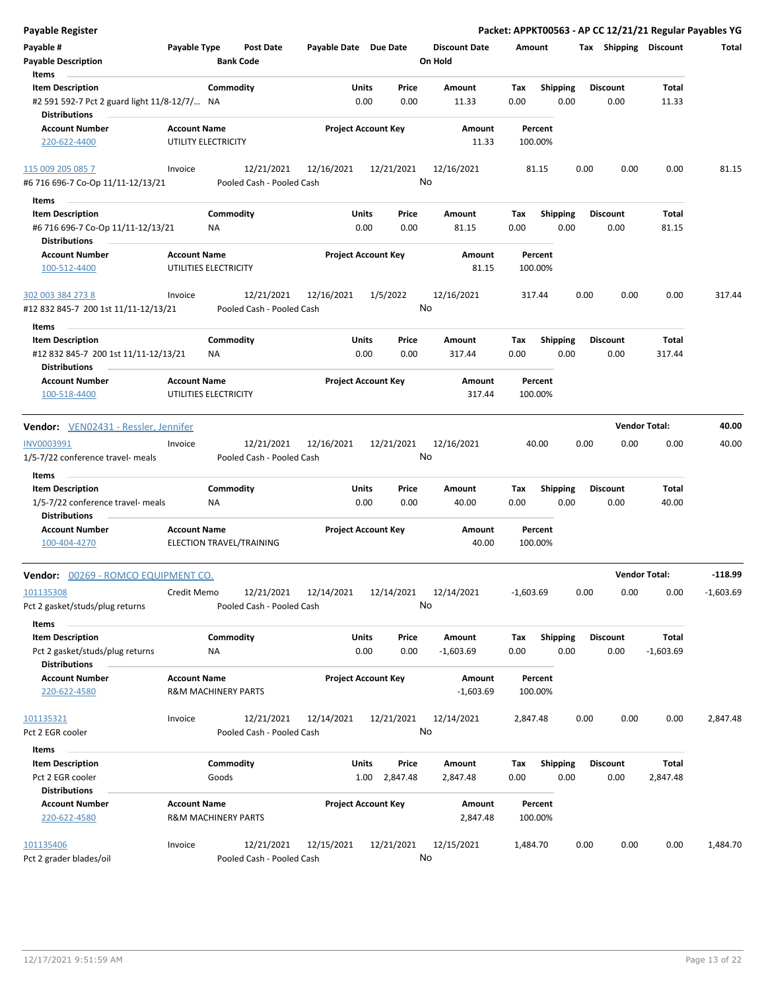| <b>Payable Register</b>                      |                     |                                |                       |                            |                      |             |                 |      |                       |                      | Packet: APPKT00563 - AP CC 12/21/21 Regular Payables YG |
|----------------------------------------------|---------------------|--------------------------------|-----------------------|----------------------------|----------------------|-------------|-----------------|------|-----------------------|----------------------|---------------------------------------------------------|
| Payable #                                    | Payable Type        | <b>Post Date</b>               | Payable Date Due Date |                            | <b>Discount Date</b> | Amount      |                 |      | Tax Shipping Discount |                      | Total                                                   |
| <b>Payable Description</b>                   |                     | <b>Bank Code</b>               |                       |                            | On Hold              |             |                 |      |                       |                      |                                                         |
| Items                                        |                     |                                |                       |                            |                      |             |                 |      |                       |                      |                                                         |
| <b>Item Description</b>                      |                     | Commodity                      | Units                 | Price                      | Amount               | Tax         | <b>Shipping</b> |      | <b>Discount</b>       | Total                |                                                         |
| #2 591 592-7 Pct 2 guard light 11/8-12/7/ NA |                     |                                |                       | 0.00<br>0.00               | 11.33                | 0.00        | 0.00            |      | 0.00                  | 11.33                |                                                         |
| <b>Distributions</b>                         |                     |                                |                       |                            |                      |             |                 |      |                       |                      |                                                         |
| <b>Account Number</b>                        | <b>Account Name</b> |                                |                       | <b>Project Account Key</b> | Amount               | Percent     |                 |      |                       |                      |                                                         |
| 220-622-4400                                 |                     | UTILITY ELECTRICITY            |                       |                            | 11.33                | 100.00%     |                 |      |                       |                      |                                                         |
|                                              |                     |                                |                       |                            |                      |             |                 |      |                       |                      |                                                         |
| 115 009 205 085 7                            | Invoice             | 12/21/2021                     | 12/16/2021            | 12/21/2021                 | 12/16/2021           | 81.15       |                 | 0.00 | 0.00                  | 0.00                 | 81.15                                                   |
| #6 716 696-7 Co-Op 11/11-12/13/21            |                     | Pooled Cash - Pooled Cash      |                       |                            | No                   |             |                 |      |                       |                      |                                                         |
|                                              |                     |                                |                       |                            |                      |             |                 |      |                       |                      |                                                         |
| Items                                        |                     |                                |                       |                            |                      |             |                 |      |                       |                      |                                                         |
| <b>Item Description</b>                      |                     | Commodity                      | Units                 | Price                      | Amount               | Tax         | <b>Shipping</b> |      | <b>Discount</b>       | Total                |                                                         |
| #6 716 696-7 Co-Op 11/11-12/13/21            |                     | <b>NA</b>                      |                       | 0.00<br>0.00               | 81.15                | 0.00        | 0.00            |      | 0.00                  | 81.15                |                                                         |
| <b>Distributions</b>                         |                     |                                |                       |                            |                      |             |                 |      |                       |                      |                                                         |
| <b>Account Number</b>                        | <b>Account Name</b> |                                |                       | <b>Project Account Key</b> | Amount               | Percent     |                 |      |                       |                      |                                                         |
| 100-512-4400                                 |                     | UTILITIES ELECTRICITY          |                       |                            | 81.15                | 100.00%     |                 |      |                       |                      |                                                         |
| 302 003 384 273 8                            | Invoice             | 12/21/2021                     | 12/16/2021            | 1/5/2022                   | 12/16/2021           | 317.44      |                 | 0.00 | 0.00                  | 0.00                 | 317.44                                                  |
| #12 832 845-7 200 1st 11/11-12/13/21         |                     | Pooled Cash - Pooled Cash      |                       |                            | No                   |             |                 |      |                       |                      |                                                         |
|                                              |                     |                                |                       |                            |                      |             |                 |      |                       |                      |                                                         |
| Items                                        |                     |                                |                       |                            |                      |             |                 |      |                       |                      |                                                         |
| <b>Item Description</b>                      |                     | Commodity                      | Units                 | Price                      | Amount               | Tax         | <b>Shipping</b> |      | <b>Discount</b>       | Total                |                                                         |
| #12 832 845-7 200 1st 11/11-12/13/21         |                     | ΝA                             |                       | 0.00<br>0.00               | 317.44               | 0.00        | 0.00            |      | 0.00                  | 317.44               |                                                         |
| <b>Distributions</b>                         |                     |                                |                       |                            |                      |             |                 |      |                       |                      |                                                         |
| <b>Account Number</b>                        | <b>Account Name</b> |                                |                       | <b>Project Account Key</b> | Amount               | Percent     |                 |      |                       |                      |                                                         |
| 100-518-4400                                 |                     | UTILITIES ELECTRICITY          |                       |                            | 317.44               | 100.00%     |                 |      |                       |                      |                                                         |
| <b>Vendor:</b> VEN02431 - Ressler, Jennifer  |                     |                                |                       |                            |                      |             |                 |      |                       | <b>Vendor Total:</b> | 40.00                                                   |
|                                              |                     |                                |                       |                            |                      |             |                 |      |                       |                      |                                                         |
| INV0003991                                   | Invoice             | 12/21/2021                     | 12/16/2021            | 12/21/2021                 | 12/16/2021           | 40.00       |                 | 0.00 | 0.00                  | 0.00                 | 40.00                                                   |
| 1/5-7/22 conference travel- meals            |                     | Pooled Cash - Pooled Cash      |                       |                            | No                   |             |                 |      |                       |                      |                                                         |
| Items                                        |                     |                                |                       |                            |                      |             |                 |      |                       |                      |                                                         |
| <b>Item Description</b>                      |                     | Commodity                      | Units                 | Price                      | Amount               | Tax         | <b>Shipping</b> |      | <b>Discount</b>       | Total                |                                                         |
| 1/5-7/22 conference travel- meals            |                     | NA                             |                       | 0.00<br>0.00               | 40.00                | 0.00        | 0.00            |      | 0.00                  | 40.00                |                                                         |
| <b>Distributions</b>                         |                     |                                |                       |                            |                      |             |                 |      |                       |                      |                                                         |
| <b>Account Number</b>                        | <b>Account Name</b> |                                |                       | <b>Project Account Key</b> | Amount               | Percent     |                 |      |                       |                      |                                                         |
| 100-404-4270                                 |                     | ELECTION TRAVEL/TRAINING       |                       |                            | 40.00                | 100.00%     |                 |      |                       |                      |                                                         |
| Vendor: 00269 - ROMCO EQUIPMENT CO.          |                     |                                |                       |                            |                      |             |                 |      |                       | <b>Vendor Total:</b> | $-118.99$                                               |
|                                              |                     |                                |                       |                            |                      |             |                 |      |                       |                      |                                                         |
| 101135308                                    | Credit Memo         | 12/21/2021                     | 12/14/2021            | 12/14/2021                 | 12/14/2021           | $-1,603.69$ |                 | 0.00 | 0.00                  | 0.00                 | $-1,603.69$                                             |
| Pct 2 gasket/studs/plug returns              |                     | Pooled Cash - Pooled Cash      |                       |                            | No                   |             |                 |      |                       |                      |                                                         |
| Items                                        |                     |                                |                       |                            |                      |             |                 |      |                       |                      |                                                         |
| <b>Item Description</b>                      |                     | Commodity                      | Units                 | Price                      | Amount               | Tax         | <b>Shipping</b> |      | <b>Discount</b>       | Total                |                                                         |
| Pct 2 gasket/studs/plug returns              |                     | ΝA                             |                       | 0.00<br>0.00               | $-1,603.69$          | 0.00        | 0.00            |      | 0.00                  | $-1,603.69$          |                                                         |
| <b>Distributions</b>                         |                     |                                |                       |                            |                      |             |                 |      |                       |                      |                                                         |
| <b>Account Number</b>                        | <b>Account Name</b> |                                |                       | <b>Project Account Key</b> | Amount               | Percent     |                 |      |                       |                      |                                                         |
| 220-622-4580                                 |                     | <b>R&amp;M MACHINERY PARTS</b> |                       |                            | $-1,603.69$          | 100.00%     |                 |      |                       |                      |                                                         |
|                                              |                     |                                |                       |                            |                      |             |                 |      |                       |                      |                                                         |
| 101135321                                    | Invoice             | 12/21/2021                     | 12/14/2021            | 12/21/2021                 | 12/14/2021           | 2,847.48    |                 | 0.00 | 0.00                  | 0.00                 | 2,847.48                                                |
| Pct 2 EGR cooler                             |                     | Pooled Cash - Pooled Cash      |                       |                            | No                   |             |                 |      |                       |                      |                                                         |
| Items                                        |                     |                                |                       |                            |                      |             |                 |      |                       |                      |                                                         |
| <b>Item Description</b>                      |                     | Commodity                      | Units                 | Price                      | Amount               | Tax         | Shipping        |      | <b>Discount</b>       | Total                |                                                         |
| Pct 2 EGR cooler                             |                     | Goods                          |                       | 1.00 2,847.48              | 2,847.48             | 0.00        | 0.00            |      | 0.00                  | 2,847.48             |                                                         |
| <b>Distributions</b>                         |                     |                                |                       |                            |                      |             |                 |      |                       |                      |                                                         |
| <b>Account Number</b>                        | <b>Account Name</b> |                                |                       | <b>Project Account Key</b> | Amount               | Percent     |                 |      |                       |                      |                                                         |
| 220-622-4580                                 |                     | R&M MACHINERY PARTS            |                       |                            | 2,847.48             | 100.00%     |                 |      |                       |                      |                                                         |
|                                              |                     |                                |                       |                            |                      |             |                 |      |                       |                      |                                                         |
| 101135406                                    | Invoice             | 12/21/2021                     | 12/15/2021            | 12/21/2021                 | 12/15/2021           | 1,484.70    |                 | 0.00 | 0.00                  | 0.00                 | 1,484.70                                                |
| Pct 2 grader blades/oil                      |                     | Pooled Cash - Pooled Cash      |                       |                            | No                   |             |                 |      |                       |                      |                                                         |
|                                              |                     |                                |                       |                            |                      |             |                 |      |                       |                      |                                                         |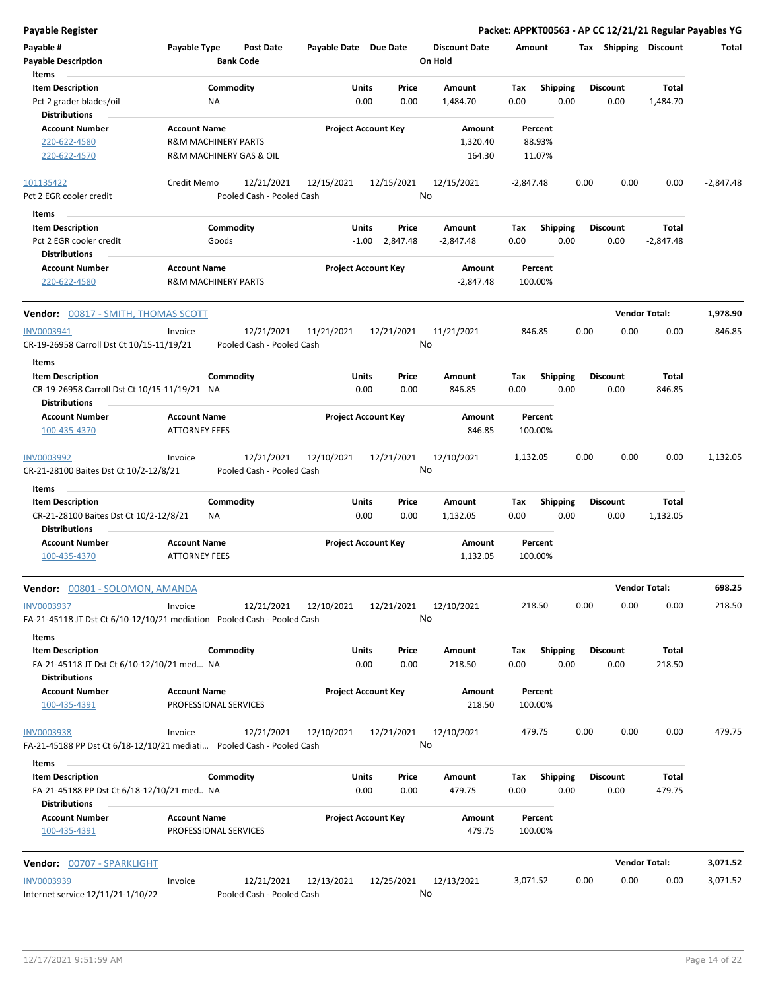| Payable Register                                                         |                                                       |                                         |                       |                            |                      |                    |                 | Packet: APPKT00563 - AP CC 12/21/21 Regular Payables YG |                      |             |
|--------------------------------------------------------------------------|-------------------------------------------------------|-----------------------------------------|-----------------------|----------------------------|----------------------|--------------------|-----------------|---------------------------------------------------------|----------------------|-------------|
| Payable #                                                                | Payable Type                                          | Post Date                               | Payable Date Due Date |                            | <b>Discount Date</b> | Amount             |                 | Tax Shipping Discount                                   |                      | Total       |
| <b>Payable Description</b>                                               |                                                       | <b>Bank Code</b>                        |                       |                            | On Hold              |                    |                 |                                                         |                      |             |
| <b>Items</b>                                                             |                                                       |                                         |                       |                            |                      |                    |                 |                                                         |                      |             |
| <b>Item Description</b>                                                  | Commodity                                             |                                         | Units                 | Price                      | Amount               | Tax                | Shipping        | <b>Discount</b>                                         | <b>Total</b>         |             |
| Pct 2 grader blades/oil<br><b>Distributions</b>                          | ΝA                                                    |                                         |                       | 0.00<br>0.00               | 1,484.70             | 0.00               | 0.00            | 0.00                                                    | 1,484.70             |             |
| <b>Account Number</b><br>220-622-4580                                    | <b>Account Name</b><br><b>R&amp;M MACHINERY PARTS</b> |                                         |                       | <b>Project Account Key</b> | Amount<br>1,320.40   | Percent<br>88.93%  |                 |                                                         |                      |             |
| 220-622-4570                                                             | R&M MACHINERY GAS & OIL                               |                                         |                       |                            | 164.30               | 11.07%             |                 |                                                         |                      |             |
| 101135422                                                                | Credit Memo                                           | 12/21/2021                              | 12/15/2021            | 12/15/2021                 | 12/15/2021           | $-2,847.48$        |                 | 0.00<br>0.00                                            | 0.00                 | $-2,847.48$ |
| Pct 2 EGR cooler credit                                                  |                                                       | Pooled Cash - Pooled Cash               |                       |                            | No                   |                    |                 |                                                         |                      |             |
| Items                                                                    |                                                       |                                         |                       |                            |                      |                    |                 |                                                         |                      |             |
| <b>Item Description</b>                                                  | Commodity                                             |                                         | Units                 | Price                      | Amount               | Tax                | <b>Shipping</b> | <b>Discount</b>                                         | Total                |             |
| Pct 2 EGR cooler credit<br><b>Distributions</b>                          | Goods                                                 |                                         |                       | $-1.00$ 2,847.48           | -2,847.48            | 0.00               | 0.00            | 0.00                                                    | $-2,847.48$          |             |
| <b>Account Number</b>                                                    | <b>Account Name</b>                                   |                                         |                       | <b>Project Account Key</b> | Amount               | Percent            |                 |                                                         |                      |             |
| 220-622-4580                                                             | <b>R&amp;M MACHINERY PARTS</b>                        |                                         |                       |                            | -2,847.48            | 100.00%            |                 |                                                         |                      |             |
| Vendor: 00817 - SMITH, THOMAS SCOTT                                      |                                                       |                                         |                       |                            |                      |                    |                 |                                                         | <b>Vendor Total:</b> | 1,978.90    |
| INV0003941                                                               | Invoice                                               | 12/21/2021                              | 11/21/2021            | 12/21/2021                 | 11/21/2021           | 846.85             |                 | 0.00<br>0.00                                            | 0.00                 | 846.85      |
| CR-19-26958 Carroll Dst Ct 10/15-11/19/21                                |                                                       | Pooled Cash - Pooled Cash               |                       |                            | No                   |                    |                 |                                                         |                      |             |
| Items<br><b>Item Description</b>                                         | Commodity                                             |                                         | Units                 | Price                      | Amount               | Tax                | <b>Shipping</b> | <b>Discount</b>                                         | Total                |             |
| CR-19-26958 Carroll Dst Ct 10/15-11/19/21 NA<br><b>Distributions</b>     |                                                       |                                         |                       | 0.00<br>0.00               | 846.85               | 0.00               | 0.00            | 0.00                                                    | 846.85               |             |
| <b>Account Number</b>                                                    | <b>Account Name</b>                                   |                                         |                       | <b>Project Account Key</b> | Amount               | Percent            |                 |                                                         |                      |             |
| 100-435-4370                                                             | <b>ATTORNEY FEES</b>                                  |                                         |                       |                            | 846.85               | 100.00%            |                 |                                                         |                      |             |
| <b>INV0003992</b><br>CR-21-28100 Baites Dst Ct 10/2-12/8/21<br>Items     | Invoice                                               | 12/21/2021<br>Pooled Cash - Pooled Cash | 12/10/2021            | 12/21/2021                 | 12/10/2021<br>No     | 1,132.05           |                 | 0.00<br>0.00                                            | 0.00                 | 1,132.05    |
| <b>Item Description</b>                                                  | Commodity                                             |                                         | Units                 | Price                      | Amount               | Tax                | <b>Shipping</b> | <b>Discount</b>                                         | Total                |             |
| CR-21-28100 Baites Dst Ct 10/2-12/8/21<br><b>Distributions</b>           | ΝA                                                    |                                         |                       | 0.00<br>0.00               | 1,132.05             | 0.00               | 0.00            | 0.00                                                    | 1,132.05             |             |
| <b>Account Number</b>                                                    | <b>Account Name</b>                                   |                                         |                       | <b>Project Account Key</b> | Amount               | Percent            |                 |                                                         |                      |             |
| 100-435-4370                                                             | <b>ATTORNEY FEES</b>                                  |                                         |                       |                            | 1,132.05             | 100.00%            |                 |                                                         |                      |             |
| Vendor: 00801 - SOLOMON, AMANDA                                          |                                                       |                                         |                       |                            |                      |                    |                 |                                                         | <b>Vendor Total:</b> | 698.25      |
| INV0003937                                                               | Invoice                                               | 12/21/2021                              | 12/10/2021            | 12/21/2021                 | 12/10/2021           | 218.50             |                 | 0.00<br>0.00                                            | 0.00                 | 218.50      |
| FA-21-45118 JT Dst Ct 6/10-12/10/21 mediation  Pooled Cash - Pooled Cash |                                                       |                                         |                       |                            | No                   |                    |                 |                                                         |                      |             |
| Items                                                                    |                                                       |                                         |                       |                            |                      |                    |                 |                                                         |                      |             |
| <b>Item Description</b>                                                  | Commodity                                             |                                         | Units                 | Price                      | Amount               | Tax                | <b>Shipping</b> | Discount                                                | Total                |             |
| FA-21-45118 JT Dst Ct 6/10-12/10/21 med NA<br><b>Distributions</b>       |                                                       |                                         |                       | 0.00<br>0.00               | 218.50               | 0.00               | 0.00            | 0.00                                                    | 218.50               |             |
| <b>Account Number</b><br>100-435-4391                                    | <b>Account Name</b><br>PROFESSIONAL SERVICES          |                                         |                       | <b>Project Account Key</b> | Amount<br>218.50     | Percent<br>100.00% |                 |                                                         |                      |             |
| <b>INV0003938</b>                                                        | Invoice                                               | 12/21/2021                              | 12/10/2021            | 12/21/2021                 | 12/10/2021           | 479.75             |                 | 0.00<br>0.00                                            | 0.00                 | 479.75      |
| FA-21-45188 PP Dst Ct 6/18-12/10/21 mediati  Pooled Cash - Pooled Cash   |                                                       |                                         |                       |                            | No                   |                    |                 |                                                         |                      |             |
| Items                                                                    |                                                       |                                         |                       |                            |                      |                    |                 |                                                         |                      |             |
| <b>Item Description</b>                                                  | Commodity                                             |                                         | Units                 | Price                      | Amount               | Tax                | <b>Shipping</b> | <b>Discount</b>                                         | Total                |             |
| FA-21-45188 PP Dst Ct 6/18-12/10/21 med NA<br><b>Distributions</b>       |                                                       |                                         |                       | 0.00<br>0.00               | 479.75               | 0.00               | 0.00            | 0.00                                                    | 479.75               |             |
| <b>Account Number</b><br>100-435-4391                                    | <b>Account Name</b><br>PROFESSIONAL SERVICES          |                                         |                       | <b>Project Account Key</b> | Amount<br>479.75     | Percent<br>100.00% |                 |                                                         |                      |             |
| <b>Vendor: 00707 - SPARKLIGHT</b>                                        |                                                       |                                         |                       |                            |                      |                    |                 |                                                         | <b>Vendor Total:</b> | 3,071.52    |
| <b>INV0003939</b>                                                        | Invoice                                               | 12/21/2021                              | 12/13/2021            | 12/25/2021                 | 12/13/2021           | 3,071.52           |                 | 0.00<br>0.00                                            | 0.00                 | 3,071.52    |

No

 $\overline{\phantom{a}}$ 

Internet service 12/11/21-1/10/22 Pooled Cash - Pooled Cash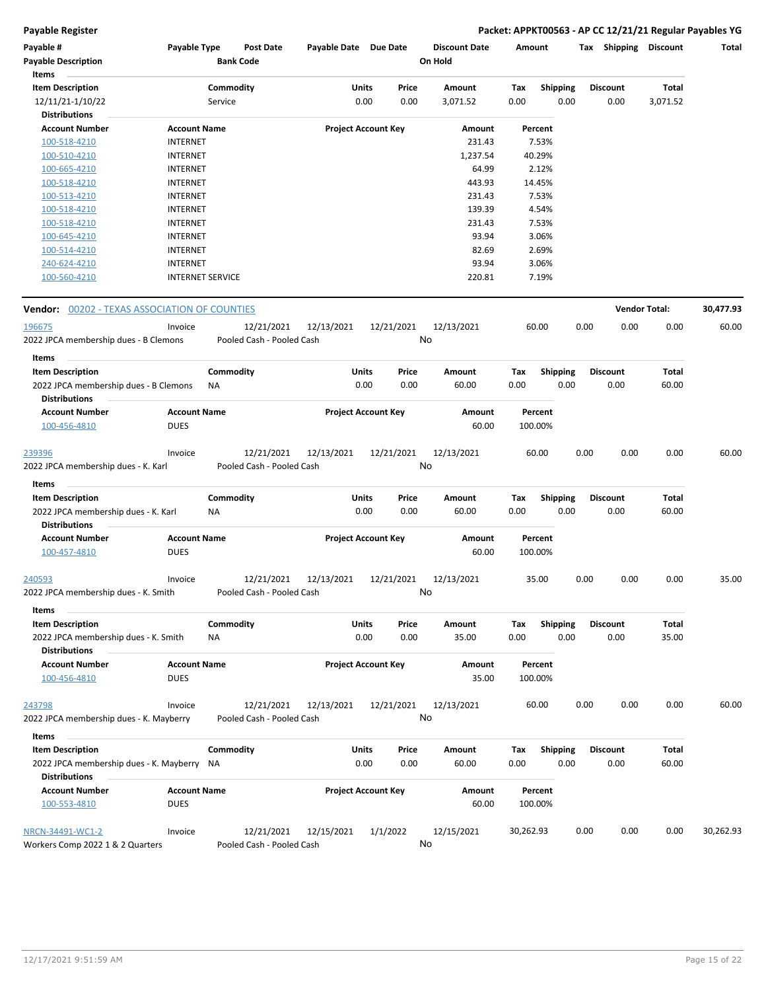### **Payable Register Packet: APPKT00563 - AP CC 12/21/21 Regular Payables YG**

| Payable #<br><b>Payable Description</b><br>Items              | Payable Type                       |           | Post Date<br><b>Bank Code</b> | Payable Date Due Date |                            |       | <b>Discount Date</b><br>On Hold | Amount    |                 |      | Tax Shipping         | Discount | Total     |
|---------------------------------------------------------------|------------------------------------|-----------|-------------------------------|-----------------------|----------------------------|-------|---------------------------------|-----------|-----------------|------|----------------------|----------|-----------|
| <b>Item Description</b>                                       |                                    | Commodity |                               | Units                 |                            | Price | Amount                          | Tax       | <b>Shipping</b> |      | <b>Discount</b>      | Total    |           |
| 12/11/21-1/10/22                                              |                                    | Service   |                               |                       | 0.00                       | 0.00  | 3,071.52                        | 0.00      | 0.00            |      | 0.00                 | 3,071.52 |           |
| <b>Distributions</b>                                          |                                    |           |                               |                       |                            |       |                                 |           |                 |      |                      |          |           |
| <b>Account Number</b>                                         | <b>Account Name</b>                |           |                               |                       | <b>Project Account Key</b> |       | Amount                          |           | Percent         |      |                      |          |           |
| 100-518-4210                                                  | <b>INTERNET</b>                    |           |                               |                       |                            |       | 231.43                          |           | 7.53%           |      |                      |          |           |
| 100-510-4210                                                  | <b>INTERNET</b>                    |           |                               |                       |                            |       | 1,237.54                        |           | 40.29%          |      |                      |          |           |
| 100-665-4210                                                  | <b>INTERNET</b>                    |           |                               |                       |                            |       | 64.99                           |           | 2.12%           |      |                      |          |           |
| 100-518-4210                                                  | <b>INTERNET</b>                    |           |                               |                       |                            |       | 443.93                          |           | 14.45%          |      |                      |          |           |
| 100-513-4210                                                  | <b>INTERNET</b>                    |           |                               |                       |                            |       | 231.43                          |           | 7.53%           |      |                      |          |           |
| 100-518-4210                                                  | <b>INTERNET</b>                    |           |                               |                       |                            |       | 139.39                          |           | 4.54%           |      |                      |          |           |
| 100-518-4210                                                  | <b>INTERNET</b>                    |           |                               |                       |                            |       | 231.43                          |           | 7.53%           |      |                      |          |           |
| 100-645-4210                                                  | <b>INTERNET</b>                    |           |                               |                       |                            |       | 93.94                           |           | 3.06%           |      |                      |          |           |
| 100-514-4210<br>240-624-4210                                  | <b>INTERNET</b><br><b>INTERNET</b> |           |                               |                       |                            |       | 82.69<br>93.94                  |           | 2.69%<br>3.06%  |      |                      |          |           |
| 100-560-4210                                                  | <b>INTERNET SERVICE</b>            |           |                               |                       |                            |       | 220.81                          |           | 7.19%           |      |                      |          |           |
| <b>Vendor:</b> 00202 - TEXAS ASSOCIATION OF COUNTIES          |                                    |           |                               |                       |                            |       |                                 |           |                 |      | <b>Vendor Total:</b> |          | 30,477.93 |
| 196675                                                        | Invoice                            |           | 12/21/2021                    | 12/13/2021            | 12/21/2021                 |       | 12/13/2021                      |           | 60.00           | 0.00 | 0.00                 | 0.00     | 60.00     |
| 2022 JPCA membership dues - B Clemons                         |                                    |           | Pooled Cash - Pooled Cash     |                       |                            |       | No                              |           |                 |      |                      |          |           |
| Items                                                         |                                    |           |                               |                       |                            |       |                                 |           |                 |      |                      |          |           |
| <b>Item Description</b>                                       |                                    | Commodity |                               | Units                 |                            | Price | Amount                          | Tax       | <b>Shipping</b> |      | <b>Discount</b>      | Total    |           |
| 2022 JPCA membership dues - B Clemons<br><b>Distributions</b> |                                    | NA        |                               |                       | 0.00                       | 0.00  | 60.00                           | 0.00      | 0.00            |      | 0.00                 | 60.00    |           |
| <b>Account Number</b>                                         | <b>Account Name</b>                |           |                               |                       | <b>Project Account Key</b> |       | Amount                          |           | Percent         |      |                      |          |           |
| 100-456-4810                                                  | <b>DUES</b>                        |           |                               |                       |                            |       | 60.00                           |           | 100.00%         |      |                      |          |           |
| <u>239396</u>                                                 | Invoice                            |           | 12/21/2021                    | 12/13/2021            | 12/21/2021                 |       | 12/13/2021                      |           | 60.00           | 0.00 | 0.00                 | 0.00     | 60.00     |
| 2022 JPCA membership dues - K. Karl                           |                                    |           | Pooled Cash - Pooled Cash     |                       |                            |       | No                              |           |                 |      |                      |          |           |
| Items                                                         |                                    |           |                               |                       |                            |       |                                 |           |                 |      |                      |          |           |
| <b>Item Description</b>                                       |                                    | Commodity |                               | Units                 |                            | Price | Amount                          | Tax       | <b>Shipping</b> |      | <b>Discount</b>      | Total    |           |
| 2022 JPCA membership dues - K. Karl<br><b>Distributions</b>   |                                    | NA        |                               |                       | 0.00                       | 0.00  | 60.00                           | 0.00      | 0.00            |      | 0.00                 | 60.00    |           |
| <b>Account Number</b>                                         | <b>Account Name</b>                |           |                               |                       | <b>Project Account Key</b> |       | Amount                          |           | Percent         |      |                      |          |           |
| 100-457-4810                                                  | <b>DUES</b>                        |           |                               |                       |                            |       | 60.00                           |           | 100.00%         |      |                      |          |           |
| 240593                                                        | Invoice                            |           | 12/21/2021                    | 12/13/2021            | 12/21/2021                 |       | 12/13/2021                      |           | 35.00           | 0.00 | 0.00                 | 0.00     | 35.00     |
| 2022 JPCA membership dues - K. Smith<br>Items                 |                                    |           | Pooled Cash - Pooled Cash     |                       |                            |       | No                              |           |                 |      |                      |          |           |
| <b>Item Description</b>                                       |                                    | Commodity |                               | Units                 |                            | Price | Amount                          | Tax       | <b>Shipping</b> |      | <b>Discount</b>      | Total    |           |
| 2022 JPCA membership dues - K. Smith                          |                                    | ΝA        |                               |                       | 0.00                       | 0.00  | 35.00                           | 0.00      | 0.00            |      | 0.00                 | 35.00    |           |
| <b>Distributions</b>                                          |                                    |           |                               |                       |                            |       |                                 |           |                 |      |                      |          |           |
| <b>Account Number</b>                                         | <b>Account Name</b>                |           |                               |                       | <b>Project Account Key</b> |       | Amount                          |           | Percent         |      |                      |          |           |
| 100-456-4810                                                  | <b>DUES</b>                        |           |                               |                       |                            |       | 35.00                           |           | 100.00%         |      |                      |          |           |
| 243798                                                        | Invoice                            |           | 12/21/2021                    | 12/13/2021            | 12/21/2021                 |       | 12/13/2021                      |           | 60.00           | 0.00 | 0.00                 | 0.00     | 60.00     |
| 2022 JPCA membership dues - K. Mayberry                       |                                    |           | Pooled Cash - Pooled Cash     |                       |                            |       | No                              |           |                 |      |                      |          |           |
| Items                                                         |                                    |           |                               |                       |                            |       |                                 |           |                 |      |                      |          |           |
| <b>Item Description</b>                                       |                                    | Commodity |                               | Units                 |                            | Price | Amount                          | Tax       | <b>Shipping</b> |      | <b>Discount</b>      | Total    |           |
| 2022 JPCA membership dues - K. Mayberry                       |                                    | NA        |                               |                       | 0.00                       | 0.00  | 60.00                           | 0.00      | 0.00            |      | 0.00                 | 60.00    |           |
| <b>Distributions</b>                                          |                                    |           |                               |                       |                            |       |                                 |           |                 |      |                      |          |           |
| <b>Account Number</b>                                         | <b>Account Name</b>                |           |                               |                       | <b>Project Account Key</b> |       | Amount                          |           | Percent         |      |                      |          |           |
| 100-553-4810                                                  | <b>DUES</b>                        |           |                               |                       |                            |       | 60.00                           |           | 100.00%         |      |                      |          |           |
| NRCN-34491-WC1-2                                              | Invoice                            |           | 12/21/2021                    | 12/15/2021            | 1/1/2022                   |       | 12/15/2021                      | 30,262.93 |                 | 0.00 | 0.00                 | 0.00     | 30,262.93 |
| Workers Comp 2022 1 & 2 Quarters                              |                                    |           | Pooled Cash - Pooled Cash     |                       |                            |       | No                              |           |                 |      |                      |          |           |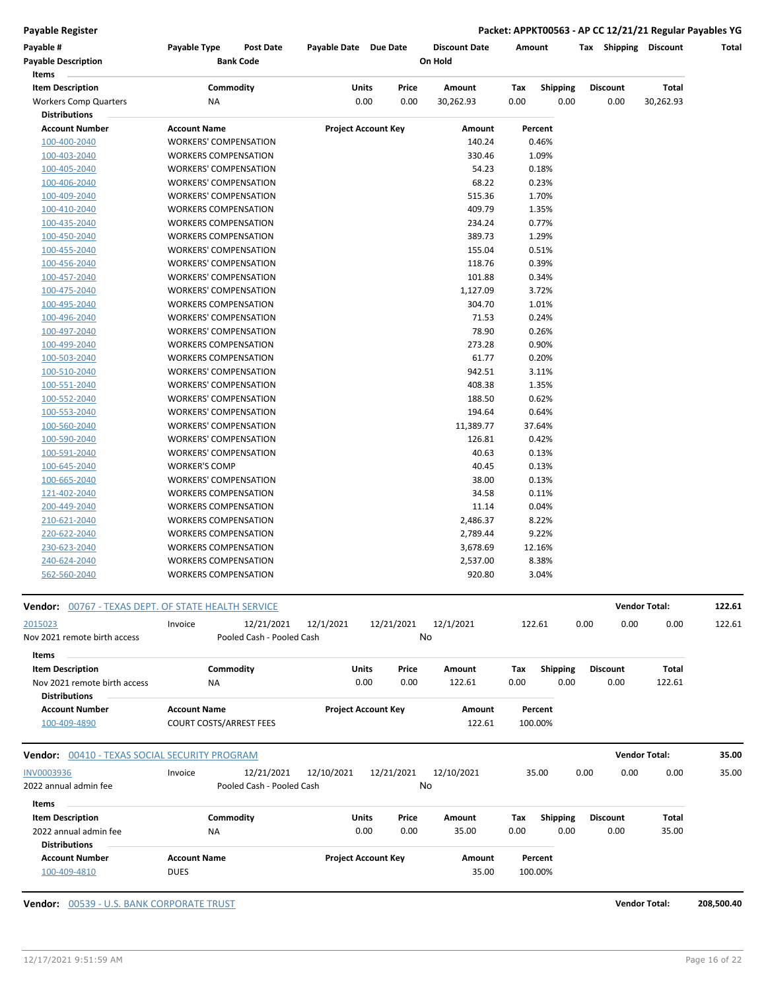**Payable Register Packet: APPKT00563 - AP CC 12/21/21 Regular Payables YG**

| Payable #<br><b>Payable Description</b>             | Payable Type                                                | <b>Post Date</b><br><b>Bank Code</b> | Payable Date Due Date      |       |       | <b>Discount Date</b><br>On Hold | Amount |                 | Tax Shipping    | Discount             | Total  |
|-----------------------------------------------------|-------------------------------------------------------------|--------------------------------------|----------------------------|-------|-------|---------------------------------|--------|-----------------|-----------------|----------------------|--------|
| Items                                               |                                                             |                                      |                            |       |       |                                 |        |                 |                 |                      |        |
| <b>Item Description</b>                             |                                                             | Commodity                            |                            | Units | Price | Amount                          | Tax    | <b>Shipping</b> | <b>Discount</b> | <b>Total</b>         |        |
| <b>Workers Comp Quarters</b>                        | <b>NA</b>                                                   |                                      |                            | 0.00  | 0.00  | 30,262.93                       | 0.00   | 0.00            | 0.00            | 30,262.93            |        |
| <b>Distributions</b>                                |                                                             |                                      |                            |       |       |                                 |        |                 |                 |                      |        |
| <b>Account Number</b>                               | <b>Account Name</b>                                         |                                      | <b>Project Account Key</b> |       |       | Amount                          |        | Percent         |                 |                      |        |
| 100-400-2040                                        | WORKERS' COMPENSATION                                       |                                      |                            |       |       | 140.24                          |        | 0.46%           |                 |                      |        |
| 100-403-2040                                        | <b>WORKERS COMPENSATION</b>                                 |                                      |                            |       |       | 330.46                          |        | 1.09%           |                 |                      |        |
| 100-405-2040                                        | <b>WORKERS' COMPENSATION</b>                                |                                      |                            |       |       | 54.23                           |        | 0.18%           |                 |                      |        |
| 100-406-2040                                        | <b>WORKERS' COMPENSATION</b>                                |                                      |                            |       |       | 68.22                           |        | 0.23%           |                 |                      |        |
| 100-409-2040                                        | <b>WORKERS' COMPENSATION</b>                                |                                      |                            |       |       | 515.36<br>409.79                |        | 1.70%<br>1.35%  |                 |                      |        |
| 100-410-2040                                        | <b>WORKERS COMPENSATION</b>                                 |                                      |                            |       |       | 234.24                          |        | 0.77%           |                 |                      |        |
| 100-435-2040                                        | <b>WORKERS COMPENSATION</b>                                 |                                      |                            |       |       | 389.73                          |        | 1.29%           |                 |                      |        |
| 100-450-2040                                        | <b>WORKERS COMPENSATION</b><br><b>WORKERS' COMPENSATION</b> |                                      |                            |       |       | 155.04                          |        |                 |                 |                      |        |
| 100-455-2040                                        |                                                             |                                      |                            |       |       | 118.76                          |        | 0.51%<br>0.39%  |                 |                      |        |
| 100-456-2040<br>100-457-2040                        | WORKERS' COMPENSATION<br>WORKERS' COMPENSATION              |                                      |                            |       |       | 101.88                          |        | 0.34%           |                 |                      |        |
| 100-475-2040                                        | WORKERS' COMPENSATION                                       |                                      |                            |       |       | 1,127.09                        |        | 3.72%           |                 |                      |        |
| 100-495-2040                                        | <b>WORKERS COMPENSATION</b>                                 |                                      |                            |       |       | 304.70                          |        | 1.01%           |                 |                      |        |
| 100-496-2040                                        | <b>WORKERS' COMPENSATION</b>                                |                                      |                            |       |       | 71.53                           |        | 0.24%           |                 |                      |        |
| 100-497-2040                                        | WORKERS' COMPENSATION                                       |                                      |                            |       |       | 78.90                           |        | 0.26%           |                 |                      |        |
| 100-499-2040                                        | <b>WORKERS COMPENSATION</b>                                 |                                      |                            |       |       | 273.28                          |        | 0.90%           |                 |                      |        |
| 100-503-2040                                        | <b>WORKERS COMPENSATION</b>                                 |                                      |                            |       |       | 61.77                           |        | 0.20%           |                 |                      |        |
| 100-510-2040                                        | <b>WORKERS' COMPENSATION</b>                                |                                      |                            |       |       | 942.51                          |        | 3.11%           |                 |                      |        |
| 100-551-2040                                        | <b>WORKERS' COMPENSATION</b>                                |                                      |                            |       |       | 408.38                          |        | 1.35%           |                 |                      |        |
| 100-552-2040                                        | WORKERS' COMPENSATION                                       |                                      |                            |       |       | 188.50                          |        | 0.62%           |                 |                      |        |
| 100-553-2040                                        | WORKERS' COMPENSATION                                       |                                      |                            |       |       | 194.64                          |        | 0.64%           |                 |                      |        |
| 100-560-2040                                        | WORKERS' COMPENSATION                                       |                                      |                            |       |       | 11,389.77                       |        | 37.64%          |                 |                      |        |
| 100-590-2040                                        | <b>WORKERS' COMPENSATION</b>                                |                                      |                            |       |       | 126.81                          |        | 0.42%           |                 |                      |        |
| 100-591-2040                                        | <b>WORKERS' COMPENSATION</b>                                |                                      |                            |       |       | 40.63                           |        | 0.13%           |                 |                      |        |
| 100-645-2040                                        | <b>WORKER'S COMP</b>                                        |                                      |                            |       |       | 40.45                           |        | 0.13%           |                 |                      |        |
| 100-665-2040                                        | WORKERS' COMPENSATION                                       |                                      |                            |       |       | 38.00                           |        | 0.13%           |                 |                      |        |
| 121-402-2040                                        | <b>WORKERS COMPENSATION</b>                                 |                                      |                            |       |       | 34.58                           |        | 0.11%           |                 |                      |        |
| 200-449-2040                                        | <b>WORKERS COMPENSATION</b>                                 |                                      |                            |       |       | 11.14                           |        | 0.04%           |                 |                      |        |
| 210-621-2040                                        | <b>WORKERS COMPENSATION</b>                                 |                                      |                            |       |       | 2,486.37                        |        | 8.22%           |                 |                      |        |
| 220-622-2040                                        | <b>WORKERS COMPENSATION</b>                                 |                                      |                            |       |       | 2,789.44                        |        | 9.22%           |                 |                      |        |
| 230-623-2040                                        | <b>WORKERS COMPENSATION</b>                                 |                                      |                            |       |       | 3,678.69                        |        | 12.16%          |                 |                      |        |
| 240-624-2040                                        | <b>WORKERS COMPENSATION</b>                                 |                                      |                            |       |       | 2,537.00                        |        | 8.38%           |                 |                      |        |
| 562-560-2040                                        | <b>WORKERS COMPENSATION</b>                                 |                                      |                            |       |       | 920.80                          |        | 3.04%           |                 |                      |        |
| Vendor: 00767 - TEXAS DEPT. OF STATE HEALTH SERVICE |                                                             |                                      |                            |       |       |                                 |        |                 |                 | <b>Vendor Total:</b> | 122.61 |
| 2015023                                             | Invoice                                                     | 12/21/2021                           | 12/1/2021                  |       |       |                                 |        |                 | 0.00<br>0.00    | 0.00                 |        |
| Nov 2021 remote birth access                        |                                                             | Pooled Cash - Pooled Cash            |                            |       |       | 12/21/2021 12/1/2021<br>No      |        | 122.61          |                 |                      | 122.61 |
|                                                     |                                                             |                                      |                            |       |       |                                 |        |                 |                 |                      |        |
| Items                                               |                                                             |                                      |                            |       |       |                                 |        |                 |                 |                      |        |
| <b>Item Description</b>                             |                                                             | Commodity                            |                            | Units | Price | Amount                          | Tax    | <b>Shipping</b> | <b>Discount</b> | Total                |        |
| Nov 2021 remote birth access                        | ΝA                                                          |                                      |                            | 0.00  | 0.00  | 122.61                          | 0.00   | 0.00            | 0.00            | 122.61               |        |
| <b>Distributions</b>                                |                                                             |                                      |                            |       |       |                                 |        |                 |                 |                      |        |
| <b>Account Number</b>                               | <b>Account Name</b>                                         |                                      | <b>Project Account Key</b> |       |       | Amount                          |        | Percent         |                 |                      |        |
| 100-409-4890                                        | <b>COURT COSTS/ARREST FEES</b>                              |                                      |                            |       |       | 122.61                          |        | 100.00%         |                 |                      |        |

| Vendor:                                       | 00410 - TEXAS SOCIAL SECURITY PROGRAM |                                                       |                            |                  |                    |                 | <b>Vendor Total:</b> |       | 35.00 |
|-----------------------------------------------|---------------------------------------|-------------------------------------------------------|----------------------------|------------------|--------------------|-----------------|----------------------|-------|-------|
| <b>INV0003936</b><br>2022 annual admin fee    | Invoice                               | 12/10/2021<br>12/21/2021<br>Pooled Cash - Pooled Cash | 12/21/2021                 | 12/10/2021<br>No |                    | 35.00           | 0.00<br>0.00         | 0.00  | 35.00 |
| Items<br><b>Item Description</b>              | Commodity                             |                                                       | Price<br><b>Units</b>      | Amount           | Tax                | <b>Shipping</b> | <b>Discount</b>      | Total |       |
| 2022 annual admin fee<br><b>Distributions</b> | <b>NA</b>                             |                                                       | 0.00<br>0.00               | 35.00            | 0.00               | 0.00            | 0.00                 | 35.00 |       |
| <b>Account Number</b><br>100-409-4810         | <b>Account Name</b><br><b>DUES</b>    |                                                       | <b>Project Account Key</b> | Amount<br>35.00  | Percent<br>100.00% |                 |                      |       |       |

**Vendor:** 00539 - U.S. BANK CORPORATE TRUST **Vendor Total: 208,500.40**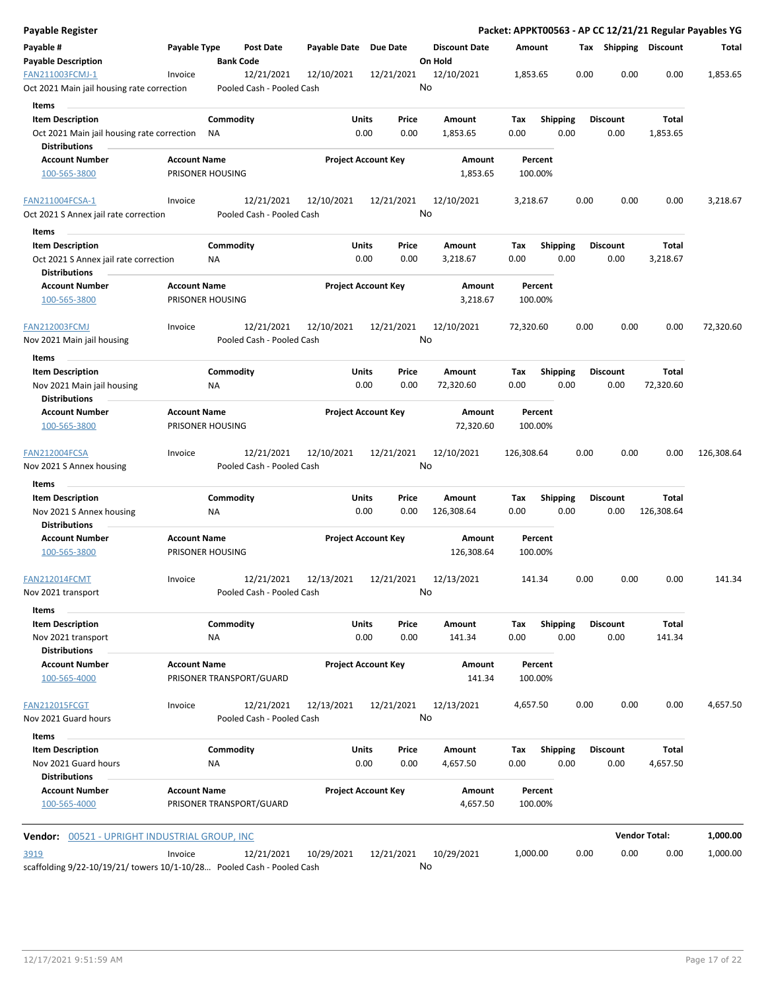| <b>Payable Register</b>                                                        |                     |                  |                                         |                            |               |               |                           |             |                         |      |                         |                       | Packet: APPKT00563 - AP CC 12/21/21 Regular Payables YG |
|--------------------------------------------------------------------------------|---------------------|------------------|-----------------------------------------|----------------------------|---------------|---------------|---------------------------|-------------|-------------------------|------|-------------------------|-----------------------|---------------------------------------------------------|
| Payable #                                                                      | Payable Type        |                  | <b>Post Date</b>                        | Payable Date               | Due Date      |               | <b>Discount Date</b>      | Amount      |                         |      |                         | Tax Shipping Discount | Total                                                   |
| <b>Payable Description</b>                                                     |                     |                  | <b>Bank Code</b>                        |                            |               |               | On Hold                   |             |                         |      |                         |                       |                                                         |
| FAN211003FCMJ-1<br>Oct 2021 Main jail housing rate correction                  | Invoice             |                  | 12/21/2021<br>Pooled Cash - Pooled Cash | 12/10/2021                 |               | 12/21/2021    | 12/10/2021<br>No          | 1,853.65    |                         | 0.00 | 0.00                    | 0.00                  | 1,853.65                                                |
| Items                                                                          |                     |                  |                                         |                            |               |               |                           |             |                         |      |                         |                       |                                                         |
| <b>Item Description</b>                                                        |                     | Commodity        |                                         |                            | Units         | Price         | Amount                    | Tax         | <b>Shipping</b>         |      | <b>Discount</b>         | Total                 |                                                         |
| Oct 2021 Main jail housing rate correction                                     |                     | ΝA               |                                         |                            | 0.00          | 0.00          | 1,853.65                  | 0.00        | 0.00                    |      | 0.00                    | 1,853.65              |                                                         |
| <b>Distributions</b>                                                           |                     |                  |                                         |                            |               |               |                           |             |                         |      |                         |                       |                                                         |
| <b>Account Number</b>                                                          | <b>Account Name</b> |                  |                                         | <b>Project Account Key</b> |               |               | Amount                    |             | Percent                 |      |                         |                       |                                                         |
| 100-565-3800                                                                   |                     | PRISONER HOUSING |                                         |                            |               |               | 1,853.65                  |             | 100.00%                 |      |                         |                       |                                                         |
| FAN211004FCSA-1                                                                | Invoice             |                  | 12/21/2021                              | 12/10/2021                 |               | 12/21/2021    | 12/10/2021                | 3,218.67    |                         | 0.00 | 0.00                    | 0.00                  | 3,218.67                                                |
| Oct 2021 S Annex jail rate correction                                          |                     |                  | Pooled Cash - Pooled Cash               |                            |               |               | No                        |             |                         |      |                         |                       |                                                         |
| Items                                                                          |                     |                  |                                         |                            |               |               |                           |             |                         |      |                         |                       |                                                         |
| <b>Item Description</b>                                                        |                     | Commodity        |                                         |                            | Units         | Price         | Amount                    | Tax         | <b>Shipping</b>         |      | <b>Discount</b>         | Total                 |                                                         |
| Oct 2021 S Annex jail rate correction<br><b>Distributions</b>                  |                     | ΝA               |                                         |                            | 0.00          | 0.00          | 3,218.67                  | 0.00        | 0.00                    |      | 0.00                    | 3,218.67              |                                                         |
| <b>Account Number</b><br>100-565-3800                                          | <b>Account Name</b> | PRISONER HOUSING |                                         | <b>Project Account Key</b> |               |               | <b>Amount</b><br>3,218.67 |             | Percent<br>100.00%      |      |                         |                       |                                                         |
|                                                                                |                     |                  |                                         |                            |               |               |                           |             |                         |      |                         |                       |                                                         |
| <b>FAN212003FCMJ</b>                                                           | Invoice             |                  | 12/21/2021                              | 12/10/2021                 |               | 12/21/2021    | 12/10/2021                | 72,320.60   |                         | 0.00 | 0.00                    | 0.00                  | 72,320.60                                               |
| Nov 2021 Main jail housing                                                     |                     |                  | Pooled Cash - Pooled Cash               |                            |               |               | No                        |             |                         |      |                         |                       |                                                         |
| Items                                                                          |                     |                  |                                         |                            |               |               |                           |             |                         |      |                         |                       |                                                         |
| <b>Item Description</b>                                                        |                     | Commodity        |                                         |                            | Units         | Price         | Amount                    | Tax         | <b>Shipping</b>         |      | <b>Discount</b>         | Total                 |                                                         |
| Nov 2021 Main jail housing<br><b>Distributions</b>                             |                     | ΝA               |                                         |                            | 0.00          | 0.00          | 72,320.60                 | 0.00        | 0.00                    |      | 0.00                    | 72,320.60             |                                                         |
| <b>Account Number</b>                                                          | <b>Account Name</b> |                  |                                         | <b>Project Account Key</b> |               |               | Amount                    |             | Percent                 |      |                         |                       |                                                         |
| 100-565-3800                                                                   |                     | PRISONER HOUSING |                                         |                            |               |               | 72,320.60                 |             | 100.00%                 |      |                         |                       |                                                         |
| FAN212004FCSA<br>Nov 2021 S Annex housing                                      | Invoice             |                  | 12/21/2021<br>Pooled Cash - Pooled Cash | 12/10/2021                 |               | 12/21/2021    | 12/10/2021<br>No          | 126,308.64  |                         | 0.00 | 0.00                    | 0.00                  | 126,308.64                                              |
| Items                                                                          |                     |                  |                                         |                            |               |               |                           |             |                         |      |                         |                       |                                                         |
| <b>Item Description</b>                                                        |                     | Commodity        |                                         |                            | Units         | Price         | Amount                    | Tax         | <b>Shipping</b>         |      | <b>Discount</b>         | Total                 |                                                         |
| Nov 2021 S Annex housing<br><b>Distributions</b>                               |                     | ΝA               |                                         |                            | 0.00          | 0.00          | 126,308.64                | 0.00        | 0.00                    |      | 0.00                    | 126,308.64            |                                                         |
| <b>Account Number</b>                                                          | <b>Account Name</b> |                  |                                         | <b>Project Account Key</b> |               |               | Amount                    |             | Percent                 |      |                         |                       |                                                         |
| 100-565-3800                                                                   |                     | PRISONER HOUSING |                                         |                            |               |               | 126,308.64                |             | 100.00%                 |      |                         |                       |                                                         |
| <b>FAN212014FCMT</b>                                                           | Invoice             |                  | 12/21/2021                              | 12/13/2021                 |               | 12/21/2021    | 12/13/2021                |             | 141.34                  | 0.00 | 0.00                    | 0.00                  | 141.34                                                  |
| Nov 2021 transport                                                             |                     |                  | Pooled Cash - Pooled Cash               |                            |               |               | No                        |             |                         |      |                         |                       |                                                         |
| Items                                                                          |                     |                  |                                         |                            |               |               |                           |             |                         |      |                         |                       |                                                         |
| <b>Item Description</b>                                                        |                     | Commodity        |                                         |                            | Units         | Price         | Amount                    | Tax         | Shipping                |      | <b>Discount</b>         | Total                 |                                                         |
| Nov 2021 transport<br><b>Distributions</b>                                     |                     | ΝA               |                                         |                            | 0.00          | 0.00          | 141.34                    | 0.00        | 0.00                    |      | 0.00                    | 141.34                |                                                         |
| <b>Account Number</b><br>100-565-4000                                          | <b>Account Name</b> |                  | PRISONER TRANSPORT/GUARD                | <b>Project Account Key</b> |               |               | Amount<br>141.34          |             | Percent<br>100.00%      |      |                         |                       |                                                         |
| <b>FAN212015FCGT</b>                                                           | Invoice             |                  | 12/21/2021                              | 12/13/2021                 |               | 12/21/2021    | 12/13/2021                | 4,657.50    |                         | 0.00 | 0.00                    | 0.00                  | 4,657.50                                                |
| Nov 2021 Guard hours                                                           |                     |                  | Pooled Cash - Pooled Cash               |                            |               |               | No                        |             |                         |      |                         |                       |                                                         |
| Items                                                                          |                     |                  |                                         |                            |               |               |                           |             |                         |      |                         |                       |                                                         |
| <b>Item Description</b><br>Nov 2021 Guard hours                                |                     | Commodity<br>ΝA  |                                         |                            | Units<br>0.00 | Price<br>0.00 | Amount<br>4,657.50        | Тах<br>0.00 | <b>Shipping</b><br>0.00 |      | <b>Discount</b><br>0.00 | Total<br>4,657.50     |                                                         |
| <b>Distributions</b>                                                           |                     |                  |                                         |                            |               |               |                           |             |                         |      |                         |                       |                                                         |
| <b>Account Number</b>                                                          | <b>Account Name</b> |                  |                                         | <b>Project Account Key</b> |               |               | Amount                    |             | Percent                 |      |                         |                       |                                                         |
| 100-565-4000                                                                   |                     |                  | PRISONER TRANSPORT/GUARD                |                            |               |               | 4,657.50                  |             | 100.00%                 |      |                         |                       |                                                         |
| <b>Vendor: 00521 - UPRIGHT INDUSTRIAL GROUP, INC</b>                           |                     |                  |                                         |                            |               |               |                           |             |                         |      |                         | <b>Vendor Total:</b>  | 1,000.00                                                |
|                                                                                |                     |                  |                                         |                            |               |               |                           |             |                         |      |                         |                       | 1,000.00                                                |
| 3919<br>scaffolding 9/22-10/19/21/ towers 10/1-10/28 Pooled Cash - Pooled Cash | Invoice             |                  | 12/21/2021                              | 10/29/2021                 |               | 12/21/2021    | 10/29/2021<br>No          | 1,000.00    |                         | 0.00 | 0.00                    | 0.00                  |                                                         |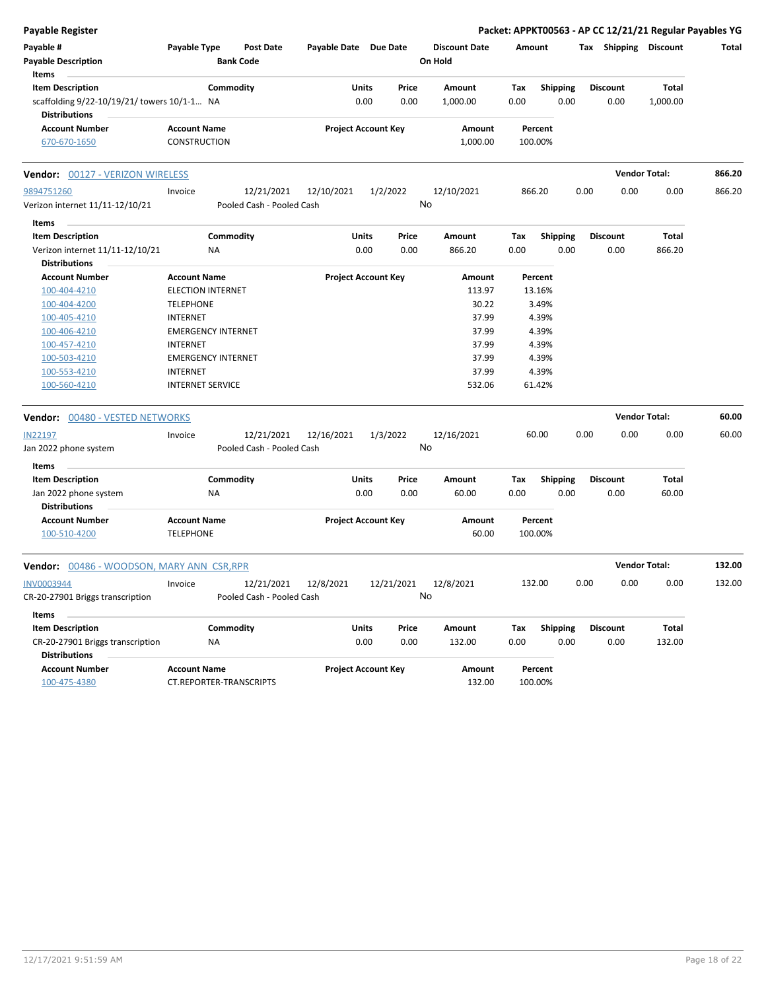| Payable #<br>Payable Type<br><b>Post Date</b><br>Payable Date Due Date<br><b>Discount Date</b><br>Amount<br>Tax Shipping Discount<br><b>Payable Description</b><br><b>Bank Code</b><br>On Hold<br>Items<br><b>Item Description</b><br>Commodity<br><b>Units</b><br>Price<br>Total<br>Amount<br>Tax<br><b>Shipping</b><br><b>Discount</b><br>0.00<br>0.00<br>0.00<br>0.00<br>scaffolding 9/22-10/19/21/ towers 10/1-1 NA<br>1,000.00<br>0.00<br>1,000.00<br><b>Distributions</b><br><b>Account Number</b><br><b>Project Account Key</b><br><b>Account Name</b><br>Amount<br>Percent<br>CONSTRUCTION<br>1,000.00<br>100.00%<br>670-670-1650<br><b>Vendor Total:</b><br><b>Vendor: 00127 - VERIZON WIRELESS</b><br>9894751260<br>12/21/2021<br>12/10/2021<br>1/2/2022<br>12/10/2021<br>866.20<br>0.00<br>0.00<br>0.00<br>Invoice<br>No<br>Verizon internet 11/11-12/10/21<br>Pooled Cash - Pooled Cash<br>Items<br>Commodity<br>Units<br><b>Item Description</b><br>Price<br>Amount<br>Tax<br><b>Shipping</b><br><b>Discount</b><br>Total<br>0.00<br>0.00<br>Verizon internet 11/11-12/10/21<br>0.00<br>866.20<br>0.00<br>0.00<br>866.20<br>ΝA<br><b>Distributions</b><br><b>Project Account Key</b><br><b>Account Number</b><br><b>Account Name</b><br>Amount<br>Percent<br><b>ELECTION INTERNET</b><br>113.97<br>13.16%<br>100-404-4210<br>30.22<br>3.49%<br>100-404-4200<br><b>TELEPHONE</b><br>100-405-4210<br>37.99<br>4.39%<br><b>INTERNET</b><br>100-406-4210<br>37.99<br>4.39%<br><b>EMERGENCY INTERNET</b><br>37.99<br>4.39%<br>100-457-4210<br><b>INTERNET</b><br>37.99<br>4.39%<br>100-503-4210<br><b>EMERGENCY INTERNET</b><br>37.99<br>4.39%<br>100-553-4210<br>INTERNET<br>532.06<br>61.42%<br>100-560-4210<br><b>INTERNET SERVICE</b><br><b>Vendor Total:</b><br>Vendor: 00480 - VESTED NETWORKS<br>12/16/2021<br>60.00<br>0.00<br>0.00<br>0.00<br><b>IN22197</b><br>12/21/2021<br>12/16/2021<br>1/3/2022<br>Invoice<br>No<br>Pooled Cash - Pooled Cash<br>Jan 2022 phone system<br>Items<br><b>Item Description</b><br>Commodity<br>Units<br>Price<br>Amount<br><b>Discount</b><br>Total<br>Tax<br><b>Shipping</b><br>0.00<br>60.00<br>Jan 2022 phone system<br>0.00<br>0.00<br>60.00<br>0.00<br>0.00<br>ΝA<br><b>Distributions</b><br><b>Project Account Key</b><br><b>Account Number</b><br><b>Account Name</b><br>Amount<br>Percent<br>100-510-4200<br><b>TELEPHONE</b><br>60.00<br>100.00%<br><b>Vendor Total:</b><br>Vendor: 00486 - WOODSON, MARY ANN CSR, RPR<br><b>INV0003944</b><br>12/8/2021<br>12/21/2021<br>12/8/2021<br>132.00<br>0.00<br>0.00<br>0.00<br>132.00<br>12/21/2021<br>Invoice<br>No<br>Pooled Cash - Pooled Cash<br>CR-20-27901 Briggs transcription<br>Items<br>Commodity<br>Total<br><b>Item Description</b><br><b>Units</b><br>Price<br>Amount<br>Tax<br><b>Shipping</b><br><b>Discount</b><br>0.00<br>0.00<br>132.00<br>0.00<br>0.00<br>0.00<br>132.00<br>CR-20-27901 Briggs transcription<br>NA<br><b>Distributions</b><br><b>Account Number</b><br><b>Account Name</b><br><b>Project Account Key</b><br>Percent<br>Amount<br>100-475-4380<br>CT.REPORTER-TRANSCRIPTS<br>132.00<br>100.00% | <b>Payable Register</b> |  |  |  |  |  | Packet: APPKT00563 - AP CC 12/21/21 Regular Payables YG |        |
|---------------------------------------------------------------------------------------------------------------------------------------------------------------------------------------------------------------------------------------------------------------------------------------------------------------------------------------------------------------------------------------------------------------------------------------------------------------------------------------------------------------------------------------------------------------------------------------------------------------------------------------------------------------------------------------------------------------------------------------------------------------------------------------------------------------------------------------------------------------------------------------------------------------------------------------------------------------------------------------------------------------------------------------------------------------------------------------------------------------------------------------------------------------------------------------------------------------------------------------------------------------------------------------------------------------------------------------------------------------------------------------------------------------------------------------------------------------------------------------------------------------------------------------------------------------------------------------------------------------------------------------------------------------------------------------------------------------------------------------------------------------------------------------------------------------------------------------------------------------------------------------------------------------------------------------------------------------------------------------------------------------------------------------------------------------------------------------------------------------------------------------------------------------------------------------------------------------------------------------------------------------------------------------------------------------------------------------------------------------------------------------------------------------------------------------------------------------------------------------------------------------------------------------------------------------------------------------------------------------------------------------------------------------------------------------------------------------------------------------------------------------------------------------------------------------------------------------------------------------------------------------------------------------------------------------------------------------------------------------------------------------------------------------------------------------------------------------------------------------------------------------|-------------------------|--|--|--|--|--|---------------------------------------------------------|--------|
|                                                                                                                                                                                                                                                                                                                                                                                                                                                                                                                                                                                                                                                                                                                                                                                                                                                                                                                                                                                                                                                                                                                                                                                                                                                                                                                                                                                                                                                                                                                                                                                                                                                                                                                                                                                                                                                                                                                                                                                                                                                                                                                                                                                                                                                                                                                                                                                                                                                                                                                                                                                                                                                                                                                                                                                                                                                                                                                                                                                                                                                                                                                                       |                         |  |  |  |  |  |                                                         | Total  |
|                                                                                                                                                                                                                                                                                                                                                                                                                                                                                                                                                                                                                                                                                                                                                                                                                                                                                                                                                                                                                                                                                                                                                                                                                                                                                                                                                                                                                                                                                                                                                                                                                                                                                                                                                                                                                                                                                                                                                                                                                                                                                                                                                                                                                                                                                                                                                                                                                                                                                                                                                                                                                                                                                                                                                                                                                                                                                                                                                                                                                                                                                                                                       |                         |  |  |  |  |  |                                                         |        |
|                                                                                                                                                                                                                                                                                                                                                                                                                                                                                                                                                                                                                                                                                                                                                                                                                                                                                                                                                                                                                                                                                                                                                                                                                                                                                                                                                                                                                                                                                                                                                                                                                                                                                                                                                                                                                                                                                                                                                                                                                                                                                                                                                                                                                                                                                                                                                                                                                                                                                                                                                                                                                                                                                                                                                                                                                                                                                                                                                                                                                                                                                                                                       |                         |  |  |  |  |  |                                                         |        |
|                                                                                                                                                                                                                                                                                                                                                                                                                                                                                                                                                                                                                                                                                                                                                                                                                                                                                                                                                                                                                                                                                                                                                                                                                                                                                                                                                                                                                                                                                                                                                                                                                                                                                                                                                                                                                                                                                                                                                                                                                                                                                                                                                                                                                                                                                                                                                                                                                                                                                                                                                                                                                                                                                                                                                                                                                                                                                                                                                                                                                                                                                                                                       |                         |  |  |  |  |  |                                                         |        |
|                                                                                                                                                                                                                                                                                                                                                                                                                                                                                                                                                                                                                                                                                                                                                                                                                                                                                                                                                                                                                                                                                                                                                                                                                                                                                                                                                                                                                                                                                                                                                                                                                                                                                                                                                                                                                                                                                                                                                                                                                                                                                                                                                                                                                                                                                                                                                                                                                                                                                                                                                                                                                                                                                                                                                                                                                                                                                                                                                                                                                                                                                                                                       |                         |  |  |  |  |  |                                                         |        |
|                                                                                                                                                                                                                                                                                                                                                                                                                                                                                                                                                                                                                                                                                                                                                                                                                                                                                                                                                                                                                                                                                                                                                                                                                                                                                                                                                                                                                                                                                                                                                                                                                                                                                                                                                                                                                                                                                                                                                                                                                                                                                                                                                                                                                                                                                                                                                                                                                                                                                                                                                                                                                                                                                                                                                                                                                                                                                                                                                                                                                                                                                                                                       |                         |  |  |  |  |  |                                                         |        |
|                                                                                                                                                                                                                                                                                                                                                                                                                                                                                                                                                                                                                                                                                                                                                                                                                                                                                                                                                                                                                                                                                                                                                                                                                                                                                                                                                                                                                                                                                                                                                                                                                                                                                                                                                                                                                                                                                                                                                                                                                                                                                                                                                                                                                                                                                                                                                                                                                                                                                                                                                                                                                                                                                                                                                                                                                                                                                                                                                                                                                                                                                                                                       |                         |  |  |  |  |  |                                                         | 866.20 |
|                                                                                                                                                                                                                                                                                                                                                                                                                                                                                                                                                                                                                                                                                                                                                                                                                                                                                                                                                                                                                                                                                                                                                                                                                                                                                                                                                                                                                                                                                                                                                                                                                                                                                                                                                                                                                                                                                                                                                                                                                                                                                                                                                                                                                                                                                                                                                                                                                                                                                                                                                                                                                                                                                                                                                                                                                                                                                                                                                                                                                                                                                                                                       |                         |  |  |  |  |  |                                                         | 866.20 |
|                                                                                                                                                                                                                                                                                                                                                                                                                                                                                                                                                                                                                                                                                                                                                                                                                                                                                                                                                                                                                                                                                                                                                                                                                                                                                                                                                                                                                                                                                                                                                                                                                                                                                                                                                                                                                                                                                                                                                                                                                                                                                                                                                                                                                                                                                                                                                                                                                                                                                                                                                                                                                                                                                                                                                                                                                                                                                                                                                                                                                                                                                                                                       |                         |  |  |  |  |  |                                                         |        |
|                                                                                                                                                                                                                                                                                                                                                                                                                                                                                                                                                                                                                                                                                                                                                                                                                                                                                                                                                                                                                                                                                                                                                                                                                                                                                                                                                                                                                                                                                                                                                                                                                                                                                                                                                                                                                                                                                                                                                                                                                                                                                                                                                                                                                                                                                                                                                                                                                                                                                                                                                                                                                                                                                                                                                                                                                                                                                                                                                                                                                                                                                                                                       |                         |  |  |  |  |  |                                                         |        |
|                                                                                                                                                                                                                                                                                                                                                                                                                                                                                                                                                                                                                                                                                                                                                                                                                                                                                                                                                                                                                                                                                                                                                                                                                                                                                                                                                                                                                                                                                                                                                                                                                                                                                                                                                                                                                                                                                                                                                                                                                                                                                                                                                                                                                                                                                                                                                                                                                                                                                                                                                                                                                                                                                                                                                                                                                                                                                                                                                                                                                                                                                                                                       |                         |  |  |  |  |  |                                                         |        |
|                                                                                                                                                                                                                                                                                                                                                                                                                                                                                                                                                                                                                                                                                                                                                                                                                                                                                                                                                                                                                                                                                                                                                                                                                                                                                                                                                                                                                                                                                                                                                                                                                                                                                                                                                                                                                                                                                                                                                                                                                                                                                                                                                                                                                                                                                                                                                                                                                                                                                                                                                                                                                                                                                                                                                                                                                                                                                                                                                                                                                                                                                                                                       |                         |  |  |  |  |  |                                                         |        |
|                                                                                                                                                                                                                                                                                                                                                                                                                                                                                                                                                                                                                                                                                                                                                                                                                                                                                                                                                                                                                                                                                                                                                                                                                                                                                                                                                                                                                                                                                                                                                                                                                                                                                                                                                                                                                                                                                                                                                                                                                                                                                                                                                                                                                                                                                                                                                                                                                                                                                                                                                                                                                                                                                                                                                                                                                                                                                                                                                                                                                                                                                                                                       |                         |  |  |  |  |  |                                                         |        |
|                                                                                                                                                                                                                                                                                                                                                                                                                                                                                                                                                                                                                                                                                                                                                                                                                                                                                                                                                                                                                                                                                                                                                                                                                                                                                                                                                                                                                                                                                                                                                                                                                                                                                                                                                                                                                                                                                                                                                                                                                                                                                                                                                                                                                                                                                                                                                                                                                                                                                                                                                                                                                                                                                                                                                                                                                                                                                                                                                                                                                                                                                                                                       |                         |  |  |  |  |  |                                                         |        |
|                                                                                                                                                                                                                                                                                                                                                                                                                                                                                                                                                                                                                                                                                                                                                                                                                                                                                                                                                                                                                                                                                                                                                                                                                                                                                                                                                                                                                                                                                                                                                                                                                                                                                                                                                                                                                                                                                                                                                                                                                                                                                                                                                                                                                                                                                                                                                                                                                                                                                                                                                                                                                                                                                                                                                                                                                                                                                                                                                                                                                                                                                                                                       |                         |  |  |  |  |  |                                                         |        |
|                                                                                                                                                                                                                                                                                                                                                                                                                                                                                                                                                                                                                                                                                                                                                                                                                                                                                                                                                                                                                                                                                                                                                                                                                                                                                                                                                                                                                                                                                                                                                                                                                                                                                                                                                                                                                                                                                                                                                                                                                                                                                                                                                                                                                                                                                                                                                                                                                                                                                                                                                                                                                                                                                                                                                                                                                                                                                                                                                                                                                                                                                                                                       |                         |  |  |  |  |  |                                                         |        |
|                                                                                                                                                                                                                                                                                                                                                                                                                                                                                                                                                                                                                                                                                                                                                                                                                                                                                                                                                                                                                                                                                                                                                                                                                                                                                                                                                                                                                                                                                                                                                                                                                                                                                                                                                                                                                                                                                                                                                                                                                                                                                                                                                                                                                                                                                                                                                                                                                                                                                                                                                                                                                                                                                                                                                                                                                                                                                                                                                                                                                                                                                                                                       |                         |  |  |  |  |  |                                                         |        |
|                                                                                                                                                                                                                                                                                                                                                                                                                                                                                                                                                                                                                                                                                                                                                                                                                                                                                                                                                                                                                                                                                                                                                                                                                                                                                                                                                                                                                                                                                                                                                                                                                                                                                                                                                                                                                                                                                                                                                                                                                                                                                                                                                                                                                                                                                                                                                                                                                                                                                                                                                                                                                                                                                                                                                                                                                                                                                                                                                                                                                                                                                                                                       |                         |  |  |  |  |  |                                                         |        |
|                                                                                                                                                                                                                                                                                                                                                                                                                                                                                                                                                                                                                                                                                                                                                                                                                                                                                                                                                                                                                                                                                                                                                                                                                                                                                                                                                                                                                                                                                                                                                                                                                                                                                                                                                                                                                                                                                                                                                                                                                                                                                                                                                                                                                                                                                                                                                                                                                                                                                                                                                                                                                                                                                                                                                                                                                                                                                                                                                                                                                                                                                                                                       |                         |  |  |  |  |  |                                                         |        |
|                                                                                                                                                                                                                                                                                                                                                                                                                                                                                                                                                                                                                                                                                                                                                                                                                                                                                                                                                                                                                                                                                                                                                                                                                                                                                                                                                                                                                                                                                                                                                                                                                                                                                                                                                                                                                                                                                                                                                                                                                                                                                                                                                                                                                                                                                                                                                                                                                                                                                                                                                                                                                                                                                                                                                                                                                                                                                                                                                                                                                                                                                                                                       |                         |  |  |  |  |  |                                                         |        |
|                                                                                                                                                                                                                                                                                                                                                                                                                                                                                                                                                                                                                                                                                                                                                                                                                                                                                                                                                                                                                                                                                                                                                                                                                                                                                                                                                                                                                                                                                                                                                                                                                                                                                                                                                                                                                                                                                                                                                                                                                                                                                                                                                                                                                                                                                                                                                                                                                                                                                                                                                                                                                                                                                                                                                                                                                                                                                                                                                                                                                                                                                                                                       |                         |  |  |  |  |  |                                                         |        |
|                                                                                                                                                                                                                                                                                                                                                                                                                                                                                                                                                                                                                                                                                                                                                                                                                                                                                                                                                                                                                                                                                                                                                                                                                                                                                                                                                                                                                                                                                                                                                                                                                                                                                                                                                                                                                                                                                                                                                                                                                                                                                                                                                                                                                                                                                                                                                                                                                                                                                                                                                                                                                                                                                                                                                                                                                                                                                                                                                                                                                                                                                                                                       |                         |  |  |  |  |  |                                                         | 60.00  |
|                                                                                                                                                                                                                                                                                                                                                                                                                                                                                                                                                                                                                                                                                                                                                                                                                                                                                                                                                                                                                                                                                                                                                                                                                                                                                                                                                                                                                                                                                                                                                                                                                                                                                                                                                                                                                                                                                                                                                                                                                                                                                                                                                                                                                                                                                                                                                                                                                                                                                                                                                                                                                                                                                                                                                                                                                                                                                                                                                                                                                                                                                                                                       |                         |  |  |  |  |  |                                                         | 60.00  |
|                                                                                                                                                                                                                                                                                                                                                                                                                                                                                                                                                                                                                                                                                                                                                                                                                                                                                                                                                                                                                                                                                                                                                                                                                                                                                                                                                                                                                                                                                                                                                                                                                                                                                                                                                                                                                                                                                                                                                                                                                                                                                                                                                                                                                                                                                                                                                                                                                                                                                                                                                                                                                                                                                                                                                                                                                                                                                                                                                                                                                                                                                                                                       |                         |  |  |  |  |  |                                                         |        |
|                                                                                                                                                                                                                                                                                                                                                                                                                                                                                                                                                                                                                                                                                                                                                                                                                                                                                                                                                                                                                                                                                                                                                                                                                                                                                                                                                                                                                                                                                                                                                                                                                                                                                                                                                                                                                                                                                                                                                                                                                                                                                                                                                                                                                                                                                                                                                                                                                                                                                                                                                                                                                                                                                                                                                                                                                                                                                                                                                                                                                                                                                                                                       |                         |  |  |  |  |  |                                                         |        |
|                                                                                                                                                                                                                                                                                                                                                                                                                                                                                                                                                                                                                                                                                                                                                                                                                                                                                                                                                                                                                                                                                                                                                                                                                                                                                                                                                                                                                                                                                                                                                                                                                                                                                                                                                                                                                                                                                                                                                                                                                                                                                                                                                                                                                                                                                                                                                                                                                                                                                                                                                                                                                                                                                                                                                                                                                                                                                                                                                                                                                                                                                                                                       |                         |  |  |  |  |  |                                                         |        |
|                                                                                                                                                                                                                                                                                                                                                                                                                                                                                                                                                                                                                                                                                                                                                                                                                                                                                                                                                                                                                                                                                                                                                                                                                                                                                                                                                                                                                                                                                                                                                                                                                                                                                                                                                                                                                                                                                                                                                                                                                                                                                                                                                                                                                                                                                                                                                                                                                                                                                                                                                                                                                                                                                                                                                                                                                                                                                                                                                                                                                                                                                                                                       |                         |  |  |  |  |  |                                                         |        |
|                                                                                                                                                                                                                                                                                                                                                                                                                                                                                                                                                                                                                                                                                                                                                                                                                                                                                                                                                                                                                                                                                                                                                                                                                                                                                                                                                                                                                                                                                                                                                                                                                                                                                                                                                                                                                                                                                                                                                                                                                                                                                                                                                                                                                                                                                                                                                                                                                                                                                                                                                                                                                                                                                                                                                                                                                                                                                                                                                                                                                                                                                                                                       |                         |  |  |  |  |  |                                                         |        |
|                                                                                                                                                                                                                                                                                                                                                                                                                                                                                                                                                                                                                                                                                                                                                                                                                                                                                                                                                                                                                                                                                                                                                                                                                                                                                                                                                                                                                                                                                                                                                                                                                                                                                                                                                                                                                                                                                                                                                                                                                                                                                                                                                                                                                                                                                                                                                                                                                                                                                                                                                                                                                                                                                                                                                                                                                                                                                                                                                                                                                                                                                                                                       |                         |  |  |  |  |  |                                                         |        |
|                                                                                                                                                                                                                                                                                                                                                                                                                                                                                                                                                                                                                                                                                                                                                                                                                                                                                                                                                                                                                                                                                                                                                                                                                                                                                                                                                                                                                                                                                                                                                                                                                                                                                                                                                                                                                                                                                                                                                                                                                                                                                                                                                                                                                                                                                                                                                                                                                                                                                                                                                                                                                                                                                                                                                                                                                                                                                                                                                                                                                                                                                                                                       |                         |  |  |  |  |  |                                                         | 132.00 |
|                                                                                                                                                                                                                                                                                                                                                                                                                                                                                                                                                                                                                                                                                                                                                                                                                                                                                                                                                                                                                                                                                                                                                                                                                                                                                                                                                                                                                                                                                                                                                                                                                                                                                                                                                                                                                                                                                                                                                                                                                                                                                                                                                                                                                                                                                                                                                                                                                                                                                                                                                                                                                                                                                                                                                                                                                                                                                                                                                                                                                                                                                                                                       |                         |  |  |  |  |  |                                                         |        |
|                                                                                                                                                                                                                                                                                                                                                                                                                                                                                                                                                                                                                                                                                                                                                                                                                                                                                                                                                                                                                                                                                                                                                                                                                                                                                                                                                                                                                                                                                                                                                                                                                                                                                                                                                                                                                                                                                                                                                                                                                                                                                                                                                                                                                                                                                                                                                                                                                                                                                                                                                                                                                                                                                                                                                                                                                                                                                                                                                                                                                                                                                                                                       |                         |  |  |  |  |  |                                                         |        |
|                                                                                                                                                                                                                                                                                                                                                                                                                                                                                                                                                                                                                                                                                                                                                                                                                                                                                                                                                                                                                                                                                                                                                                                                                                                                                                                                                                                                                                                                                                                                                                                                                                                                                                                                                                                                                                                                                                                                                                                                                                                                                                                                                                                                                                                                                                                                                                                                                                                                                                                                                                                                                                                                                                                                                                                                                                                                                                                                                                                                                                                                                                                                       |                         |  |  |  |  |  |                                                         |        |
|                                                                                                                                                                                                                                                                                                                                                                                                                                                                                                                                                                                                                                                                                                                                                                                                                                                                                                                                                                                                                                                                                                                                                                                                                                                                                                                                                                                                                                                                                                                                                                                                                                                                                                                                                                                                                                                                                                                                                                                                                                                                                                                                                                                                                                                                                                                                                                                                                                                                                                                                                                                                                                                                                                                                                                                                                                                                                                                                                                                                                                                                                                                                       |                         |  |  |  |  |  |                                                         |        |
|                                                                                                                                                                                                                                                                                                                                                                                                                                                                                                                                                                                                                                                                                                                                                                                                                                                                                                                                                                                                                                                                                                                                                                                                                                                                                                                                                                                                                                                                                                                                                                                                                                                                                                                                                                                                                                                                                                                                                                                                                                                                                                                                                                                                                                                                                                                                                                                                                                                                                                                                                                                                                                                                                                                                                                                                                                                                                                                                                                                                                                                                                                                                       |                         |  |  |  |  |  |                                                         |        |
|                                                                                                                                                                                                                                                                                                                                                                                                                                                                                                                                                                                                                                                                                                                                                                                                                                                                                                                                                                                                                                                                                                                                                                                                                                                                                                                                                                                                                                                                                                                                                                                                                                                                                                                                                                                                                                                                                                                                                                                                                                                                                                                                                                                                                                                                                                                                                                                                                                                                                                                                                                                                                                                                                                                                                                                                                                                                                                                                                                                                                                                                                                                                       |                         |  |  |  |  |  |                                                         |        |
|                                                                                                                                                                                                                                                                                                                                                                                                                                                                                                                                                                                                                                                                                                                                                                                                                                                                                                                                                                                                                                                                                                                                                                                                                                                                                                                                                                                                                                                                                                                                                                                                                                                                                                                                                                                                                                                                                                                                                                                                                                                                                                                                                                                                                                                                                                                                                                                                                                                                                                                                                                                                                                                                                                                                                                                                                                                                                                                                                                                                                                                                                                                                       |                         |  |  |  |  |  |                                                         |        |
|                                                                                                                                                                                                                                                                                                                                                                                                                                                                                                                                                                                                                                                                                                                                                                                                                                                                                                                                                                                                                                                                                                                                                                                                                                                                                                                                                                                                                                                                                                                                                                                                                                                                                                                                                                                                                                                                                                                                                                                                                                                                                                                                                                                                                                                                                                                                                                                                                                                                                                                                                                                                                                                                                                                                                                                                                                                                                                                                                                                                                                                                                                                                       |                         |  |  |  |  |  |                                                         |        |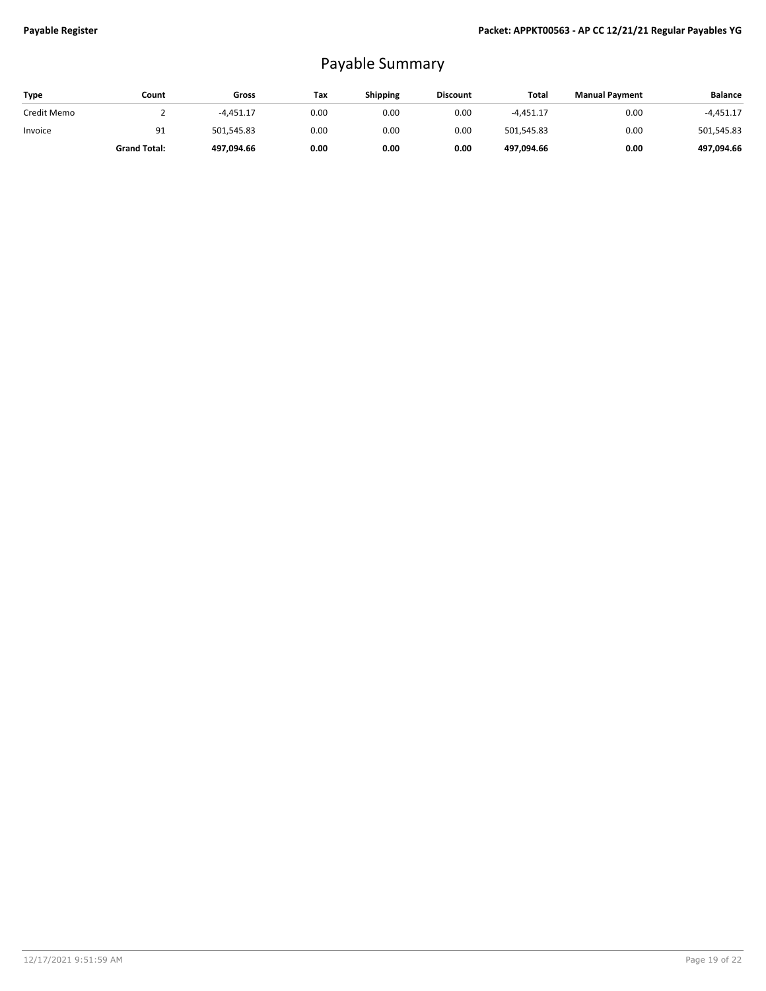# Payable Summary

| Type        | Count               | Gross       | Tax  | <b>Shipping</b> | <b>Discount</b> | Total       | <b>Manual Payment</b> | <b>Balance</b> |
|-------------|---------------------|-------------|------|-----------------|-----------------|-------------|-----------------------|----------------|
| Credit Memo |                     | $-4.451.17$ | 0.00 | 0.00            | 0.00            | $-4.451.17$ | 0.00                  | $-4,451.17$    |
| Invoice     | 91                  | 501.545.83  | 0.00 | 0.00            | 0.00            | 501,545.83  | 0.00                  | 501,545.83     |
|             | <b>Grand Total:</b> | 497.094.66  | 0.00 | 0.00            | 0.00            | 497.094.66  | 0.00                  | 497,094.66     |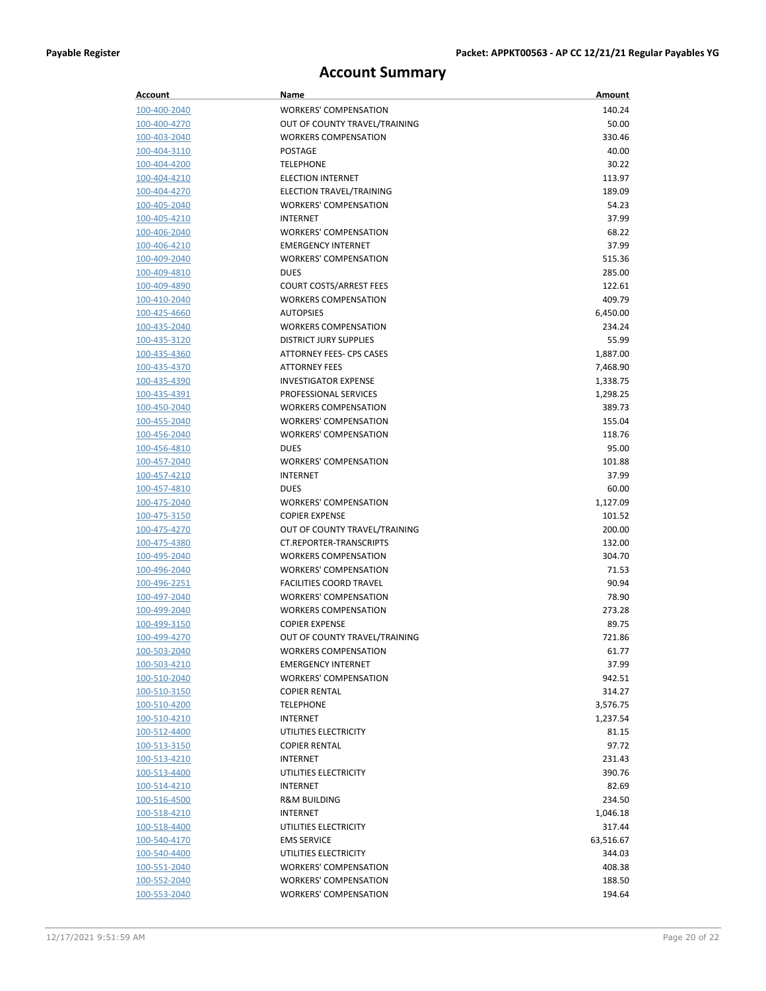# **Account Summary**

| Account                      | Name                                        | Amount          |
|------------------------------|---------------------------------------------|-----------------|
| 100-400-2040                 | <b>WORKERS' COMPENSATION</b>                | 140.24          |
| 100-400-4270                 | OUT OF COUNTY TRAVEL/TRAINING               | 50.00           |
| 100-403-2040                 | <b>WORKERS COMPENSATION</b>                 | 330.46          |
| 100-404-3110                 | <b>POSTAGE</b>                              | 40.00           |
| 100-404-4200                 | <b>TELEPHONE</b>                            | 30.22           |
| 100-404-4210                 | <b>ELECTION INTERNET</b>                    | 113.97          |
| 100-404-4270                 | ELECTION TRAVEL/TRAINING                    | 189.09          |
| 100-405-2040                 | <b>WORKERS' COMPENSATION</b>                | 54.23           |
| 100-405-4210                 | <b>INTERNET</b>                             | 37.99           |
| 100-406-2040                 | <b>WORKERS' COMPENSATION</b>                | 68.22           |
| 100-406-4210                 | <b>EMERGENCY INTERNET</b>                   | 37.99           |
| 100-409-2040                 | <b>WORKERS' COMPENSATION</b>                | 515.36          |
| 100-409-4810                 | <b>DUES</b>                                 | 285.00          |
| 100-409-4890                 | <b>COURT COSTS/ARREST FEES</b>              | 122.61          |
| 100-410-2040                 | <b>WORKERS COMPENSATION</b>                 | 409.79          |
| 100-425-4660                 | <b>AUTOPSIES</b>                            | 6,450.00        |
| 100-435-2040                 | <b>WORKERS COMPENSATION</b>                 | 234.24          |
| 100-435-3120                 | <b>DISTRICT JURY SUPPLIES</b>               | 55.99           |
| 100-435-4360                 | ATTORNEY FEES- CPS CASES                    | 1,887.00        |
| 100-435-4370                 | <b>ATTORNEY FEES</b>                        | 7,468.90        |
| 100-435-4390                 | <b>INVESTIGATOR EXPENSE</b>                 | 1,338.75        |
| 100-435-4391                 | PROFESSIONAL SERVICES                       | 1,298.25        |
| 100-450-2040                 | <b>WORKERS COMPENSATION</b>                 | 389.73          |
| 100-455-2040                 | <b>WORKERS' COMPENSATION</b>                | 155.04          |
| 100-456-2040<br>100-456-4810 | <b>WORKERS' COMPENSATION</b>                | 118.76<br>95.00 |
|                              | <b>DUES</b><br><b>WORKERS' COMPENSATION</b> | 101.88          |
| 100-457-2040<br>100-457-4210 | <b>INTERNET</b>                             | 37.99           |
| 100-457-4810                 | <b>DUES</b>                                 | 60.00           |
| 100-475-2040                 | <b>WORKERS' COMPENSATION</b>                | 1,127.09        |
| 100-475-3150                 | <b>COPIER EXPENSE</b>                       | 101.52          |
| 100-475-4270                 | OUT OF COUNTY TRAVEL/TRAINING               | 200.00          |
| 100-475-4380                 | CT.REPORTER-TRANSCRIPTS                     | 132.00          |
| 100-495-2040                 | <b>WORKERS COMPENSATION</b>                 | 304.70          |
| 100-496-2040                 | <b>WORKERS' COMPENSATION</b>                | 71.53           |
| 100-496-2251                 | <b>FACILITIES COORD TRAVEL</b>              | 90.94           |
| 100-497-2040                 | <b>WORKERS' COMPENSATION</b>                | 78.90           |
| 100-499-2040                 | <b>WORKERS COMPENSATION</b>                 | 273.28          |
| 100-499-3150                 | <b>COPIER EXPENSE</b>                       | 89.75           |
| 100-499-4270                 | OUT OF COUNTY TRAVEL/TRAINING               | 721.86          |
| 100-503-2040                 | <b>WORKERS COMPENSATION</b>                 | 61.77           |
| 100-503-4210                 | <b>EMERGENCY INTERNET</b>                   | 37.99           |
| 100-510-2040                 | <b>WORKERS' COMPENSATION</b>                | 942.51          |
| <u>100-510-3150</u>          | <b>COPIER RENTAL</b>                        | 314.27          |
| 100-510-4200                 | <b>TELEPHONE</b>                            | 3,576.75        |
| 100-510-4210                 | <b>INTERNET</b>                             | 1,237.54        |
| 100-512-4400                 | UTILITIES ELECTRICITY                       | 81.15           |
| 100-513-3150                 | <b>COPIER RENTAL</b>                        | 97.72           |
| 100-513-4210                 | <b>INTERNET</b>                             | 231.43          |
| 100-513-4400                 | UTILITIES ELECTRICITY                       | 390.76          |
| <u>100-514-4210</u>          | <b>INTERNET</b>                             | 82.69           |
| 100-516-4500                 | <b>R&amp;M BUILDING</b>                     | 234.50          |
| 100-518-4210                 | <b>INTERNET</b>                             | 1,046.18        |
| 100-518-4400                 | UTILITIES ELECTRICITY                       | 317.44          |
| 100-540-4170                 | <b>EMS SERVICE</b>                          | 63,516.67       |
| 100-540-4400                 | UTILITIES ELECTRICITY                       | 344.03          |
| 100-551-2040                 | <b>WORKERS' COMPENSATION</b>                | 408.38          |
| 100-552-2040                 | <b>WORKERS' COMPENSATION</b>                | 188.50          |
| 100-553-2040                 | <b>WORKERS' COMPENSATION</b>                | 194.64          |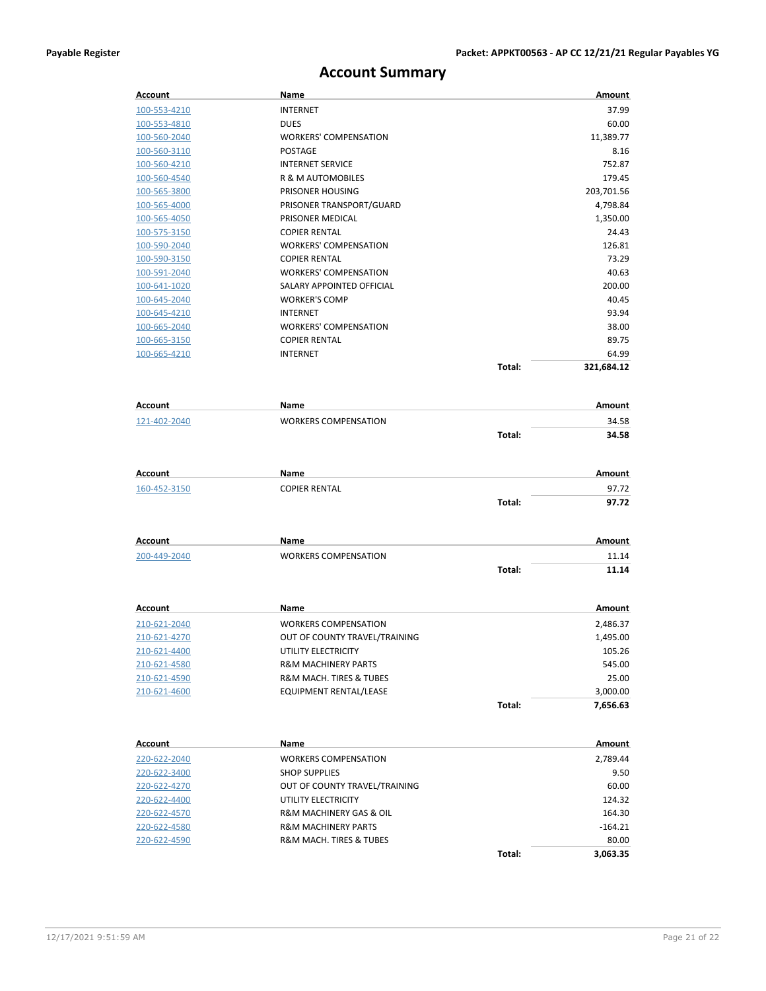# **Account Summary**

| Account             | Name                           |        | Amount     |
|---------------------|--------------------------------|--------|------------|
| 100-553-4210        | <b>INTERNET</b>                |        | 37.99      |
| 100-553-4810        | <b>DUES</b>                    |        | 60.00      |
| 100-560-2040        | <b>WORKERS' COMPENSATION</b>   |        | 11,389.77  |
| 100-560-3110        | <b>POSTAGE</b>                 |        | 8.16       |
| 100-560-4210        | <b>INTERNET SERVICE</b>        |        | 752.87     |
| 100-560-4540        | R & M AUTOMOBILES              |        | 179.45     |
| 100-565-3800        | PRISONER HOUSING               |        | 203,701.56 |
| 100-565-4000        | PRISONER TRANSPORT/GUARD       |        | 4,798.84   |
| 100-565-4050        | PRISONER MEDICAL               |        | 1,350.00   |
| 100-575-3150        | <b>COPIER RENTAL</b>           |        | 24.43      |
| 100-590-2040        | <b>WORKERS' COMPENSATION</b>   |        | 126.81     |
| 100-590-3150        | <b>COPIER RENTAL</b>           |        | 73.29      |
| 100-591-2040        | <b>WORKERS' COMPENSATION</b>   |        | 40.63      |
| 100-641-1020        | SALARY APPOINTED OFFICIAL      |        | 200.00     |
| 100-645-2040        | <b>WORKER'S COMP</b>           |        | 40.45      |
| 100-645-4210        | <b>INTERNET</b>                |        | 93.94      |
| 100-665-2040        | <b>WORKERS' COMPENSATION</b>   |        | 38.00      |
| 100-665-3150        | <b>COPIER RENTAL</b>           |        | 89.75      |
| 100-665-4210        | <b>INTERNET</b>                |        | 64.99      |
|                     |                                | Total: | 321,684.12 |
| Account             | Name                           |        | Amount     |
| 121-402-2040        | <b>WORKERS COMPENSATION</b>    |        | 34.58      |
|                     |                                | Total: | 34.58      |
|                     |                                |        |            |
| Account             | Name                           |        | Amount     |
| 160-452-3150        | <b>COPIER RENTAL</b>           |        | 97.72      |
|                     |                                | Total: | 97.72      |
| Account             | Name                           |        | Amount     |
| 200-449-2040        | <b>WORKERS COMPENSATION</b>    |        | 11.14      |
|                     |                                | Total: | 11.14      |
| <b>Account</b>      | Name                           |        | Amount     |
| 210-621-2040        | <b>WORKERS COMPENSATION</b>    |        | 2,486.37   |
| <u>210-621-4270</u> | OUT OF COUNTY TRAVEL/TRAINING  |        | 1,495.00   |
| 210-621-4400        | UTILITY ELECTRICITY            |        | 105.26     |
| 210-621-4580        | <b>R&amp;M MACHINERY PARTS</b> |        | 545.00     |
| 210-621-4590        | R&M MACH. TIRES & TUBES        |        | 25.00      |
| 210-621-4600        | EQUIPMENT RENTAL/LEASE         |        | 3,000.00   |
|                     |                                | Total: | 7,656.63   |
|                     |                                |        |            |
| <b>Account</b>      | Name                           |        | Amount     |
| 220-622-2040        | <b>WORKERS COMPENSATION</b>    |        | 2,789.44   |
| 220-622-3400        | <b>SHOP SUPPLIES</b>           |        | 9.50       |
| 220-622-4270        | OUT OF COUNTY TRAVEL/TRAINING  |        | 60.00      |
| 220-622-4400        | UTILITY ELECTRICITY            |        | 124.32     |
| 220-622-4570        | R&M MACHINERY GAS & OIL        |        | 164.30     |
| 220-622-4580        | <b>R&amp;M MACHINERY PARTS</b> |        | $-164.21$  |
| 220-622-4590        | R&M MACH. TIRES & TUBES        |        | 80.00      |
|                     |                                | Total: | 3,063.35   |